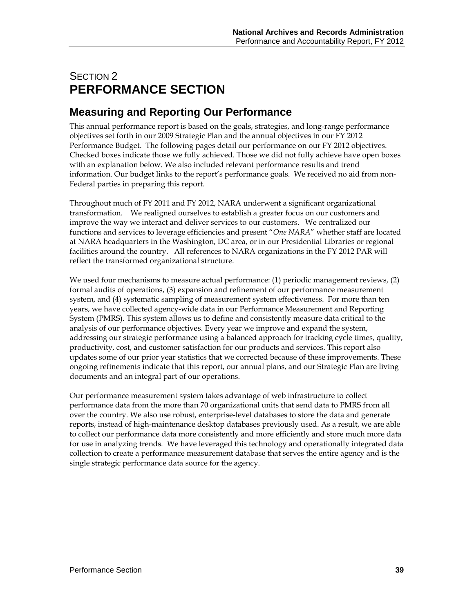# SECTION 2 **PERFORMANCE SECTION**

# **Measuring and Reporting Our Performance**

This annual performance report is based on the goals, strategies, and long-range performance objectives set forth in our 2009 Strategic Plan and the annual objectives in our FY 2012 Performance Budget. The following pages detail our performance on our FY 2012 objectives. Checked boxes indicate those we fully achieved. Those we did not fully achieve have open boxes with an explanation below. We also included relevant performance results and trend information. Our budget links to the report's performance goals. We received no aid from non-Federal parties in preparing this report.

Throughout much of FY 2011 and FY 2012, NARA underwent a significant organizational transformation. We realigned ourselves to establish a greater focus on our customers and improve the way we interact and deliver services to our customers. We centralized our functions and services to leverage efficiencies and present "*One NARA*" whether staff are located at NARA headquarters in the Washington, DC area, or in our Presidential Libraries or regional facilities around the country. All references to NARA organizations in the FY 2012 PAR will reflect the transformed organizational structure.

We used four mechanisms to measure actual performance: (1) periodic management reviews, (2) formal audits of operations, (3) expansion and refinement of our performance measurement system, and (4) systematic sampling of measurement system effectiveness. For more than ten years, we have collected agency-wide data in our Performance Measurement and Reporting System (PMRS). This system allows us to define and consistently measure data critical to the analysis of our performance objectives. Every year we improve and expand the system, addressing our strategic performance using a balanced approach for tracking cycle times, quality, productivity, cost, and customer satisfaction for our products and services. This report also updates some of our prior year statistics that we corrected because of these improvements. These ongoing refinements indicate that this report, our annual plans, and our Strategic Plan are living documents and an integral part of our operations.

Our performance measurement system takes advantage of web infrastructure to collect performance data from the more than 70 organizational units that send data to PMRS from all over the country. We also use robust, enterprise-level databases to store the data and generate reports, instead of high-maintenance desktop databases previously used. As a result, we are able to collect our performance data more consistently and more efficiently and store much more data for use in analyzing trends. We have leveraged this technology and operationally integrated data collection to create a performance measurement database that serves the entire agency and is the single strategic performance data source for the agency.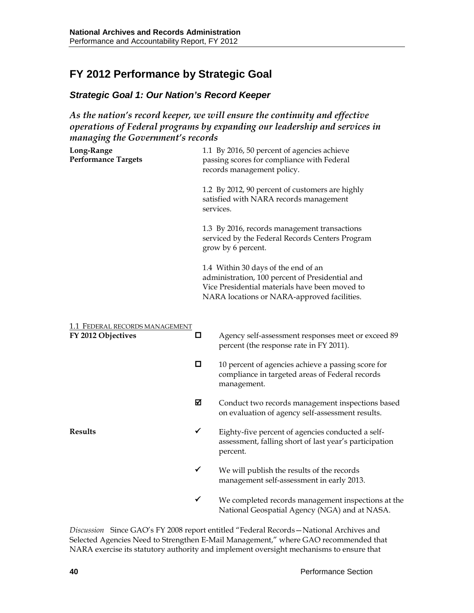# **FY 2012 Performance by Strategic Goal**

### *Strategic Goal 1: Our Nation's Record Keeper*

*As the nation's record keeper, we will ensure the continuity and effective operations of Federal programs by expanding our leadership and services in managing the Government's records*

| Long-Range<br><b>Performance Targets</b>             |        | 1.1 By 2016, 50 percent of agencies achieve<br>passing scores for compliance with Federal<br>records management policy.                                                                 |  |  |  |  |  |
|------------------------------------------------------|--------|-----------------------------------------------------------------------------------------------------------------------------------------------------------------------------------------|--|--|--|--|--|
|                                                      |        | 1.2 By 2012, 90 percent of customers are highly<br>satisfied with NARA records management<br>services.                                                                                  |  |  |  |  |  |
|                                                      |        | 1.3 By 2016, records management transactions<br>serviced by the Federal Records Centers Program<br>grow by 6 percent.                                                                   |  |  |  |  |  |
|                                                      |        | 1.4 Within 30 days of the end of an<br>administration, 100 percent of Presidential and<br>Vice Presidential materials have been moved to<br>NARA locations or NARA-approved facilities. |  |  |  |  |  |
| 1.1 FEDERAL RECORDS MANAGEMENT<br>FY 2012 Objectives | $\Box$ | Agency self-assessment responses meet or exceed 89<br>percent (the response rate in FY 2011).                                                                                           |  |  |  |  |  |
|                                                      | □      | 10 percent of agencies achieve a passing score for<br>compliance in targeted areas of Federal records<br>management.                                                                    |  |  |  |  |  |
|                                                      | 冈      | Conduct two records management inspections based<br>on evaluation of agency self-assessment results.                                                                                    |  |  |  |  |  |
| <b>Results</b>                                       | ✓      | Eighty-five percent of agencies conducted a self-<br>assessment, falling short of last year's participation<br>percent.                                                                 |  |  |  |  |  |
|                                                      | ✓      | We will publish the results of the records<br>management self-assessment in early 2013.                                                                                                 |  |  |  |  |  |
|                                                      | ✓      | We completed records management inspections at the                                                                                                                                      |  |  |  |  |  |

*Discussion* Since GAO's FY 2008 report entitled "Federal Records—National Archives and Selected Agencies Need to Strengthen E-Mail Management," where GAO recommended that NARA exercise its statutory authority and implement oversight mechanisms to ensure that

National Geospatial Agency (NGA) and at NASA.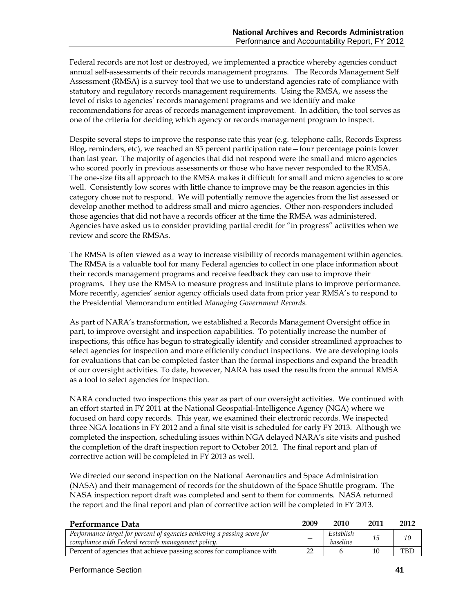Federal records are not lost or destroyed, we implemented a practice whereby agencies conduct annual self-assessments of their records management programs. The Records Management Self Assessment (RMSA) is a survey tool that we use to understand agencies rate of compliance with statutory and regulatory records management requirements. Using the RMSA, we assess the level of risks to agencies' records management programs and we identify and make recommendations for areas of records management improvement. In addition, the tool serves as one of the criteria for deciding which agency or records management program to inspect.

Despite several steps to improve the response rate this year (e.g. telephone calls, Records Express Blog, reminders, etc), we reached an 85 percent participation rate—four percentage points lower than last year. The majority of agencies that did not respond were the small and micro agencies who scored poorly in previous assessments or those who have never responded to the RMSA. The one-size fits all approach to the RMSA makes it difficult for small and micro agencies to score well. Consistently low scores with little chance to improve may be the reason agencies in this category chose not to respond. We will potentially remove the agencies from the list assessed or develop another method to address small and micro agencies. Other non-responders included those agencies that did not have a records officer at the time the RMSA was administered. Agencies have asked us to consider providing partial credit for "in progress" activities when we review and score the RMSAs.

The RMSA is often viewed as a way to increase visibility of records management within agencies. The RMSA is a valuable tool for many Federal agencies to collect in one place information about their records management programs and receive feedback they can use to improve their programs. They use the RMSA to measure progress and institute plans to improve performance. More recently, agencies' senior agency officials used data from prior year RMSA's to respond to the Presidential Memorandum entitled *Managing Government Records.*

As part of NARA's transformation, we established a Records Management Oversight office in part, to improve oversight and inspection capabilities. To potentially increase the number of inspections, this office has begun to strategically identify and consider streamlined approaches to select agencies for inspection and more efficiently conduct inspections. We are developing tools for evaluations that can be completed faster than the formal inspections and expand the breadth of our oversight activities. To date, however, NARA has used the results from the annual RMSA as a tool to select agencies for inspection.

NARA conducted two inspections this year as part of our oversight activities. We continued with an effort started in FY 2011 at the National Geospatial-Intelligence Agency (NGA) where we focused on hard copy records. This year, we examined their electronic records. We inspected three NGA locations in FY 2012 and a final site visit is scheduled for early FY 2013. Although we completed the inspection, scheduling issues within NGA delayed NARA's site visits and pushed the completion of the draft inspection report to October 2012. The final report and plan of corrective action will be completed in FY 2013 as well.

We directed our second inspection on the National Aeronautics and Space Administration (NASA) and their management of records for the shutdown of the Space Shuttle program. The NASA inspection report draft was completed and sent to them for comments. NASA returned the report and the final report and plan of corrective action will be completed in FY 2013.

| Performance Data                                                                                                               | 2009 | 2010                  | 2011 | 2012 |
|--------------------------------------------------------------------------------------------------------------------------------|------|-----------------------|------|------|
| Performance target for percent of agencies achieving a passing score for<br>compliance with Federal records management policy. |      | Establish<br>baseline | 15   | 10   |
| Percent of agencies that achieve passing scores for compliance with                                                            | າາ   |                       | 10   | TBD  |

#### Performance Section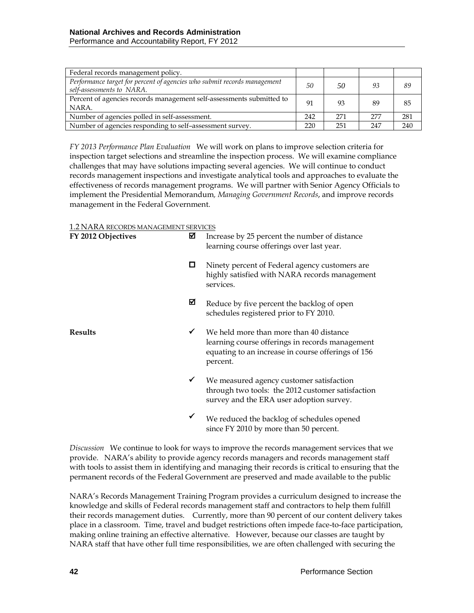| Federal records management policy.                                                                    |     |     |     |     |
|-------------------------------------------------------------------------------------------------------|-----|-----|-----|-----|
| Performance target for percent of agencies who submit records management<br>self-assessments to NARA. | 50  | 50  | 93  | 89  |
| Percent of agencies records management self-assessments submitted to<br>NARA.                         | 91  | 93  | 89  | 85  |
| Number of agencies polled in self-assessment.                                                         | 242 | 271 | 277 | 281 |
| Number of agencies responding to self-assessment survey.                                              | 220 | 251 | 247 | 240 |

*FY 2013 Performance Plan Evaluation* We will work on plans to improve selection criteria for inspection target selections and streamline the inspection process. We will examine compliance challenges that may have solutions impacting several agencies. We will continue to conduct records management inspections and investigate analytical tools and approaches to evaluate the effectiveness of records management programs. We will partner with Senior Agency Officials to implement the Presidential Memorandum*, Managing Government Records*, and improve records management in the Federal Government.

1.2 NARA RECORDS MANAGEMENT SERVICES

| FY 2012 Objectives | ⊠            | Increase by 25 percent the number of distance<br>learning course offerings over last year.                                                                   |  |  |  |  |
|--------------------|--------------|--------------------------------------------------------------------------------------------------------------------------------------------------------------|--|--|--|--|
|                    | □            | Ninety percent of Federal agency customers are<br>highly satisfied with NARA records management<br>services.                                                 |  |  |  |  |
|                    | ☑            | Reduce by five percent the backlog of open<br>schedules registered prior to FY 2010.                                                                         |  |  |  |  |
| <b>Results</b>     | ✔            | We held more than more than 40 distance<br>learning course offerings in records management<br>equating to an increase in course offerings of 156<br>percent. |  |  |  |  |
|                    | $\checkmark$ | We measured agency customer satisfaction<br>through two tools: the 2012 customer satisfaction<br>survey and the ERA user adoption survey.                    |  |  |  |  |
|                    |              | We reduced the backlog of schedules opened<br>since FY 2010 by more than 50 percent.                                                                         |  |  |  |  |

*Discussion* We continue to look for ways to improve the records management services that we provide. NARA's ability to provide agency records managers and records management staff with tools to assist them in identifying and managing their records is critical to ensuring that the permanent records of the Federal Government are preserved and made available to the public

NARA's Records Management Training Program provides a curriculum designed to increase the knowledge and skills of Federal records management staff and contractors to help them fulfill their records management duties. Currently, more than 90 percent of our content delivery takes place in a classroom. Time, travel and budget restrictions often impede face-to-face participation, making online training an effective alternative. However, because our classes are taught by NARA staff that have other full time responsibilities, we are often challenged with securing the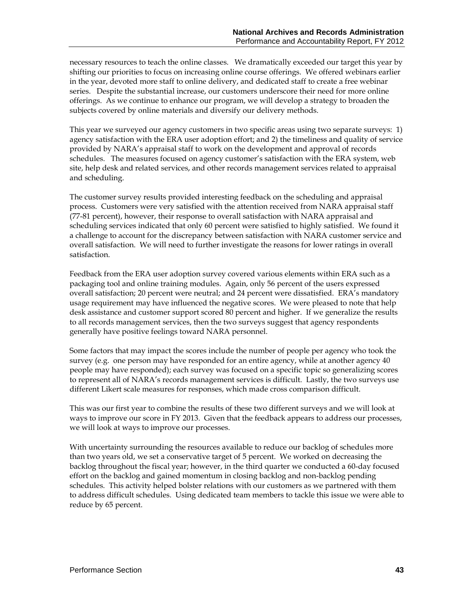necessary resources to teach the online classes. We dramatically exceeded our target this year by shifting our priorities to focus on increasing online course offerings. We offered webinars earlier in the year, devoted more staff to online delivery, and dedicated staff to create a free webinar series. Despite the substantial increase, our customers underscore their need for more online offerings. As we continue to enhance our program, we will develop a strategy to broaden the subjects covered by online materials and diversify our delivery methods.

This year we surveyed our agency customers in two specific areas using two separate surveys: 1) agency satisfaction with the ERA user adoption effort; and 2) the timeliness and quality of service provided by NARA's appraisal staff to work on the development and approval of records schedules. The measures focused on agency customer's satisfaction with the ERA system, web site, help desk and related services, and other records management services related to appraisal and scheduling.

The customer survey results provided interesting feedback on the scheduling and appraisal process. Customers were very satisfied with the attention received from NARA appraisal staff (77-81 percent), however, their response to overall satisfaction with NARA appraisal and scheduling services indicated that only 60 percent were satisfied to highly satisfied. We found it a challenge to account for the discrepancy between satisfaction with NARA customer service and overall satisfaction. We will need to further investigate the reasons for lower ratings in overall satisfaction.

Feedback from the ERA user adoption survey covered various elements within ERA such as a packaging tool and online training modules. Again, only 56 percent of the users expressed overall satisfaction; 20 percent were neutral; and 24 percent were dissatisfied. ERA's mandatory usage requirement may have influenced the negative scores. We were pleased to note that help desk assistance and customer support scored 80 percent and higher. If we generalize the results to all records management services, then the two surveys suggest that agency respondents generally have positive feelings toward NARA personnel.

Some factors that may impact the scores include the number of people per agency who took the survey (e.g. one person may have responded for an entire agency, while at another agency 40 people may have responded); each survey was focused on a specific topic so generalizing scores to represent all of NARA's records management services is difficult. Lastly, the two surveys use different Likert scale measures for responses, which made cross comparison difficult.

This was our first year to combine the results of these two different surveys and we will look at ways to improve our score in FY 2013. Given that the feedback appears to address our processes, we will look at ways to improve our processes.

With uncertainty surrounding the resources available to reduce our backlog of schedules more than two years old, we set a conservative target of 5 percent. We worked on decreasing the backlog throughout the fiscal year; however, in the third quarter we conducted a 60-day focused effort on the backlog and gained momentum in closing backlog and non-backlog pending schedules. This activity helped bolster relations with our customers as we partnered with them to address difficult schedules. Using dedicated team members to tackle this issue we were able to reduce by 65 percent.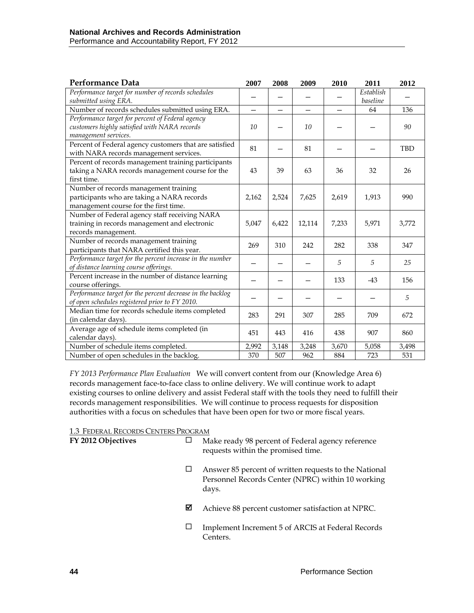| <b>Performance Data</b>                                                                                                      | 2007                     | 2008                     | 2009                     | 2010                     | 2011           | 2012       |
|------------------------------------------------------------------------------------------------------------------------------|--------------------------|--------------------------|--------------------------|--------------------------|----------------|------------|
| Performance target for number of records schedules                                                                           |                          |                          |                          |                          | Establish      |            |
| submitted using ERA.                                                                                                         |                          |                          |                          |                          | baseline       |            |
| Number of records schedules submitted using ERA.                                                                             | $\overline{\phantom{0}}$ | $\overline{\phantom{0}}$ | $\overline{\phantom{0}}$ | $\overline{\phantom{0}}$ | 64             | 136        |
| Performance target for percent of Federal agency<br>customers highly satisfied with NARA records<br>management services.     | 10                       |                          | 10                       |                          |                | 90         |
| Percent of Federal agency customers that are satisfied<br>with NARA records management services.                             | 81                       |                          | 81                       |                          |                | <b>TBD</b> |
| Percent of records management training participants<br>taking a NARA records management course for the<br>first time.        | 43                       | 39                       | 63                       | 36                       | 32             | 26         |
| Number of records management training<br>participants who are taking a NARA records<br>management course for the first time. | 2,162                    | 2,524                    | 7,625                    | 2,619                    | 1,913          | 990        |
| Number of Federal agency staff receiving NARA<br>training in records management and electronic<br>records management.        | 5,047                    | 6,422                    | 12,114                   | 7,233                    | 5,971          | 3,772      |
| Number of records management training<br>participants that NARA certified this year.                                         | 269                      | 310                      | 242                      | 282                      | 338            | 347        |
| Performance target for the percent increase in the number<br>of distance learning course offerings.                          |                          |                          |                          | 5                        | $\overline{5}$ | 25         |
| Percent increase in the number of distance learning<br>course offerings.                                                     |                          |                          |                          | 133                      | $-43$          | 156        |
| Performance target for the percent decrease in the backlog<br>of open schedules registered prior to FY 2010.                 |                          |                          |                          |                          |                | 5          |
| Median time for records schedule items completed<br>(in calendar days).                                                      | 283                      | 291                      | 307                      | 285                      | 709            | 672        |
| Average age of schedule items completed (in<br>calendar days).                                                               | 451                      | 443                      | 416                      | 438                      | 907            | 860        |
| Number of schedule items completed.                                                                                          | 2,992                    | 3,148                    | 3,248                    | 3,670                    | 5,058          | 3,498      |
| Number of open schedules in the backlog.                                                                                     | 370                      | 507                      | 962                      | 884                      | 723            | 531        |

*FY 2013 Performance Plan Evaluation*We will convert content from our (Knowledge Area 6) records management face-to-face class to online delivery. We will continue work to adapt existing courses to online delivery and assist Federal staff with the tools they need to fulfill their records management responsibilities. We will continue to process requests for disposition authorities with a focus on schedules that have been open for two or more fiscal years.

1.3 FEDERAL RECORDS CENTERS PROGRAM

|   | Make ready 98 percent of Federal agency reference<br>requests within the promised time.                             |
|---|---------------------------------------------------------------------------------------------------------------------|
| ப | Answer 85 percent of written requests to the National<br>Personnel Records Center (NPRC) within 10 working<br>days. |
| ⊠ | Achieve 88 percent customer satisfaction at NPRC.                                                                   |
|   | Implement Increment 5 of ARCIS at Federal Records<br>Centers.                                                       |
|   |                                                                                                                     |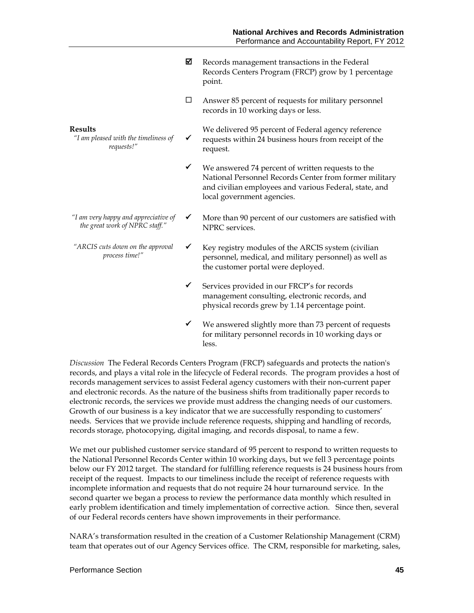- $\boxtimes$  Records management transactions in the Federal Records Centers Program (FRCP) grow by 1 percentage point.
- $\Box$  Answer 85 percent of requests for military personnel records in 10 working days or less.

#### **Results**

- *"I am pleased with the timeliness of requests!"*
- $\checkmark$ We delivered 95 percent of Federal agency reference requests within 24 business hours from receipt of the request.
- $\checkmark$  We answered 74 percent of written requests to the National Personnel Records Center from former military and civilian employees and various Federal, state, and local government agencies.
- *"I am very happy and appreciative of the great work of NPRC staff."*
- *"ARCIS cuts down on the approval process time!"*
- $\checkmark$  More than 90 percent of our customers are satisfied with NPRC services.
- $\checkmark$  Key registry modules of the ARCIS system (civilian personnel, medical, and military personnel) as well as the customer portal were deployed.
- $\checkmark$  Services provided in our FRCP's for records management consulting, electronic records, and physical records grew by 1.14 percentage point.
- $\checkmark$  We answered slightly more than 73 percent of requests for military personnel records in 10 working days or less.

*Discussion* The Federal Records Centers Program (FRCP) safeguards and protects the nation's records, and plays a vital role in the lifecycle of Federal records. The program provides a host of records management services to assist Federal agency customers with their non-current paper and electronic records. As the nature of the business shifts from traditionally paper records to electronic records, the services we provide must address the changing needs of our customers. Growth of our business is a key indicator that we are successfully responding to customers' needs. Services that we provide include reference requests, shipping and handling of records, records storage, photocopying, digital imaging, and records disposal, to name a few.

We met our published customer service standard of 95 percent to respond to written requests to the National Personnel Records Center within 10 working days, but we fell 3 percentage points below our FY 2012 target. The standard for fulfilling reference requests is 24 business hours from receipt of the request. Impacts to our timeliness include the receipt of reference requests with incomplete information and requests that do not require 24 hour turnaround service. In the second quarter we began a process to review the performance data monthly which resulted in early problem identification and timely implementation of corrective action. Since then, several of our Federal records centers have shown improvements in their performance.

NARA's transformation resulted in the creation of a Customer Relationship Management (CRM) team that operates out of our Agency Services office. The CRM, responsible for marketing, sales,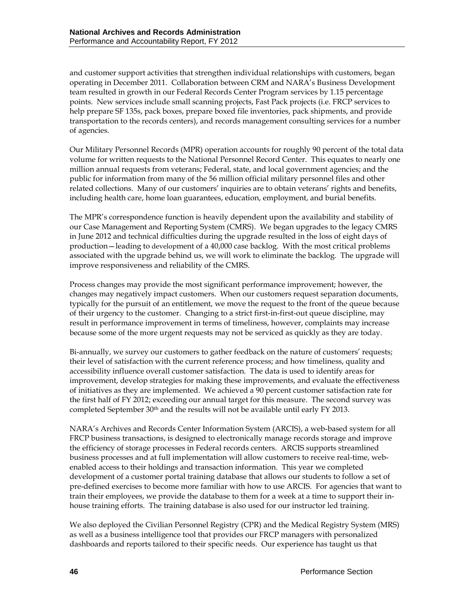and customer support activities that strengthen individual relationships with customers, began operating in December 2011. Collaboration between CRM and NARA's Business Development team resulted in growth in our Federal Records Center Program services by 1.15 percentage points. New services include small scanning projects, Fast Pack projects (i.e. FRCP services to help prepare SF 135s, pack boxes, prepare boxed file inventories, pack shipments, and provide transportation to the records centers), and records management consulting services for a number of agencies.

Our Military Personnel Records (MPR) operation accounts for roughly 90 percent of the total data volume for written requests to the National Personnel Record Center. This equates to nearly one million annual requests from veterans; Federal, state, and local government agencies; and the public for information from many of the 56 million official military personnel files and other related collections. Many of our customers' inquiries are to obtain veterans' rights and benefits, including health care, home loan guarantees, education, employment, and burial benefits.

The MPR's correspondence function is heavily dependent upon the availability and stability of our Case Management and Reporting System (CMRS). We began upgrades to the legacy CMRS in June 2012 and technical difficulties during the upgrade resulted in the loss of eight days of production—leading to development of a 40,000 case backlog. With the most critical problems associated with the upgrade behind us, we will work to eliminate the backlog. The upgrade will improve responsiveness and reliability of the CMRS.

Process changes may provide the most significant performance improvement; however, the changes may negatively impact customers. When our customers request separation documents, typically for the pursuit of an entitlement, we move the request to the front of the queue because of their urgency to the customer. Changing to a strict first-in-first-out queue discipline, may result in performance improvement in terms of timeliness, however, complaints may increase because some of the more urgent requests may not be serviced as quickly as they are today.

Bi-annually, we survey our customers to gather feedback on the nature of customers' requests; their level of satisfaction with the current reference process; and how timeliness, quality and accessibility influence overall customer satisfaction. The data is used to identify areas for improvement, develop strategies for making these improvements, and evaluate the effectiveness of initiatives as they are implemented. We achieved a 90 percent customer satisfaction rate for the first half of FY 2012; exceeding our annual target for this measure. The second survey was completed September 30<sup>th</sup> and the results will not be available until early FY 2013.

NARA's Archives and Records Center Information System (ARCIS), a web-based system for all FRCP business transactions, is designed to electronically manage records storage and improve the efficiency of storage processes in Federal records centers. ARCIS supports streamlined business processes and at full implementation will allow customers to receive real-time, webenabled access to their holdings and transaction information. This year we completed development of a customer portal training database that allows our students to follow a set of pre-defined exercises to become more familiar with how to use ARCIS. For agencies that want to train their employees, we provide the database to them for a week at a time to support their inhouse training efforts. The training database is also used for our instructor led training.

We also deployed the Civilian Personnel Registry (CPR) and the Medical Registry System (MRS) as well as a business intelligence tool that provides our FRCP managers with personalized dashboards and reports tailored to their specific needs. Our experience has taught us that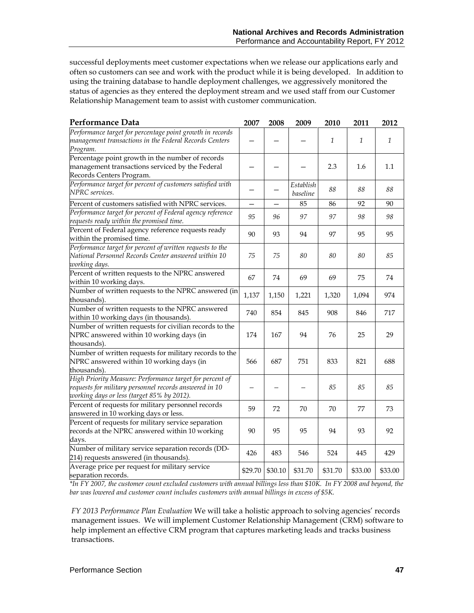successful deployments meet customer expectations when we release our applications early and often so customers can see and work with the product while it is being developed. In addition to using the training database to handle deployment challenges, we aggressively monitored the status of agencies as they entered the deployment stream and we used staff from our Customer Relationship Management team to assist with customer communication.

| Performance Data                                                                                                    | 2007    | 2008    | 2009                  | 2010         | 2011         | 2012    |
|---------------------------------------------------------------------------------------------------------------------|---------|---------|-----------------------|--------------|--------------|---------|
| Performance target for percentage point growth in records<br>management transactions in the Federal Records Centers |         |         |                       | $\mathbf{1}$ | $\mathbf{1}$ | 1       |
| Program.                                                                                                            |         |         |                       |              |              |         |
| Percentage point growth in the number of records                                                                    |         |         |                       |              |              |         |
| management transactions serviced by the Federal                                                                     |         |         |                       | 2.3          | 1.6          | 1.1     |
| Records Centers Program.                                                                                            |         |         |                       |              |              |         |
| Performance target for percent of customers satisfied with<br>NPRC services.                                        |         | —       | Establish<br>baseline | 88           | 88           | 88      |
| Percent of customers satisfied with NPRC services.                                                                  |         |         | 85                    | 86           | 92           | $90\,$  |
| Performance target for percent of Federal agency reference<br>requests ready within the promised time.              | 95      | 96      | 97                    | 97           | 98           | 98      |
| Percent of Federal agency reference requests ready                                                                  |         |         |                       |              |              |         |
| within the promised time.                                                                                           | 90      | 93      | 94                    | 97           | 95           | 95      |
| Performance target for percent of written requests to the                                                           |         |         |                       |              |              |         |
| National Personnel Records Center answered within 10                                                                | 75      | 75      | 80                    | 80           | 80           | 85      |
| working days.                                                                                                       |         |         |                       |              |              |         |
| Percent of written requests to the NPRC answered                                                                    | 67      | 74      | 69                    | 69           | 75           | 74      |
| within 10 working days.                                                                                             |         |         |                       |              |              |         |
| Number of written requests to the NPRC answered (in<br>thousands).                                                  | 1,137   | 1,150   | 1,221                 | 1,320        | 1,094        | 974     |
| Number of written requests to the NPRC answered                                                                     | 740     | 854     | 845                   | 908          | 846          | 717     |
| within 10 working days (in thousands).                                                                              |         |         |                       |              |              |         |
| Number of written requests for civilian records to the                                                              |         |         |                       |              |              |         |
| NPRC answered within 10 working days (in                                                                            | 174     | 167     | 94                    | 76           | 25           | 29      |
| thousands).                                                                                                         |         |         |                       |              |              |         |
| Number of written requests for military records to the                                                              |         |         |                       |              |              |         |
| NPRC answered within 10 working days (in<br>thousands).                                                             | 566     | 687     | 751                   | 833          | 821          | 688     |
| High Priority Measure: Performance target for percent of                                                            |         |         |                       |              |              |         |
| requests for military personnel records answered in 10                                                              |         |         |                       | 85           | 85           | 85      |
| working days or less (target 85% by 2012).                                                                          |         |         |                       |              |              |         |
| Percent of requests for military personnel records                                                                  |         |         |                       |              |              |         |
| answered in 10 working days or less.                                                                                | 59      | 72      | 70                    | 70           | 77           | 73      |
| Percent of requests for military service separation                                                                 |         |         |                       |              |              |         |
| records at the NPRC answered within 10 working                                                                      |         | 95      | 95                    | 94           | 93           | 92      |
| days.                                                                                                               |         |         |                       |              |              |         |
| Number of military service separation records (DD-                                                                  | 426     | 483     | 546                   | 524          | 445          | 429     |
| 214) requests answered (in thousands).                                                                              |         |         |                       |              |              |         |
| Average price per request for military service                                                                      | \$29.70 | \$30.10 | \$31.70               | \$31.70      | \$33.00      | \$33.00 |
| separation records.                                                                                                 |         |         |                       |              |              |         |

*\*In FY 2007, the customer count excluded customers with annual billings less than \$10K. In FY 2008 and beyond, the bar was lowered and customer count includes customers with annual billings in excess of \$5K.* 

*FY 2013 Performance Plan Evaluation* We will take a holistic approach to solving agencies' records management issues. We will implement Customer Relationship Management (CRM) software to help implement an effective CRM program that captures marketing leads and tracks business transactions.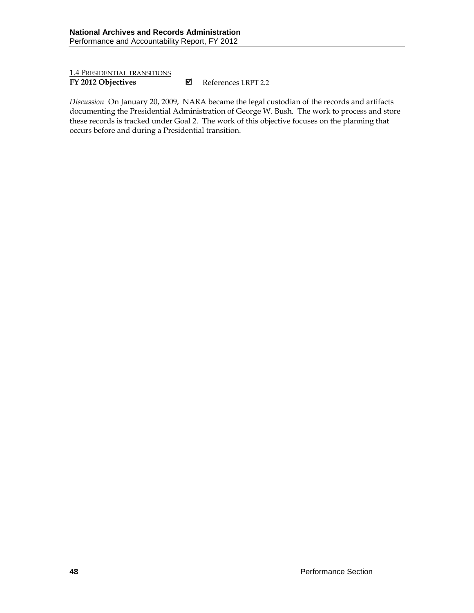1.4 PRESIDENTIAL TRANSITIONS

**FY 2012 Objectives M** References LRPT 2.2

*Discussion* On January 20, 2009, NARA became the legal custodian of the records and artifacts documenting the Presidential Administration of George W. Bush. The work to process and store these records is tracked under Goal 2. The work of this objective focuses on the planning that occurs before and during a Presidential transition.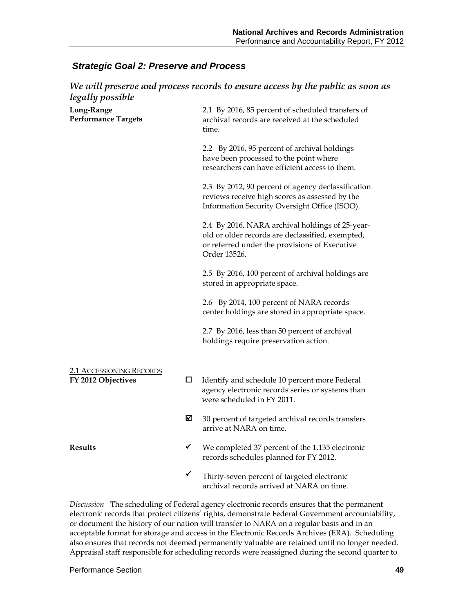### *Strategic Goal 2: Preserve and Process*

| We will preserve and process records to ensure access by the public as soon as |   |                                                                                                                                                                      |  |  |  |  |
|--------------------------------------------------------------------------------|---|----------------------------------------------------------------------------------------------------------------------------------------------------------------------|--|--|--|--|
| legally possible<br>Long-Range<br><b>Performance Targets</b>                   |   | 2.1 By 2016, 85 percent of scheduled transfers of<br>archival records are received at the scheduled<br>time.                                                         |  |  |  |  |
|                                                                                |   | 2.2 By 2016, 95 percent of archival holdings<br>have been processed to the point where<br>researchers can have efficient access to them.                             |  |  |  |  |
|                                                                                |   | 2.3 By 2012, 90 percent of agency declassification<br>reviews receive high scores as assessed by the<br>Information Security Oversight Office (ISOO).                |  |  |  |  |
|                                                                                |   | 2.4 By 2016, NARA archival holdings of 25-year-<br>old or older records are declassified, exempted,<br>or referred under the provisions of Executive<br>Order 13526. |  |  |  |  |
|                                                                                |   | 2.5 By 2016, 100 percent of archival holdings are<br>stored in appropriate space.                                                                                    |  |  |  |  |
|                                                                                |   | 2.6 By 2014, 100 percent of NARA records<br>center holdings are stored in appropriate space.                                                                         |  |  |  |  |
|                                                                                |   | 2.7 By 2016, less than 50 percent of archival<br>holdings require preservation action.                                                                               |  |  |  |  |
| <b>2.1 ACCESSIONING RECORDS</b><br>FY 2012 Objectives                          | □ | Identify and schedule 10 percent more Federal<br>agency electronic records series or systems than<br>were scheduled in FY 2011.                                      |  |  |  |  |
|                                                                                | ⊠ | 30 percent of targeted archival records transfers<br>arrive at NARA on time.                                                                                         |  |  |  |  |
| <b>Results</b>                                                                 | ✔ | We completed 37 percent of the 1,135 electronic<br>records schedules planned for FY 2012.                                                                            |  |  |  |  |
|                                                                                | ✔ | Thirty-seven percent of targeted electronic<br>archival records arrived at NARA on time.                                                                             |  |  |  |  |

*Discussion* The scheduling of Federal agency electronic records ensures that the permanent electronic records that protect citizens' rights, demonstrate Federal Government accountability, or document the history of our nation will transfer to NARA on a regular basis and in an acceptable format for storage and access in the Electronic Records Archives (ERA). Scheduling also ensures that records not deemed permanently valuable are retained until no longer needed. Appraisal staff responsible for scheduling records were reassigned during the second quarter to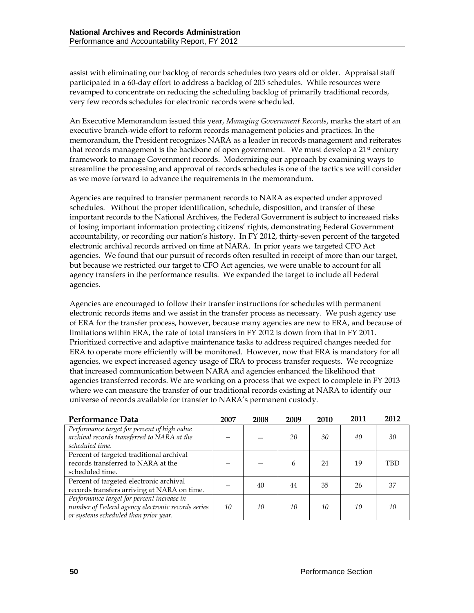assist with eliminating our backlog of records schedules two years old or older. Appraisal staff participated in a 60-day effort to address a backlog of 205 schedules. While resources were revamped to concentrate on reducing the scheduling backlog of primarily traditional records, very few records schedules for electronic records were scheduled.

An Executive Memorandum issued this year, *Managing Government Records*, marks the start of an executive branch-wide effort to reform records management policies and practices. In the memorandum, the President recognizes NARA as a leader in records management and reiterates that records management is the backbone of open government. We must develop a  $21<sup>st</sup>$  century framework to manage Government records. Modernizing our approach by examining ways to streamline the processing and approval of records schedules is one of the tactics we will consider as we move forward to advance the requirements in the memorandum.

Agencies are required to transfer permanent records to NARA as expected under approved schedules. Without the proper identification, schedule, disposition, and transfer of these important records to the National Archives, the Federal Government is subject to increased risks of losing important information protecting citizens' rights, demonstrating Federal Government accountability, or recording our nation's history. In FY 2012, thirty-seven percent of the targeted electronic archival records arrived on time at NARA. In prior years we targeted CFO Act agencies. We found that our pursuit of records often resulted in receipt of more than our target, but because we restricted our target to CFO Act agencies, we were unable to account for all agency transfers in the performance results. We expanded the target to include all Federal agencies.

Agencies are encouraged to follow their transfer instructions for schedules with permanent electronic records items and we assist in the transfer process as necessary. We push agency use of ERA for the transfer process, however, because many agencies are new to ERA, and because of limitations within ERA, the rate of total transfers in FY 2012 is down from that in FY 2011. Prioritized corrective and adaptive maintenance tasks to address required changes needed for ERA to operate more efficiently will be monitored. However, now that ERA is mandatory for all agencies, we expect increased agency usage of ERA to process transfer requests. We recognize that increased communication between NARA and agencies enhanced the likelihood that agencies transferred records. We are working on a process that we expect to complete in FY 2013 where we can measure the transfer of our traditional records existing at NARA to identify our universe of records available for transfer to NARA's permanent custody.

| Performance Data                                   | 2007 | 2008 | 2009 | 2010 | 2011 | 2012 |
|----------------------------------------------------|------|------|------|------|------|------|
| Performance target for percent of high value       |      |      |      |      |      |      |
| archival records transferred to NARA at the        |      |      | 20   | 30   | 40   | 30   |
| scheduled time.                                    |      |      |      |      |      |      |
| Percent of targeted traditional archival           |      |      |      |      |      |      |
| records transferred to NARA at the                 |      |      | 6    | 24   | 19   | TBD  |
| scheduled time.                                    |      |      |      |      |      |      |
| Percent of targeted electronic archival            |      | 40   | 44   | 35   | 26   | 37   |
| records transfers arriving at NARA on time.        |      |      |      |      |      |      |
| Performance target for percent increase in         |      |      |      |      |      |      |
| number of Federal agency electronic records series | 10   | 10   | 10   | 10   | 10   | 10   |
| or systems scheduled than prior year.              |      |      |      |      |      |      |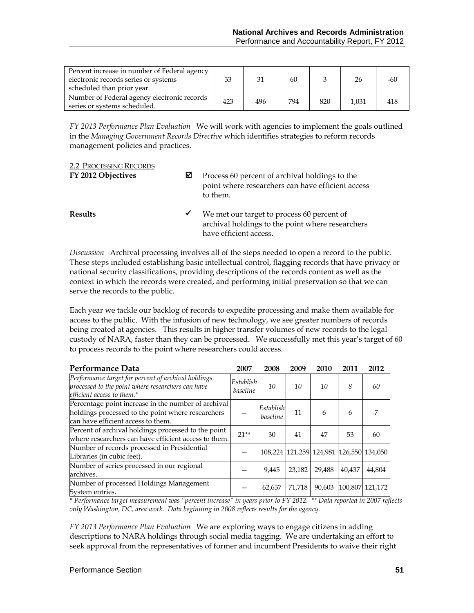| Percent increase in number of Federal agency<br>electronic records series or systems<br>scheduled than prior year. | 33  | 31  | 60  |     | 26    | -60 |
|--------------------------------------------------------------------------------------------------------------------|-----|-----|-----|-----|-------|-----|
| Number of Federal agency electronic records<br>series or systems scheduled.                                        | 423 | 496 | 794 | 820 | 1.031 |     |

*FY 2013 Performance Plan Evaluation*We will work with agencies to implement the goals outlined in the *Managing Government Records Directive* which identifies strategies to reform records management policies and practices.

## 2.2 PROCESSING RECORDS

**FY 2012 Objectives P** Process 60 percent of archival holdings to the point where researchers can have efficient access to them.

**Results** ★ We met our target to process 60 percent of archival holdings to the point where researchers have efficient access.

*Discussion* Archival processing involves all of the steps needed to open a record to the public. These steps included establishing basic intellectual control, flagging records that have privacy or national security classifications, providing descriptions of the records content as well as the context in which the records were created, and performing initial preservation so that we can serve the records to the public.

Each year we tackle our backlog of records to expedite processing and make them available for access to the public. With the infusion of new technology, we see greater numbers of records being created at agencies. This results in higher transfer volumes of new records to the legal custody of NARA, faster than they can be processed. We successfully met this year's target of 60 to process records to the point where researchers could access.

| Performance Data                                                                                                                               | 2007                         | 2008                  | 2009   | 2010                                    | 2011   | 2012            |
|------------------------------------------------------------------------------------------------------------------------------------------------|------------------------------|-----------------------|--------|-----------------------------------------|--------|-----------------|
| Performance target for percent of archival holdings<br>processed to the point where researchers can have<br>efficient access to them.*         | Establish<br><i>baseline</i> | 10                    | 10     | 10                                      | 8      | 60              |
| Percentage point increase in the number of archival<br>holdings processed to the point where researchers<br>can have efficient access to them. |                              | Establish<br>baseline | 11     | 6                                       | 6      | 7               |
| Percent of archival holdings processed to the point<br>where researchers can have efficient access to them.                                    | $21**$                       | 30                    | 41     | 47                                      | 53     | 60              |
| Number of records processed in Presidential<br>Libraries (in cubic feet).                                                                      |                              |                       |        | 108,224 121,259 124,981 126,550 134,050 |        |                 |
| Number of series processed in our regional<br>archives.                                                                                        |                              | 9.445                 | 23,182 | 29,488                                  | 40,437 | 44,804          |
| Number of processed Holdings Management<br>System entries.                                                                                     |                              | 62,637                | 71,718 | 90,603                                  |        | 100,807 121,172 |

*\* Performance target measurement was "percent increase" in years prior to FY 2012. \*\* Data reported in 2007 reflects only Washington, DC, area work. Data beginning in 2008 reflects results for the agency.*

*FY 2013 Performance Plan Evaluation*We are exploring ways to engage citizens in adding descriptions to NARA holdings through social media tagging. We are undertaking an effort to seek approval from the representatives of former and incumbent Presidents to waive their right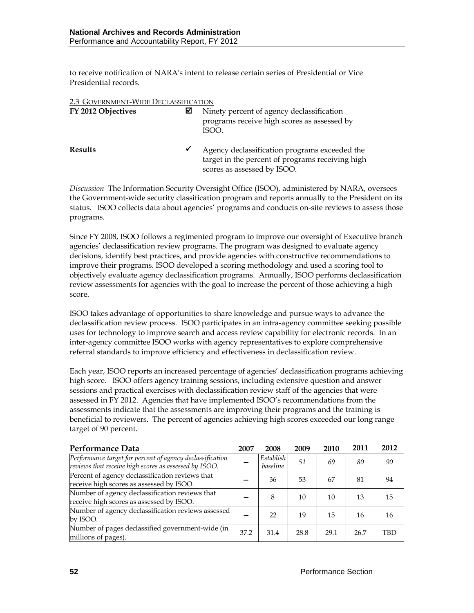to receive notification of NARA's intent to release certain series of Presidential or Vice Presidential records.

| 2.3 GOVERNMENT-WIDE DECLASSIFICATION |   |                                                                                                                                  |  |  |  |
|--------------------------------------|---|----------------------------------------------------------------------------------------------------------------------------------|--|--|--|
| FY 2012 Objectives                   | М | Ninety percent of agency declassification<br>programs receive high scores as assessed by<br>ISOO.                                |  |  |  |
| <b>Results</b>                       | ✔ | Agency declassification programs exceeded the<br>target in the percent of programs receiving high<br>scores as assessed by ISOO. |  |  |  |

*Discussion* The Information Security Oversight Office (ISOO), administered by NARA, oversees the Government-wide security classification program and reports annually to the President on its status. ISOO collects data about agencies' programs and conducts on-site reviews to assess those programs.

Since FY 2008, ISOO follows a regimented program to improve our oversight of Executive branch agencies' declassification review programs. The program was designed to evaluate agency decisions, identify best practices, and provide agencies with constructive recommendations to improve their programs. ISOO developed a scoring methodology and used a scoring tool to objectively evaluate agency declassification programs. Annually, ISOO performs declassification review assessments for agencies with the goal to increase the percent of those achieving a high score.

ISOO takes advantage of opportunities to share knowledge and pursue ways to advance the declassification review process. ISOO participates in an intra-agency committee seeking possible uses for technology to improve search and access review capability for electronic records. In an inter-agency committee ISOO works with agency representatives to explore comprehensive referral standards to improve efficiency and effectiveness in declassification review.

Each year, ISOO reports an increased percentage of agencies' declassification programs achieving high score. ISOO offers agency training sessions, including extensive question and answer sessions and practical exercises with declassification review staff of the agencies that were assessed in FY 2012. Agencies that have implemented ISOO's recommendations from the assessments indicate that the assessments are improving their programs and the training is beneficial to reviewers. The percent of agencies achieving high scores exceeded our long range target of 90 percent.

| Performance Data                                                                                                   | 2007 | 2008                  | 2009 | 2010 | 2011 | 2012       |
|--------------------------------------------------------------------------------------------------------------------|------|-----------------------|------|------|------|------------|
| Performance target for percent of agency declassification<br>reviews that receive high scores as assessed by ISOO. |      | Establish<br>baseline | 51   | 69   | 80   | 90         |
| Percent of agency declassification reviews that<br>receive high scores as assessed by ISOO.                        |      | 36                    | 53   | 67   | 81   | 94         |
| Number of agency declassification reviews that<br>receive high scores as assessed by ISOO.                         |      | 8                     | 10   | 10   | 13   | 15         |
| Number of agency declassification reviews assessed<br>by ISOO.                                                     |      | 22                    | 19   | 15   | 16   | 16         |
| Number of pages declassified government-wide (in<br>millions of pages).                                            | 37.2 | 31.4                  | 28.8 | 29.1 | 26.7 | <b>TBD</b> |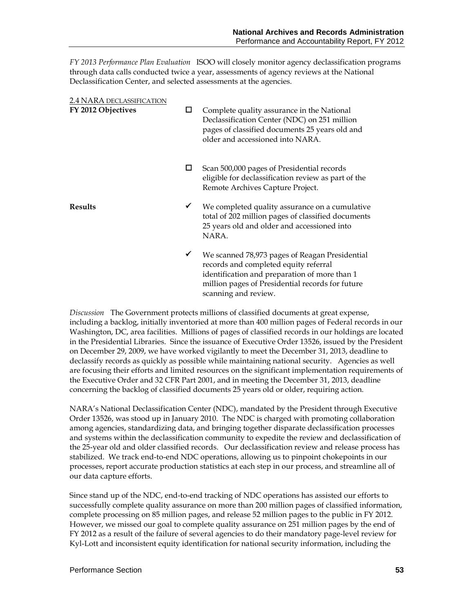*FY 2013 Performance Plan Evaluation*ISOO will closely monitor agency declassification programs through data calls conducted twice a year, assessments of agency reviews at the National Declassification Center, and selected assessments at the agencies.

| 2.4 NARA DECLASSIFICATION |              |                                                                                                                                                                                                                      |
|---------------------------|--------------|----------------------------------------------------------------------------------------------------------------------------------------------------------------------------------------------------------------------|
| FY 2012 Objectives        | □            | Complete quality assurance in the National<br>Declassification Center (NDC) on 251 million<br>pages of classified documents 25 years old and<br>older and accessioned into NARA.                                     |
|                           | ப            | Scan 500,000 pages of Presidential records<br>eligible for declassification review as part of the<br>Remote Archives Capture Project.                                                                                |
| <b>Results</b>            | ✔            | We completed quality assurance on a cumulative<br>total of 202 million pages of classified documents<br>25 years old and older and accessioned into<br>NARA.                                                         |
|                           | $\checkmark$ | We scanned 78,973 pages of Reagan Presidential<br>records and completed equity referral<br>identification and preparation of more than 1<br>million pages of Presidential records for future<br>scanning and review. |

*Discussion* The Government protects millions of classified documents at great expense, including a backlog, initially inventoried at more than 400 million pages of Federal records in our Washington, DC, area facilities. Millions of pages of classified records in our holdings are located in the Presidential Libraries. Since the issuance of Executive Order 13526, issued by the President on December 29, 2009, we have worked vigilantly to meet the December 31, 2013, deadline to declassify records as quickly as possible while maintaining national security. Agencies as well are focusing their efforts and limited resources on the significant implementation requirements of the Executive Order and 32 CFR Part 2001, and in meeting the December 31, 2013, deadline concerning the backlog of classified documents 25 years old or older, requiring action.

NARA's National Declassification Center (NDC), mandated by the President through Executive Order 13526, was stood up in January 2010. The NDC is charged with promoting collaboration among agencies, standardizing data, and bringing together disparate declassification processes and systems within the declassification community to expedite the review and declassification of the 25-year old and older classified records. Our declassification review and release process has stabilized. We track end-to-end NDC operations, allowing us to pinpoint chokepoints in our processes, report accurate production statistics at each step in our process, and streamline all of our data capture efforts.

Since stand up of the NDC, end-to-end tracking of NDC operations has assisted our efforts to successfully complete quality assurance on more than 200 million pages of classified information, complete processing on 85 million pages, and release 52 million pages to the public in FY 2012. However, we missed our goal to complete quality assurance on 251 million pages by the end of FY 2012 as a result of the failure of several agencies to do their mandatory page-level review for Kyl-Lott and inconsistent equity identification for national security information, including the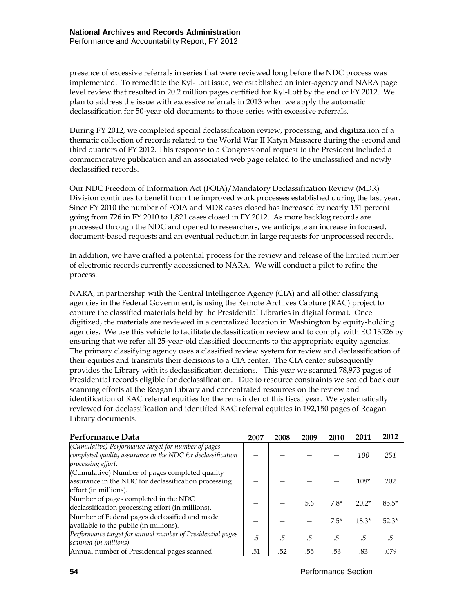presence of excessive referrals in series that were reviewed long before the NDC process was implemented. To remediate the Kyl-Lott issue, we established an inter-agency and NARA page level review that resulted in 20.2 million pages certified for Kyl-Lott by the end of FY 2012. We plan to address the issue with excessive referrals in 2013 when we apply the automatic declassification for 50-year-old documents to those series with excessive referrals.

During FY 2012, we completed special declassification review, processing, and digitization of a thematic collection of records related to the World War II Katyn Massacre during the second and third quarters of FY 2012. This response to a Congressional request to the President included a commemorative publication and an associated web page related to the unclassified and newly declassified records.

Our NDC Freedom of Information Act (FOIA)/Mandatory Declassification Review (MDR) Division continues to benefit from the improved work processes established during the last year. Since FY 2010 the number of FOIA and MDR cases closed has increased by nearly 151 percent going from 726 in FY 2010 to 1,821 cases closed in FY 2012. As more backlog records are processed through the NDC and opened to researchers, we anticipate an increase in focused, document-based requests and an eventual reduction in large requests for unprocessed records.

In addition, we have crafted a potential process for the review and release of the limited number of electronic records currently accessioned to NARA. We will conduct a pilot to refine the process.

NARA, in partnership with the Central Intelligence Agency (CIA) and all other classifying agencies in the Federal Government, is using the Remote Archives Capture (RAC) project to capture the classified materials held by the Presidential Libraries in digital format. Once digitized, the materials are reviewed in a centralized location in Washington by equity-holding agencies. We use this vehicle to facilitate declassification review and to comply with EO 13526 by ensuring that we refer all 25-year-old classified documents to the appropriate equity agencies. The primary classifying agency uses a classified review system for review and declassification of their equities and transmits their decisions to a CIA center. The CIA center subsequently provides the Library with its declassification decisions. This year we scanned 78,973 pages of Presidential records eligible for declassification. Due to resource constraints we scaled back our scanning efforts at the Reagan Library and concentrated resources on the review and identification of RAC referral equities for the remainder of this fiscal year. We systematically reviewed for declassification and identified RAC referral equities in 192,150 pages of Reagan Library documents.

| Performance Data                                                                                                                         | 2007 | 2008 | 2009 | 2010   | 2011    | 2012    |
|------------------------------------------------------------------------------------------------------------------------------------------|------|------|------|--------|---------|---------|
| (Cumulative) Performance target for number of pages<br>completed quality assurance in the NDC for declassification<br>processing effort. |      |      |      |        | 100     | 251     |
| (Cumulative) Number of pages completed quality<br>assurance in the NDC for declassification processing<br>effort (in millions).          |      |      |      |        | $108*$  | 202     |
| Number of pages completed in the NDC<br>declassification processing effort (in millions).                                                |      |      | 5.6  | $7.8*$ | $20.2*$ | $85.5*$ |
| Number of Federal pages declassified and made<br>available to the public (in millions).                                                  |      |      |      | $7.5*$ | $18.3*$ | $52.3*$ |
| Performance target for annual number of Presidential pages<br>scanned (in millions).                                                     | .5   | .5   | .5   | .5     | .5      | .5      |
| Annual number of Presidential pages scanned                                                                                              | .51  | .52  | .55  | .53    | .83     | .079    |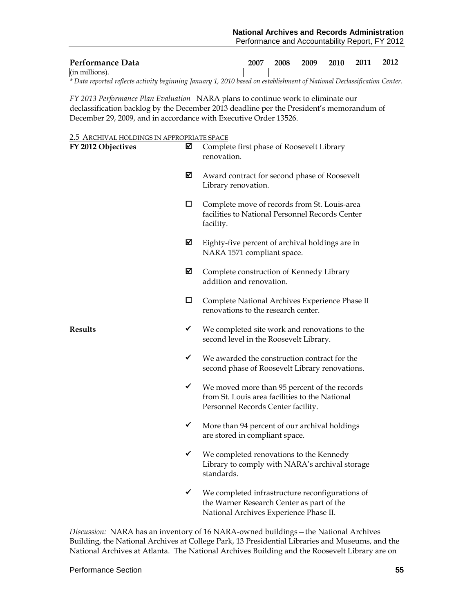| Performance Data | 2007 | 2008 | 2009 | 2010 | 2011 | 2012 |
|------------------|------|------|------|------|------|------|
| (in millions).   |      |      |      |      |      |      |

*\* Data reported reflects activity beginning January 1, 2010 based on establishment of National Declassification Center.*

*FY 2013 Performance Plan Evaluation*NARA plans to continue work to eliminate our declassification backlog by the December 2013 deadline per the President's memorandum of December 29, 2009, and in accordance with Executive Order 13526.

#### 2.5 ARCHIVAL HOLDINGS IN APPROPRIATE SPACE

| FY 2012 Objectives | ⊠            | Complete first phase of Roosevelt Library<br>renovation.                                                                             |
|--------------------|--------------|--------------------------------------------------------------------------------------------------------------------------------------|
|                    | ☑            | Award contract for second phase of Roosevelt<br>Library renovation.                                                                  |
|                    | □            | Complete move of records from St. Louis-area<br>facilities to National Personnel Records Center<br>facility.                         |
|                    | ☑            | Eighty-five percent of archival holdings are in<br>NARA 1571 compliant space.                                                        |
|                    | ☑            | Complete construction of Kennedy Library<br>addition and renovation.                                                                 |
|                    | □            | Complete National Archives Experience Phase II<br>renovations to the research center.                                                |
| <b>Results</b>     | ✓            | We completed site work and renovations to the<br>second level in the Roosevelt Library.                                              |
|                    | ✓            | We awarded the construction contract for the<br>second phase of Roosevelt Library renovations.                                       |
|                    | ✓            | We moved more than 95 percent of the records<br>from St. Louis area facilities to the National<br>Personnel Records Center facility. |
|                    | $\checkmark$ | More than 94 percent of our archival holdings<br>are stored in compliant space.                                                      |
|                    | ✓            | We completed renovations to the Kennedy<br>Library to comply with NARA's archival storage<br>standards.                              |
|                    | ✓            | We completed infrastructure reconfigurations of<br>the Warner Research Center as part of the                                         |

*Discussion:* NARA has an inventory of 16 NARA-owned buildings—the National Archives Building, the National Archives at College Park, 13 Presidential Libraries and Museums, and the National Archives at Atlanta. The National Archives Building and the Roosevelt Library are on

National Archives Experience Phase II.

#### Performance Section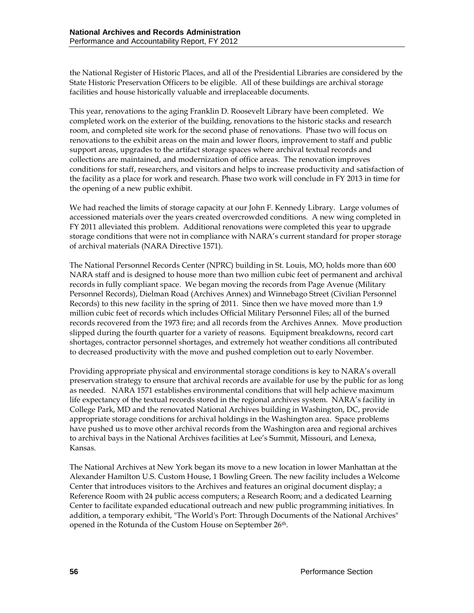the National Register of Historic Places, and all of the Presidential Libraries are considered by the State Historic Preservation Officers to be eligible. All of these buildings are archival storage facilities and house historically valuable and irreplaceable documents.

This year, renovations to the aging Franklin D. Roosevelt Library have been completed. We completed work on the exterior of the building, renovations to the historic stacks and research room, and completed site work for the second phase of renovations. Phase two will focus on renovations to the exhibit areas on the main and lower floors, improvement to staff and public support areas, upgrades to the artifact storage spaces where archival textual records and collections are maintained, and modernization of office areas. The renovation improves conditions for staff, researchers, and visitors and helps to increase productivity and satisfaction of the facility as a place for work and research. Phase two work will conclude in FY 2013 in time for the opening of a new public exhibit.

We had reached the limits of storage capacity at our John F. Kennedy Library. Large volumes of accessioned materials over the years created overcrowded conditions. A new wing completed in FY 2011 alleviated this problem. Additional renovations were completed this year to upgrade storage conditions that were not in compliance with NARA's current standard for proper storage of archival materials (NARA Directive 1571).

The National Personnel Records Center (NPRC) building in St. Louis, MO, holds more than 600 NARA staff and is designed to house more than two million cubic feet of permanent and archival records in fully compliant space. We began moving the records from Page Avenue (Military Personnel Records), Dielman Road (Archives Annex) and Winnebago Street (Civilian Personnel Records) to this new facility in the spring of 2011. Since then we have moved more than 1.9 million cubic feet of records which includes Official Military Personnel Files; all of the burned records recovered from the 1973 fire; and all records from the Archives Annex. Move production slipped during the fourth quarter for a variety of reasons. Equipment breakdowns, record cart shortages, contractor personnel shortages, and extremely hot weather conditions all contributed to decreased productivity with the move and pushed completion out to early November.

Providing appropriate physical and environmental storage conditions is key to NARA's overall preservation strategy to ensure that archival records are available for use by the public for as long as needed. NARA 1571 establishes environmental conditions that will help achieve maximum life expectancy of the textual records stored in the regional archives system. NARA's facility in College Park, MD and the renovated National Archives building in Washington, DC, provide appropriate storage conditions for archival holdings in the Washington area. Space problems have pushed us to move other archival records from the Washington area and regional archives to archival bays in the National Archives facilities at Lee's Summit, Missouri, and Lenexa, Kansas.

The National Archives at New York began its move to a new location in lower Manhattan at the Alexander Hamilton U.S. Custom House, 1 Bowling Green. The new facility includes a Welcome Center that introduces visitors to the Archives and features an original document display; a Reference Room with 24 public access computers; a Research Room; and a dedicated Learning Center to facilitate expanded educational outreach and new public programming initiatives. In addition, a temporary exhibit, "The World's Port: Through Documents of the National Archives" opened in the Rotunda of the Custom House on September 26<sup>th</sup>.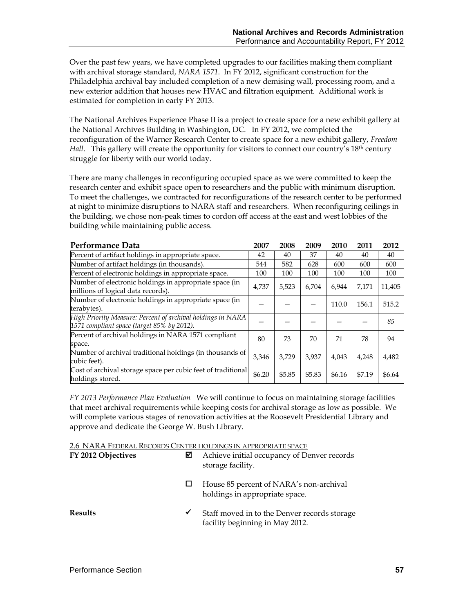Over the past few years, we have completed upgrades to our facilities making them compliant with archival storage standard, *NARA 1571*. In FY 2012, significant construction for the Philadelphia archival bay included completion of a new demising wall, processing room, and a new exterior addition that houses new HVAC and filtration equipment. Additional work is estimated for completion in early FY 2013.

The National Archives Experience Phase II is a project to create space for a new exhibit gallery at the National Archives Building in Washington, DC. In FY 2012, we completed the reconfiguration of the Warner Research Center to create space for a new exhibit gallery, *Freedom Hall.* This gallery will create the opportunity for visitors to connect our country's 18<sup>th</sup> century struggle for liberty with our world today.

There are many challenges in reconfiguring occupied space as we were committed to keep the research center and exhibit space open to researchers and the public with minimum disruption. To meet the challenges, we contracted for reconfigurations of the research center to be performed at night to minimize disruptions to NARA staff and researchers. When reconfiguring ceilings in the building, we chose non-peak times to cordon off access at the east and west lobbies of the building while maintaining public access.

| Performance Data                                                                                          |        | 2008   | 2009   | 2010   | 2011   | 2012   |
|-----------------------------------------------------------------------------------------------------------|--------|--------|--------|--------|--------|--------|
| Percent of artifact holdings in appropriate space.                                                        | 42     | 40     | 37     | 40     | 40     | 40     |
| Number of artifact holdings (in thousands).                                                               | 544    | 582    | 628    | 600    | 600    | 600    |
| Percent of electronic holdings in appropriate space.                                                      | 100    | 100    | 100    | 100    | 100    | 100    |
| Number of electronic holdings in appropriate space (in<br>millions of logical data records).              | 4.737  | 5,523  | 6.704  | 6.944  | 7.171  | 11,405 |
| Number of electronic holdings in appropriate space (in<br>terabytes).                                     |        |        |        | 110.0  | 156.1  | 515.2  |
| High Priority Measure: Percent of archival holdings in NARA<br>1571 compliant space (target 85% by 2012). |        |        |        |        |        | 85     |
| Percent of archival holdings in NARA 1571 compliant<br>space.                                             | 80     | 73     | 70     | 71     | 78     | 94     |
| Number of archival traditional holdings (in thousands of<br>cubic feet).                                  | 3.346  | 3.729  | 3.937  | 4,043  | 4,248  | 4,482  |
| Cost of archival storage space per cubic feet of traditional<br>holdings stored.                          | \$6.20 | \$5.85 | \$5.83 | \$6.16 | \$7.19 | \$6.64 |

*FY 2013 Performance Plan Evaluation*We will continue to focus on maintaining storage facilities that meet archival requirements while keeping costs for archival storage as low as possible. We will complete various stages of renovation activities at the Roosevelt Presidential Library and approve and dedicate the George W. Bush Library.

2.6 NARA FEDERAL RECORDS CENTER HOLDINGS IN APPROPRIATE SPACE

| FY 2012 Objectives | ⊠ | Achieve initial occupancy of Denver records<br>storage facility.                |
|--------------------|---|---------------------------------------------------------------------------------|
|                    |   | House 85 percent of NARA's non-archival<br>holdings in appropriate space.       |
| Results            | ✔ | Staff moved in to the Denver records storage<br>facility beginning in May 2012. |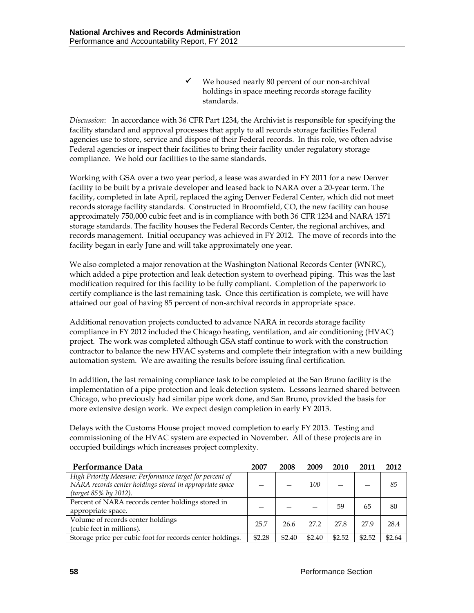$\checkmark$  We housed nearly 80 percent of our non-archival holdings in space meeting records storage facility standards.

*Discussion*: In accordance with 36 CFR Part 1234, the Archivist is responsible for specifying the facility standard and approval processes that apply to all records storage facilities Federal agencies use to store, service and dispose of their Federal records. In this role, we often advise Federal agencies or inspect their facilities to bring their facility under regulatory storage compliance. We hold our facilities to the same standards.

Working with GSA over a two year period, a lease was awarded in FY 2011 for a new Denver facility to be built by a private developer and leased back to NARA over a 20-year term. The facility, completed in late April, replaced the aging Denver Federal Center, which did not meet records storage facility standards. Constructed in Broomfield, CO, the new facility can house approximately 750,000 cubic feet and is in compliance with both 36 CFR 1234 and NARA 1571 storage standards. The facility houses the Federal Records Center, the regional archives, and records management. Initial occupancy was achieved in FY 2012. The move of records into the facility began in early June and will take approximately one year.

We also completed a major renovation at the Washington National Records Center (WNRC), which added a pipe protection and leak detection system to overhead piping. This was the last modification required for this facility to be fully compliant. Completion of the paperwork to certify compliance is the last remaining task. Once this certification is complete, we will have attained our goal of having 85 percent of non-archival records in appropriate space.

Additional renovation projects conducted to advance NARA in records storage facility compliance in FY 2012 included the Chicago heating, ventilation, and air conditioning (HVAC) project. The work was completed although GSA staff continue to work with the construction contractor to balance the new HVAC systems and complete their integration with a new building automation system. We are awaiting the results before issuing final certification.

In addition, the last remaining compliance task to be completed at the San Bruno facility is the implementation of a pipe protection and leak detection system. Lessons learned shared between Chicago, who previously had similar pipe work done, and San Bruno, provided the basis for more extensive design work. We expect design completion in early FY 2013.

Delays with the Customs House project moved completion to early FY 2013. Testing and commissioning of the HVAC system are expected in November. All of these projects are in occupied buildings which increases project complexity.

| Performance Data                                          | 2007   | 2008   | 2009   | 2010   | 2011   | 2012   |
|-----------------------------------------------------------|--------|--------|--------|--------|--------|--------|
| High Priority Measure: Performance target for percent of  |        |        |        |        |        |        |
| NARA records center holdings stored in appropriate space  |        |        | 100    |        |        | 85     |
| (target 85% by 2012).                                     |        |        |        |        |        |        |
| Percent of NARA records center holdings stored in         |        |        |        | 59     | 65     | 80     |
| appropriate space.                                        |        |        |        |        |        |        |
| Volume of records center holdings                         | 25.7   | 26.6   | 27.2   | 27.8   | 27.9   | 28.4   |
| (cubic feet in millions).                                 |        |        |        |        |        |        |
| Storage price per cubic foot for records center holdings. | \$2.28 | \$2.40 | \$2.40 | \$2.52 | \$2.52 | \$2.64 |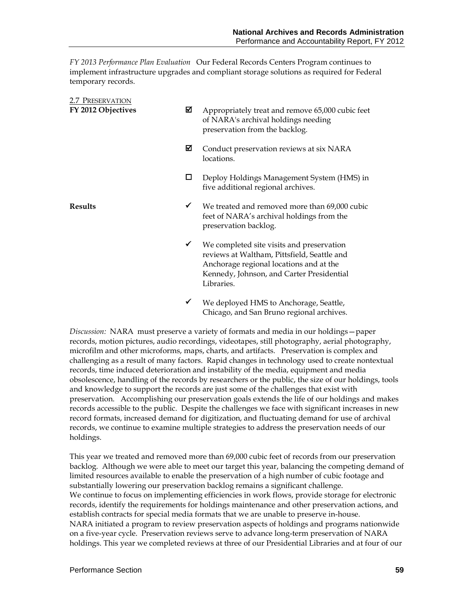*FY 2013 Performance Plan Evaluation*Our Federal Records Centers Program continues to implement infrastructure upgrades and compliant storage solutions as required for Federal temporary records.

| 2.7 PRESERVATION<br>FY 2012 Objectives | ⊠            | Appropriately treat and remove 65,000 cubic feet<br>of NARA's archival holdings needing<br>preservation from the backlog.                                                                      |
|----------------------------------------|--------------|------------------------------------------------------------------------------------------------------------------------------------------------------------------------------------------------|
|                                        | ☑            | Conduct preservation reviews at six NARA<br>locations.                                                                                                                                         |
|                                        | □            | Deploy Holdings Management System (HMS) in<br>five additional regional archives.                                                                                                               |
| <b>Results</b>                         | ✓            | We treated and removed more than 69,000 cubic<br>feet of NARA's archival holdings from the<br>preservation backlog.                                                                            |
|                                        | $\checkmark$ | We completed site visits and preservation<br>reviews at Waltham, Pittsfield, Seattle and<br>Anchorage regional locations and at the<br>Kennedy, Johnson, and Carter Presidential<br>Libraries. |
|                                        |              | We deployed HMS to Anchorage, Seattle,                                                                                                                                                         |

*Discussion:* NARA must preserve a variety of formats and media in our holdings—paper records, motion pictures, audio recordings, videotapes, still photography, aerial photography, microfilm and other microforms, maps, charts, and artifacts. Preservation is complex and challenging as a result of many factors. Rapid changes in technology used to create nontextual records, time induced deterioration and instability of the media, equipment and media obsolescence, handling of the records by researchers or the public, the size of our holdings, tools and knowledge to support the records are just some of the challenges that exist with preservation. Accomplishing our preservation goals extends the life of our holdings and makes records accessible to the public. Despite the challenges we face with significant increases in new record formats, increased demand for digitization, and fluctuating demand for use of archival records, we continue to examine multiple strategies to address the preservation needs of our holdings.

Chicago, and San Bruno regional archives.

This year we treated and removed more than 69,000 cubic feet of records from our preservation backlog. Although we were able to meet our target this year, balancing the competing demand of limited resources available to enable the preservation of a high number of cubic footage and substantially lowering our preservation backlog remains a significant challenge. We continue to focus on implementing efficiencies in work flows, provide storage for electronic records, identify the requirements for holdings maintenance and other preservation actions, and establish contracts for special media formats that we are unable to preserve in-house. NARA initiated a program to review preservation aspects of holdings and programs nationwide on a five-year cycle. Preservation reviews serve to advance long-term preservation of NARA holdings. This year we completed reviews at three of our Presidential Libraries and at four of our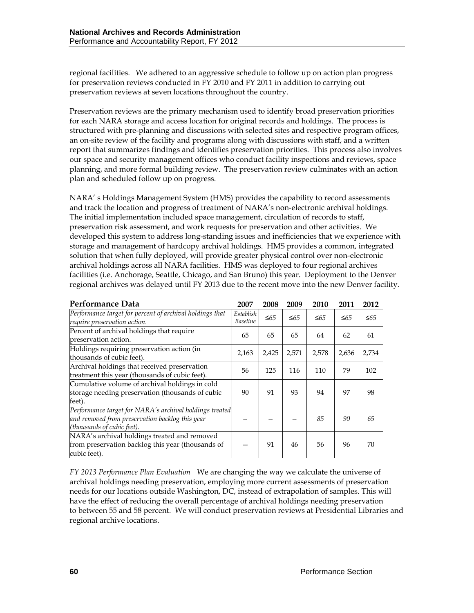regional facilities. We adhered to an aggressive schedule to follow up on action plan progress for preservation reviews conducted in FY 2010 and FY 2011 in addition to carrying out preservation reviews at seven locations throughout the country.

Preservation reviews are the primary mechanism used to identify broad preservation priorities for each NARA storage and access location for original records and holdings. The process is structured with pre-planning and discussions with selected sites and respective program offices, an on-site review of the facility and programs along with discussions with staff, and a written report that summarizes findings and identifies preservation priorities. This process also involves our space and security management offices who conduct facility inspections and reviews, space planning, and more formal building review. The preservation review culminates with an action plan and scheduled follow up on progress.

NARA' s Holdings Management System (HMS) provides the capability to record assessments and track the location and progress of treatment of NARA's non-electronic archival holdings. The initial implementation included space management, circulation of records to staff, preservation risk assessment, and work requests for preservation and other activities. We developed this system to address long-standing issues and inefficiencies that we experience with storage and management of hardcopy archival holdings. HMS provides a common, integrated solution that when fully deployed, will provide greater physical control over non-electronic archival holdings across all NARA facilities. HMS was deployed to four regional archives facilities (i.e. Anchorage, Seattle, Chicago, and San Bruno) this year. Deployment to the Denver regional archives was delayed until FY 2013 due to the recent move into the new Denver facility.

| Performance Data                                                                                                                         | 2007                         | 2008      | 2009      | 2010      | 2011      | 2012      |
|------------------------------------------------------------------------------------------------------------------------------------------|------------------------------|-----------|-----------|-----------|-----------|-----------|
| Performance target for percent of archival holdings that<br>require preservation action.                                                 | Establish<br><b>Baseline</b> | $\leq 65$ | $\leq 65$ | $\leq 65$ | $\leq 65$ | $\leq 65$ |
| Percent of archival holdings that require<br>preservation action.                                                                        | 65                           | 65        | 65        | 64        | 62        | 61        |
| Holdings requiring preservation action (in<br>thousands of cubic feet).                                                                  | 2,163                        | 2,425     | 2,571     | 2,578     | 2,636     | 2,734     |
| Archival holdings that received preservation<br>treatment this year (thousands of cubic feet).                                           | 56                           | 125       | 116       | 110       | 79        | 102       |
| Cumulative volume of archival holdings in cold<br>storage needing preservation (thousands of cubic<br>feet).                             | 90                           | 91        | 93        | 94        | 97        | 98        |
| Performance target for NARA's archival holdings treated<br>and removed from preservation backlog this year<br>(thousands of cubic feet). |                              |           |           | 85        | 90        | 65        |
| NARA's archival holdings treated and removed<br>from preservation backlog this year (thousands of<br>cubic feet).                        |                              | 91        | 46        | 56        | 96        | 70        |

*FY 2013 Performance Plan Evaluation*We are changing the way we calculate the universe of archival holdings needing preservation, employing more current assessments of preservation needs for our locations outside Washington, DC, instead of extrapolation of samples. This will have the effect of reducing the overall percentage of archival holdings needing preservation to between 55 and 58 percent. We will conduct preservation reviews at Presidential Libraries and regional archive locations.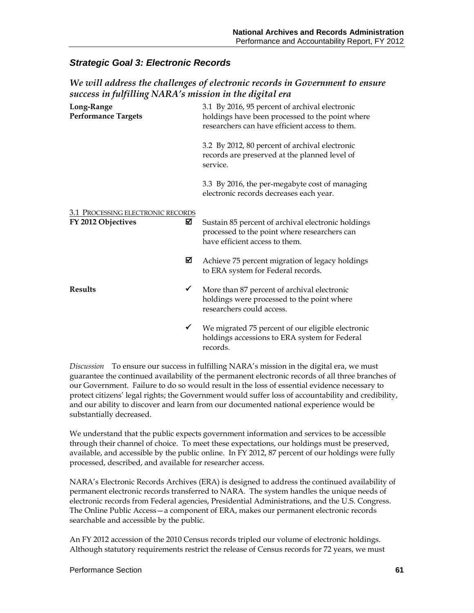### *Strategic Goal 3: Electronic Records*

### *We will address the challenges of electronic records in Government to ensure success in fulfilling NARA's mission in the digital era*

| Long-Range<br><b>Performance Targets</b>                     |  | 3.1 By 2016, 95 percent of archival electronic<br>holdings have been processed to the point where<br>researchers can have efficient access to them. |  |  |  |
|--------------------------------------------------------------|--|-----------------------------------------------------------------------------------------------------------------------------------------------------|--|--|--|
|                                                              |  | 3.2 By 2012, 80 percent of archival electronic<br>records are preserved at the planned level of<br>service.                                         |  |  |  |
|                                                              |  | 3.3 By 2016, the per-megabyte cost of managing<br>electronic records decreases each year.                                                           |  |  |  |
| 3.1 PROCESSING ELECTRONIC RECORDS<br>☑<br>FY 2012 Objectives |  | Sustain 85 percent of archival electronic holdings<br>processed to the point where researchers can<br>have efficient access to them.                |  |  |  |
| ⊠                                                            |  | Achieve 75 percent migration of legacy holdings<br>to ERA system for Federal records.                                                               |  |  |  |
| <b>Results</b><br>✔                                          |  | More than 87 percent of archival electronic<br>holdings were processed to the point where<br>researchers could access.                              |  |  |  |
| ✓                                                            |  | We migrated 75 percent of our eligible electronic<br>holdings accessions to ERA system for Federal<br>records.                                      |  |  |  |

*Discussion* To ensure our success in fulfilling NARA's mission in the digital era, we must guarantee the continued availability of the permanent electronic records of all three branches of our Government. Failure to do so would result in the loss of essential evidence necessary to protect citizens' legal rights; the Government would suffer loss of accountability and credibility, and our ability to discover and learn from our documented national experience would be substantially decreased.

We understand that the public expects government information and services to be accessible through their channel of choice. To meet these expectations, our holdings must be preserved, available, and accessible by the public online. In FY 2012, 87 percent of our holdings were fully processed, described, and available for researcher access.

NARA's Electronic Records Archives (ERA) is designed to address the continued availability of permanent electronic records transferred to NARA. The system handles the unique needs of electronic records from Federal agencies, Presidential Administrations, and the U.S. Congress. The Online Public Access—a component of ERA, makes our permanent electronic records searchable and accessible by the public.

An FY 2012 accession of the 2010 Census records tripled our volume of electronic holdings. Although statutory requirements restrict the release of Census records for 72 years, we must

#### Performance Section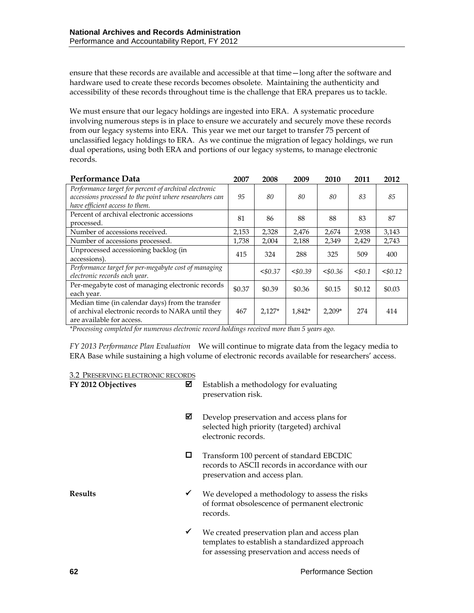ensure that these records are available and accessible at that time—long after the software and hardware used to create these records becomes obsolete. Maintaining the authenticity and accessibility of these records throughout time is the challenge that ERA prepares us to tackle.

We must ensure that our legacy holdings are ingested into ERA. A systematic procedure involving numerous steps is in place to ensure we accurately and securely move these records from our legacy systems into ERA. This year we met our target to transfer 75 percent of unclassified legacy holdings to ERA. As we continue the migration of legacy holdings, we run dual operations, using both ERA and portions of our legacy systems, to manage electronic records.

| Performance Data                                                                                                                                   | 2007   | 2008     | 2009   | 2010     | 2011   | 2012   |
|----------------------------------------------------------------------------------------------------------------------------------------------------|--------|----------|--------|----------|--------|--------|
| Performance target for percent of archival electronic<br>accessions processed to the point where researchers can<br>have efficient access to them. | 95     | 80       | 80     | 80       | 83     | 85     |
| Percent of archival electronic accessions<br>processed.                                                                                            | 81     | 86       | 88     | 88       | 83     | 87     |
| Number of accessions received.                                                                                                                     | 2.153  | 2,328    | 2,476  | 2,674    | 2,938  | 3,143  |
| Number of accessions processed.                                                                                                                    | 1,738  | 2,004    | 2,188  | 2,349    | 2,429  | 2,743  |
| Unprocessed accessioning backlog (in<br>accessions).                                                                                               | 415    | 324      | 288    | 325      | 509    | 400    |
| Performance target for per-megabyte cost of managing<br>electronic records each year.                                                              |        | < 0.37   | 50.39  | 50.36    | < 0.1  | 50.12  |
| Per-megabyte cost of managing electronic records<br>each year.                                                                                     | \$0.37 | \$0.39   | \$0.36 | \$0.15   | \$0.12 | \$0.03 |
| Median time (in calendar days) from the transfer<br>of archival electronic records to NARA until they<br>are available for access.                 | 467    | $2,127*$ | 1.842* | $2,209*$ | 274    | 414    |

*\*Processing completed for numerous electronic record holdings received more than 5 years ago.*

*FY 2013 Performance Plan Evaluation*We will continue to migrate data from the legacy media to ERA Base while sustaining a high volume of electronic records available for researchers' access.

| 3.2 PRESERVING ELECTRONIC RECORDS |
|-----------------------------------|
|-----------------------------------|

| FY 2012 Objectives | ☑ | Establish a methodology for evaluating<br>preservation risk.                                                                                     |
|--------------------|---|--------------------------------------------------------------------------------------------------------------------------------------------------|
|                    | ☑ | Develop preservation and access plans for<br>selected high priority (targeted) archival<br>electronic records.                                   |
|                    | □ | Transform 100 percent of standard EBCDIC<br>records to ASCII records in accordance with our<br>preservation and access plan.                     |
| <b>Results</b>     | ✔ | We developed a methodology to assess the risks<br>of format obsolescence of permanent electronic<br>records.                                     |
|                    | ✔ | We created preservation plan and access plan<br>templates to establish a standardized approach<br>for assessing preservation and access needs of |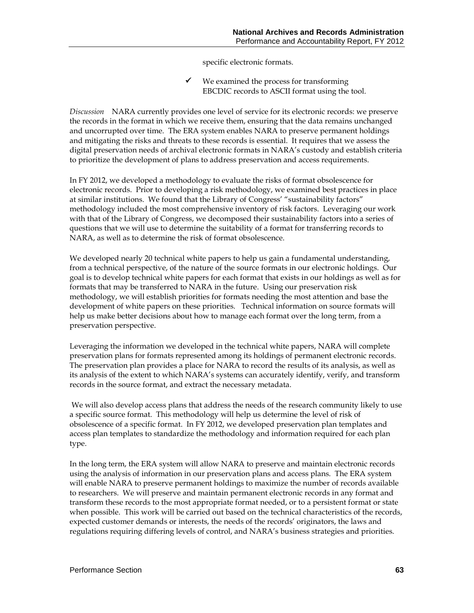specific electronic formats.

 $\checkmark$  We examined the process for transforming EBCDIC records to ASCII format using the tool.

*Discussion* NARA currently provides one level of service for its electronic records: we preserve the records in the format in which we receive them, ensuring that the data remains unchanged and uncorrupted over time. The ERA system enables NARA to preserve permanent holdings and mitigating the risks and threats to these records is essential. It requires that we assess the digital preservation needs of archival electronic formats in NARA's custody and establish criteria to prioritize the development of plans to address preservation and access requirements.

In FY 2012, we developed a methodology to evaluate the risks of format obsolescence for electronic records. Prior to developing a risk methodology, we examined best practices in place at similar institutions. We found that the Library of Congress' "sustainability factors" methodology included the most comprehensive inventory of risk factors. Leveraging our work with that of the Library of Congress, we decomposed their sustainability factors into a series of questions that we will use to determine the suitability of a format for transferring records to NARA, as well as to determine the risk of format obsolescence.

We developed nearly 20 technical white papers to help us gain a fundamental understanding, from a technical perspective, of the nature of the source formats in our electronic holdings. Our goal is to develop technical white papers for each format that exists in our holdings as well as for formats that may be transferred to NARA in the future. Using our preservation risk methodology, we will establish priorities for formats needing the most attention and base the development of white papers on these priorities. Technical information on source formats will help us make better decisions about how to manage each format over the long term, from a preservation perspective.

Leveraging the information we developed in the technical white papers, NARA will complete preservation plans for formats represented among its holdings of permanent electronic records. The preservation plan provides a place for NARA to record the results of its analysis, as well as its analysis of the extent to which NARA's systems can accurately identify, verify, and transform records in the source format, and extract the necessary metadata.

We will also develop access plans that address the needs of the research community likely to use a specific source format. This methodology will help us determine the level of risk of obsolescence of a specific format. In FY 2012, we developed preservation plan templates and access plan templates to standardize the methodology and information required for each plan type.

In the long term, the ERA system will allow NARA to preserve and maintain electronic records using the analysis of information in our preservation plans and access plans. The ERA system will enable NARA to preserve permanent holdings to maximize the number of records available to researchers. We will preserve and maintain permanent electronic records in any format and transform these records to the most appropriate format needed, or to a persistent format or state when possible. This work will be carried out based on the technical characteristics of the records, expected customer demands or interests, the needs of the records' originators, the laws and regulations requiring differing levels of control, and NARA's business strategies and priorities.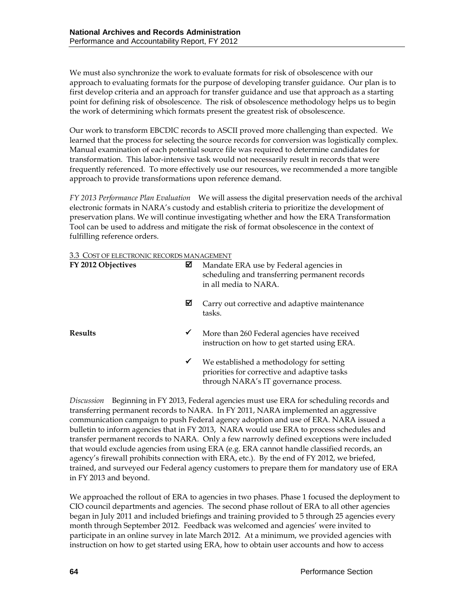We must also synchronize the work to evaluate formats for risk of obsolescence with our approach to evaluating formats for the purpose of developing transfer guidance. Our plan is to first develop criteria and an approach for transfer guidance and use that approach as a starting point for defining risk of obsolescence. The risk of obsolescence methodology helps us to begin the work of determining which formats present the greatest risk of obsolescence.

Our work to transform EBCDIC records to ASCII proved more challenging than expected. We learned that the process for selecting the source records for conversion was logistically complex. Manual examination of each potential source file was required to determine candidates for transformation. This labor-intensive task would not necessarily result in records that were frequently referenced. To more effectively use our resources, we recommended a more tangible approach to provide transformations upon reference demand.

*FY 2013 Performance Plan Evaluation*We will assess the digital preservation needs of the archival electronic formats in NARA's custody and establish criteria to prioritize the development of preservation plans. We will continue investigating whether and how the ERA Transformation Tool can be used to address and mitigate the risk of format obsolescence in the context of fulfilling reference orders.

#### 3.3 COST OF ELECTRONIC RECORDS MANAGEMENT

| FY 2012 Objectives | ☑ | Mandate ERA use by Federal agencies in<br>scheduling and transferring permanent records<br>in all media to NARA.                  |
|--------------------|---|-----------------------------------------------------------------------------------------------------------------------------------|
|                    | ⊠ | Carry out corrective and adaptive maintenance<br>tasks.                                                                           |
| <b>Results</b>     | ✔ | More than 260 Federal agencies have received<br>instruction on how to get started using ERA.                                      |
|                    | ✔ | We established a methodology for setting<br>priorities for corrective and adaptive tasks<br>through NARA's IT governance process. |

*Discussion* Beginning in FY 2013, Federal agencies must use ERA for scheduling records and transferring permanent records to NARA. In FY 2011, NARA implemented an aggressive communication campaign to push Federal agency adoption and use of ERA. NARA issued a bulletin to inform agencies that in FY 2013, NARA would use ERA to process schedules and transfer permanent records to NARA. Only a few narrowly defined exceptions were included that would exclude agencies from using ERA (e.g. ERA cannot handle classified records, an agency's firewall prohibits connection with ERA, etc.). By the end of FY 2012, we briefed, trained, and surveyed our Federal agency customers to prepare them for mandatory use of ERA in FY 2013 and beyond.

We approached the rollout of ERA to agencies in two phases. Phase 1 focused the deployment to CIO council departments and agencies. The second phase rollout of ERA to all other agencies began in July 2011 and included briefings and training provided to 5 through 25 agencies every month through September 2012. Feedback was welcomed and agencies' were invited to participate in an online survey in late March 2012. At a minimum, we provided agencies with instruction on how to get started using ERA, how to obtain user accounts and how to access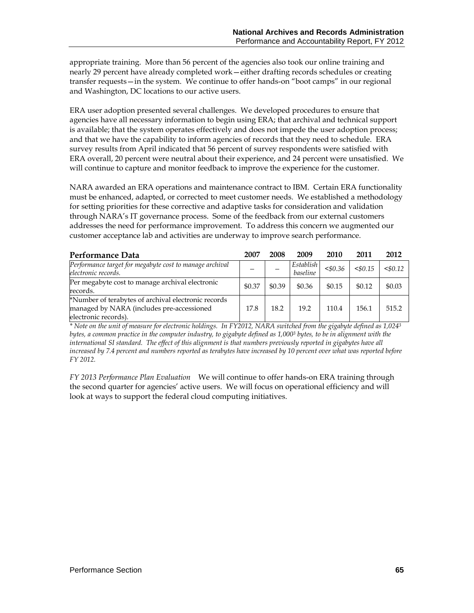appropriate training. More than 56 percent of the agencies also took our online training and nearly 29 percent have already completed work—either drafting records schedules or creating transfer requests—in the system. We continue to offer hands-on "boot camps" in our regional and Washington, DC locations to our active users.

ERA user adoption presented several challenges. We developed procedures to ensure that agencies have all necessary information to begin using ERA; that archival and technical support is available; that the system operates effectively and does not impede the user adoption process; and that we have the capability to inform agencies of records that they need to schedule. ERA survey results from April indicated that 56 percent of survey respondents were satisfied with ERA overall, 20 percent were neutral about their experience, and 24 percent were unsatisfied. We will continue to capture and monitor feedback to improve the experience for the customer.

NARA awarded an ERA operations and maintenance contract to IBM. Certain ERA functionality must be enhanced, adapted, or corrected to meet customer needs. We established a methodology for setting priorities for these corrective and adaptive tasks for consideration and validation through NARA's IT governance process. Some of the feedback from our external customers addresses the need for performance improvement. To address this concern we augmented our customer acceptance lab and activities are underway to improve search performance.

| Performance Data                                                                                                         | 2007   | 2008   | 2009                  | 2010       | 2011   | 2012   |
|--------------------------------------------------------------------------------------------------------------------------|--------|--------|-----------------------|------------|--------|--------|
| Performance target for megabyte cost to manage archival<br>electronic records.                                           |        |        | Establish<br>baseline | $<$ \$0.36 | 50.15  | 50.12  |
| Per megabyte cost to manage archival electronic<br>records.                                                              | \$0.37 | \$0.39 | \$0.36                | \$0.15     | \$0.12 | \$0.03 |
| *Number of terabytes of archival electronic records<br>managed by NARA (includes pre-accessioned<br>electronic records). | 17.8   | 18.2   | 19.2                  | 110.4      | 156.1  | 515.2  |

*\* Note on the unit of measure for electronic holdings. In FY2012, NARA switched from the gigabyte defined as 1,0243 bytes, a common practice in the computer industry, to gigabyte defined as 1,0003 bytes, to be in alignment with the international SI standard. The effect of this alignment is that numbers previously reported in gigabytes have all increased by 7.4 percent and numbers reported as terabytes have increased by 10 percent over what was reported before FY 2012.*

*FY 2013 Performance Plan Evaluation*We will continue to offer hands-on ERA training through the second quarter for agencies' active users. We will focus on operational efficiency and will look at ways to support the federal cloud computing initiatives.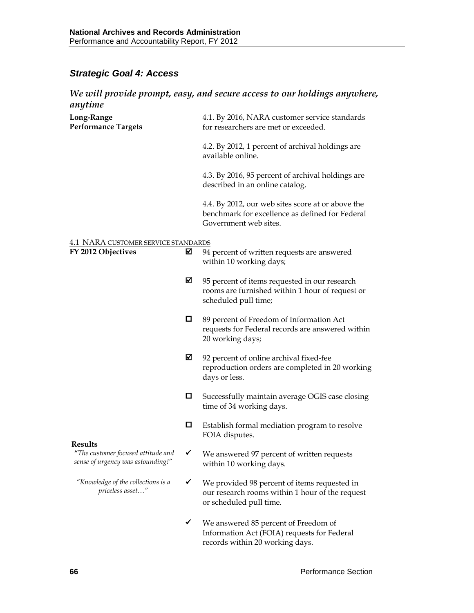## *Strategic Goal 4: Access*

## *We will provide prompt, easy, and secure access to our holdings anywhere,*  **anytime**

| unyume                                                    |   |                                                                                                                               |
|-----------------------------------------------------------|---|-------------------------------------------------------------------------------------------------------------------------------|
| Long-Range<br><b>Performance Targets</b>                  |   | 4.1. By 2016, NARA customer service standards<br>for researchers are met or exceeded.                                         |
|                                                           |   | 4.2. By 2012, 1 percent of archival holdings are<br>available online.                                                         |
|                                                           |   | 4.3. By 2016, 95 percent of archival holdings are<br>described in an online catalog.                                          |
|                                                           |   | 4.4. By 2012, our web sites score at or above the<br>benchmark for excellence as defined for Federal<br>Government web sites. |
|                                                           |   |                                                                                                                               |
| 4.1 NARA CUSTOMER SERVICE STANDARDS<br>FY 2012 Objectives | ⊠ | 94 percent of written requests are answered<br>within 10 working days;                                                        |
|                                                           | ⊠ | 95 percent of items requested in our research<br>rooms are furnished within 1 hour of request or<br>scheduled pull time;      |
|                                                           | 0 | 89 percent of Freedom of Information Act<br>requests for Federal records are answered within<br>20 working days;              |
|                                                           | ☑ | 92 percent of online archival fixed-fee<br>reproduction orders are completed in 20 working<br>days or less.                   |
|                                                           | 0 | Successfully maintain average OGIS case closing<br>time of 34 working days.                                                   |
|                                                           | 0 | Establish formal mediation program to resolve<br>FOIA disputes.                                                               |
| <b>Results</b><br>sense of urgency was astounding!"       |   | "The customer focused attitude and $\checkmark$ We answered 97 percent of written requests<br>within 10 working days.         |
| "Knowledge of the collections is a<br>priceless asset"    |   | We provided 98 percent of items requested in<br>our research rooms within 1 hour of the request<br>or scheduled pull time.    |
|                                                           | ✓ | We answered 85 percent of Freedom of<br>Information Act (FOIA) requests for Federal<br>records within 20 working days.        |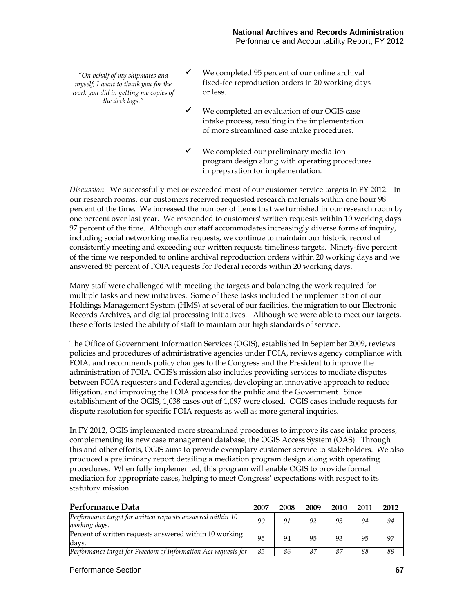*"On behalf of my shipmates and myself, I want to thank you for the work you did in getting me copies of the deck logs."*

- $\checkmark$  We completed 95 percent of our online archival fixed-fee reproduction orders in 20 working days or less.
- $\checkmark$  We completed an evaluation of our OGIS case intake process, resulting in the implementation of more streamlined case intake procedures.
- We completed our preliminary mediation program design along with operating procedures in preparation for implementation.

*Discussion* We successfully met or exceeded most of our customer service targets in FY 2012. In our research rooms, our customers received requested research materials within one hour 98 percent of the time. We increased the number of items that we furnished in our research room by one percent over last year. We responded to customers' written requests within 10 working days 97 percent of the time. Although our staff accommodates increasingly diverse forms of inquiry, including social networking media requests, we continue to maintain our historic record of consistently meeting and exceeding our written requests timeliness targets. Ninety-five percent of the time we responded to online archival reproduction orders within 20 working days and we answered 85 percent of FOIA requests for Federal records within 20 working days.

Many staff were challenged with meeting the targets and balancing the work required for multiple tasks and new initiatives. Some of these tasks included the implementation of our Holdings Management System (HMS) at several of our facilities, the migration to our Electronic Records Archives, and digital processing initiatives. Although we were able to meet our targets, these efforts tested the ability of staff to maintain our high standards of service.

The Office of Government Information Services (OGIS), established in September 2009, reviews policies and procedures of administrative agencies under FOIA, reviews agency compliance with FOIA, and recommends policy changes to the Congress and the President to improve the administration of FOIA. OGIS's mission also includes providing services to mediate disputes between FOIA requesters and Federal agencies, developing an innovative approach to reduce litigation, and improving the FOIA process for the public and the Government. Since establishment of the OGIS, 1,038 cases out of 1,097 were closed. OGIS cases include requests for dispute resolution for specific FOIA requests as well as more general inquiries.

In FY 2012, OGIS implemented more streamlined procedures to improve its case intake process, complementing its new case management database, the OGIS Access System (OAS). Through this and other efforts, OGIS aims to provide exemplary customer service to stakeholders. We also produced a preliminary report detailing a mediation program design along with operating procedures. When fully implemented, this program will enable OGIS to provide formal mediation for appropriate cases, helping to meet Congress' expectations with respect to its statutory mission.

| Performance Data                                                            | 2007 | 2008 | 2009 | 2010 | 2011 | 2012 |
|-----------------------------------------------------------------------------|------|------|------|------|------|------|
| Performance target for written requests answered within 10<br>working days. | 90   | 91   | 92   | 93   | 94   | 94   |
| Percent of written requests answered within 10 working<br>davs.             | 95   | 94   | 95   | 93   | 95   | 97   |
| Performance target for Freedom of Information Act requests for              | 85   | 86   | 87   | -87  | 88   | 89   |

#### Performance Section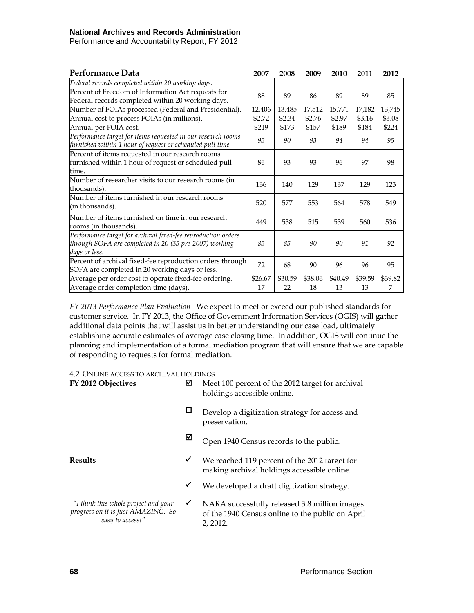| Performance Data                                                                                                                         | 2007    | 2008    | 2009    | 2010    | 2011    | 2012    |
|------------------------------------------------------------------------------------------------------------------------------------------|---------|---------|---------|---------|---------|---------|
| Federal records completed within 20 working days.                                                                                        |         |         |         |         |         |         |
| Percent of Freedom of Information Act requests for<br>Federal records completed within 20 working days.                                  | 88      | 89      | 86      | 89      | 89      | 85      |
| Number of FOIAs processed (Federal and Presidential).                                                                                    | 12,406  | 13,485  | 17,512  | 15,771  | 17,182  | 13,745  |
| Annual cost to process FOIAs (in millions).                                                                                              | \$2.72  | \$2.34  | \$2.76  | \$2.97  | \$3.16  | \$3.08  |
| Annual per FOIA cost.                                                                                                                    | \$219   | \$173   | \$157   | \$189   | \$184   | \$224   |
| Performance target for items requested in our research rooms<br>furnished within 1 hour of request or scheduled pull time.               | 95      | 90      | 93      | 94      | 94      | 95      |
| Percent of items requested in our research rooms<br>furnished within 1 hour of request or scheduled pull<br>time.                        | 86      | 93      | 93      | 96      | 97      | 98      |
| Number of researcher visits to our research rooms (in<br>thousands).                                                                     | 136     | 140     | 129     | 137     | 129     | 123     |
| Number of items furnished in our research rooms<br>(in thousands).                                                                       | 520     | 577     | 553     | 564     | 578     | 549     |
| Number of items furnished on time in our research<br>rooms (in thousands).                                                               | 449     | 538     | 515     | 539     | 560     | 536     |
| Performance target for archival fixed-fee reproduction orders<br>through SOFA are completed in 20 (35 pre-2007) working<br>days or less. | 85      | 85      | 90      | 90      | 91      | 92      |
| Percent of archival fixed-fee reproduction orders through<br>SOFA are completed in 20 working days or less.                              | 72      | 68      | 90      | 96      | 96      | 95      |
| Average per order cost to operate fixed-fee ordering.                                                                                    | \$26.67 | \$30.59 | \$38.06 | \$40.49 | \$39.59 | \$39.82 |
| Average order completion time (days).                                                                                                    | 17      | 22      | 18      | 13      | 13      | 7       |

*FY 2013 Performance Plan Evaluation*We expect to meet or exceed our published standards for customer service. In FY 2013, the Office of Government Information Services (OGIS) will gather additional data points that will assist us in better understanding our case load, ultimately establishing accurate estimates of average case closing time. In addition, OGIS will continue the planning and implementation of a formal mediation program that will ensure that we are capable of responding to requests for formal mediation.

#### 4.2 ONLINE ACCESS TO ARCHIVAL HOLDINGS

| FY 2012 Objectives                                                                             | ☑            | Meet 100 percent of the 2012 target for archival<br>holdings accessible online.                               |
|------------------------------------------------------------------------------------------------|--------------|---------------------------------------------------------------------------------------------------------------|
|                                                                                                | □            | Develop a digitization strategy for access and<br>preservation.                                               |
|                                                                                                | ⊠            | Open 1940 Census records to the public.                                                                       |
| <b>Results</b>                                                                                 | ✔            | We reached 119 percent of the 2012 target for<br>making archival holdings accessible online.                  |
|                                                                                                | $\checkmark$ | We developed a draft digitization strategy.                                                                   |
| "I think this whole project and your<br>progress on it is just AMAZING. So<br>easy to access!" | ✔            | NARA successfully released 3.8 million images<br>of the 1940 Census online to the public on April<br>2, 2012. |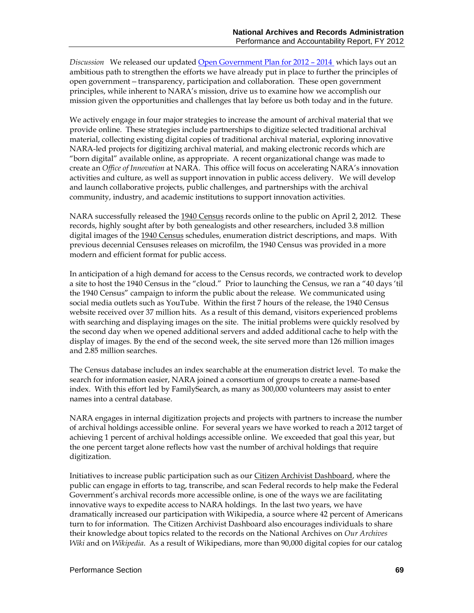*Discussion* We released our updated [Open Government Plan for 2012 –](http://www.archives.gov/open/open-plan.html) 2014 which lays out an ambitious path to strengthen the efforts we have already put in place to further the principles of open government*—*transparency, participation and collaboration. These open government principles, while inherent to NARA's mission, drive us to examine how we accomplish our mission given the opportunities and challenges that lay before us both today and in the future.

We actively engage in four major strategies to increase the amount of archival material that we provide online. These strategies include partnerships to digitize selected traditional archival material, collecting existing digital copies of traditional archival material, exploring innovative NARA-led projects for digitizing archival material, and making electronic records which are "born digital" available online, as appropriate. A recent organizational change was made to create an *Office of Innovation* at NARA. This office will focus on accelerating NARA's innovation activities and culture, as well as support innovation in public access delivery. We will develop and launch collaborative projects, public challenges, and partnerships with the archival community, industry, and academic institutions to support innovation activities.

NARA successfully released the [1940 Census](http://www.archives.gov/research/census/1940/) records online to the public on April 2, 2012. These records, highly sought after by both genealogists and other researchers, included 3.8 million digital images of the [1940 Census](http://www.archives.gov/research/census/1940/) schedules, enumeration district descriptions, and maps. With previous decennial Censuses releases on microfilm, the 1940 Census was provided in a more modern and efficient format for public access.

In anticipation of a high demand for access to the Census records, we contracted work to develop a site to host the 1940 Census in the "cloud." Prior to launching the Census, we ran a "40 days 'til the 1940 Census" campaign to inform the public about the release. We communicated using social media outlets such as YouTube. Within the first 7 hours of the release, the 1940 Census website received over 37 million hits. As a result of this demand, visitors experienced problems with searching and displaying images on the site. The initial problems were quickly resolved by the second day when we opened additional servers and added additional cache to help with the display of images. By the end of the second week, the site served more than 126 million images and 2.85 million searches.

The Census database includes an index searchable at the enumeration district level. To make the search for information easier, NARA joined a consortium of groups to create a name-based index. With this effort led by FamilySearch, as many as 300,000 volunteers may assist to enter names into a central database.

NARA engages in internal digitization projects and projects with partners to increase the number of archival holdings accessible online. For several years we have worked to reach a 2012 target of achieving 1 percent of archival holdings accessible online. We exceeded that goal this year, but the one percent target alone reflects how vast the number of archival holdings that require digitization.

Initiatives to increase public participation such as our [Citizen Archivist Dashboard,](http://www.archives.gov/citizen-archivist/) where the public can engage in efforts to tag, transcribe, and scan Federal records to help make the Federal Government's archival records more accessible online, is one of the ways we are facilitating innovative ways to expedite access to NARA holdings. In the last two years, we have dramatically increased our participation with Wikipedia, a source where 42 percent of Americans turn to for information. The Citizen Archivist Dashboard also encourages individuals to share their knowledge about topics related to the records on the National Archives on *Our Archives Wiki* and on *Wikipedia*. As a result of Wikipedians, more than 90,000 digital copies for our catalog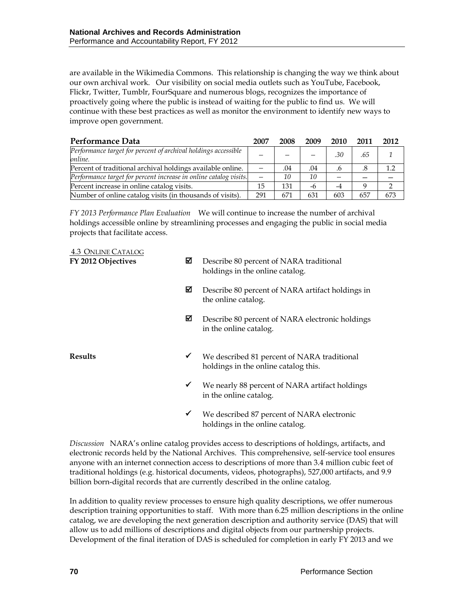are available in the Wikimedia Commons. This relationship is changing the way we think about our own archival work. Our visibility on social media outlets such as YouTube, Facebook, Flickr, Twitter, Tumblr, FourSquare and numerous blogs, recognizes the importance of proactively going where the public is instead of waiting for the public to find us. We will continue with these best practices as well as monitor the environment to identify new ways to improve open government.

| Performance Data                                                          | 2007 | 2008 | 2009 | 2010 | 2011 | 2012 |
|---------------------------------------------------------------------------|------|------|------|------|------|------|
| Performance target for percent of archival holdings accessible<br>online. |      |      |      | .30  | .65  |      |
| Percent of traditional archival holdings available online.                |      | .04  | .04  | .6   |      |      |
| Performance target for percent increase in online catalog visits.         |      | 10   | 10   |      |      |      |
| Percent increase in online catalog visits.                                | 15   | 131  | -6   | -4   |      |      |
| Number of online catalog visits (in thousands of visits).                 | 291  | 671  | 631  | 603  | 657  | 673  |

*FY 2013 Performance Plan Evaluation*We will continue to increase the number of archival holdings accessible online by streamlining processes and engaging the public in social media projects that facilitate access.

4.3 ONLINE CATALOG

| FY 2012 Objectives | ⊠            | Describe 80 percent of NARA traditional<br>holdings in the online catalog.          |
|--------------------|--------------|-------------------------------------------------------------------------------------|
|                    | ⊠            | Describe 80 percent of NARA artifact holdings in<br>the online catalog.             |
|                    | ⊠            | Describe 80 percent of NARA electronic holdings<br>in the online catalog.           |
| <b>Results</b>     | $\checkmark$ | We described 81 percent of NARA traditional<br>holdings in the online catalog this. |
|                    | $\checkmark$ | We nearly 88 percent of NARA artifact holdings<br>in the online catalog.            |
|                    | ✔            | We described 87 percent of NARA electronic<br>holdings in the online catalog.       |

*Discussion* NARA's online catalog provides access to descriptions of holdings, artifacts, and electronic records held by the National Archives. This comprehensive, self-service tool ensures anyone with an internet connection access to descriptions of more than 3.4 million cubic feet of traditional holdings (e.g. historical documents, videos, photographs), 527,000 artifacts, and 9.9 billion born-digital records that are currently described in the online catalog.

In addition to quality review processes to ensure high quality descriptions, we offer numerous description training opportunities to staff. With more than 6.25 million descriptions in the online catalog, we are developing the next generation description and authority service (DAS) that will allow us to add millions of descriptions and digital objects from our partnership projects. Development of the final iteration of DAS is scheduled for completion in early FY 2013 and we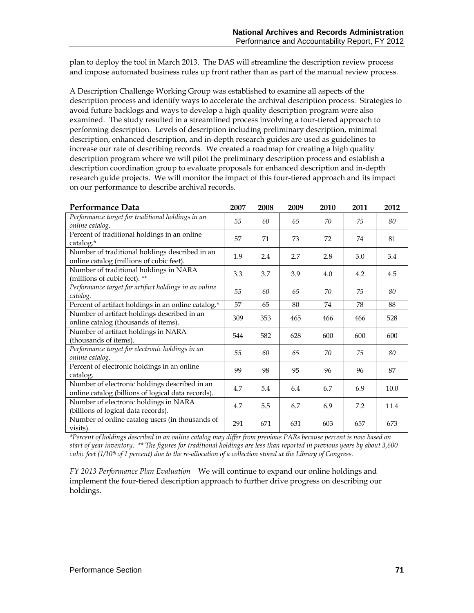plan to deploy the tool in March 2013. The DAS will streamline the description review process and impose automated business rules up front rather than as part of the manual review process.

A Description Challenge Working Group was established to examine all aspects of the description process and identify ways to accelerate the archival description process. Strategies to avoid future backlogs and ways to develop a high quality description program were also examined. The study resulted in a streamlined process involving a four-tiered approach to performing description. Levels of description including preliminary description, minimal description, enhanced description, and in-depth research guides are used as guidelines to increase our rate of describing records. We created a roadmap for creating a high quality description program where we will pilot the preliminary description process and establish a description coordination group to evaluate proposals for enhanced description and in-depth research guide projects. We will monitor the impact of this four-tiered approach and its impact on our performance to describe archival records.

| Performance Data                                                                                    | 2007 | 2008 | 2009 | 2010 | 2011 | 2012 |
|-----------------------------------------------------------------------------------------------------|------|------|------|------|------|------|
| Performance target for traditional holdings in an<br>online catalog.                                | 55   | 60   | 65   | 70   | 75   | 80   |
| Percent of traditional holdings in an online<br>catalog.*                                           | 57   | 71   | 73   | 72   | 74   | 81   |
| Number of traditional holdings described in an<br>online catalog (millions of cubic feet).          | 1.9  | 2.4  | 2.7  | 2.8  | 3.0  | 3.4  |
| Number of traditional holdings in NARA<br>(millions of cubic feet). **                              | 3.3  | 3.7  | 3.9  | 4.0  | 4.2  | 4.5  |
| Performance target for artifact holdings in an online<br>catalog.                                   | 55   | 60   | 65   | 70   | 75   | 80   |
| Percent of artifact holdings in an online catalog.*                                                 | 57   | 65   | 80   | 74   | 78   | 88   |
| Number of artifact holdings described in an<br>online catalog (thousands of items).                 | 309  | 353  | 465  | 466  | 466  | 528  |
| Number of artifact holdings in NARA<br>(thousands of items).                                        | 544  | 582  | 628  | 600  | 600  | 600  |
| Performance target for electronic holdings in an<br>online catalog.                                 | 55   | 60   | 65   | 70   | 75   | 80   |
| Percent of electronic holdings in an online<br>catalog.                                             | 99   | 98   | 95   | 96   | 96   | 87   |
| Number of electronic holdings described in an<br>online catalog (billions of logical data records). | 4.7  | 5.4  | 6.4  | 6.7  | 6.9  | 10.0 |
| Number of electronic holdings in NARA<br>(billions of logical data records).                        | 4.7  | 5.5  | 6.7  | 6.9  | 7.2  | 11.4 |
| Number of online catalog users (in thousands of<br>visits).                                         | 291  | 671  | 631  | 603  | 657  | 673  |

*\*Percent of holdings described in an online catalog may differ from previous PARs because percent is now based on start of year inventory. \*\* The figures for traditional holdings are less than reported in previous years by about 3,600 cubic feet (1/10th of 1 percent) due to the re-allocation of a collection stored at the Library of Congress.*

*FY 2013 Performance Plan Evaluation*We will continue to expand our online holdings and implement the four-tiered description approach to further drive progress on describing our holdings.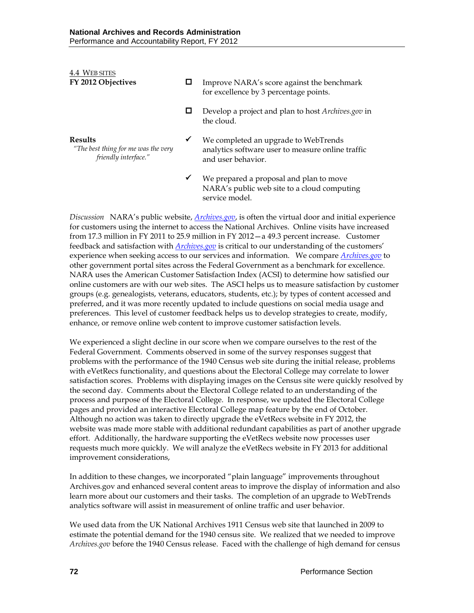| 4.4 WEB SITES<br>FY 2012 Objectives                                           |   | Improve NARA's score against the benchmark<br>for excellence by 3 percentage points.                            |
|-------------------------------------------------------------------------------|---|-----------------------------------------------------------------------------------------------------------------|
|                                                                               |   | Develop a project and plan to host Archives.gov in<br>the cloud.                                                |
| <b>Results</b><br>"The best thing for me was the very<br>friendly interface." | ✔ | We completed an upgrade to WebTrends<br>analytics software user to measure online traffic<br>and user behavior. |
|                                                                               | ✔ | We prepared a proposal and plan to move<br>NARA's public web site to a cloud computing<br>service model         |

*Discussion* NARA's public website, *[Archives.gov](http://www.archives.gov/)*, is often the virtual door and initial experience for customers using the internet to access the National Archives. Online visits have increased from 17.3 million in FY 2011 to 25.9 million in FY 2012—a 49.3 percent increase. Customer feedback and satisfaction with *[Archives.gov](http://www.archives.gov/)* is critical to our understanding of the customers' experience when seeking access to our services and information. We compare *[Archives.gov](http://www.archives.gov/)* to other government portal sites across the Federal Government as a benchmark for excellence. NARA uses the American Customer Satisfaction Index (ACSI) to determine how satisfied our online customers are with our web sites. The ASCI helps us to measure satisfaction by customer groups (e.g. genealogists, veterans, educators, students, etc.); by types of content accessed and preferred, and it was more recently updated to include questions on social media usage and preferences. This level of customer feedback helps us to develop strategies to create, modify, enhance, or remove online web content to improve customer satisfaction levels.

We experienced a slight decline in our score when we compare ourselves to the rest of the Federal Government. Comments observed in some of the survey responses suggest that problems with the performance of the 1940 Census web site during the initial release, problems with eVetRecs functionality, and questions about the Electoral College may correlate to lower satisfaction scores. Problems with displaying images on the Census site were quickly resolved by the second day. Comments about the Electoral College related to an understanding of the process and purpose of the Electoral College. In response, we updated the Electoral College pages and provided an interactive Electoral College map feature by the end of October. Although no action was taken to directly upgrade the eVetRecs website in FY 2012, the website was made more stable with additional redundant capabilities as part of another upgrade effort. Additionally, the hardware supporting the eVetRecs website now processes user requests much more quickly. We will analyze the eVetRecs website in FY 2013 for additional improvement considerations,

In addition to these changes, we incorporated "plain language" improvements throughout Archives.gov and enhanced several content areas to improve the display of information and also learn more about our customers and their tasks. The completion of an upgrade to WebTrends analytics software will assist in measurement of online traffic and user behavior.

We used data from the UK National Archives 1911 Census web site that launched in 2009 to estimate the potential demand for the 1940 census site. We realized that we needed to improve *Archives.gov* before the 1940 Census release. Faced with the challenge of high demand for census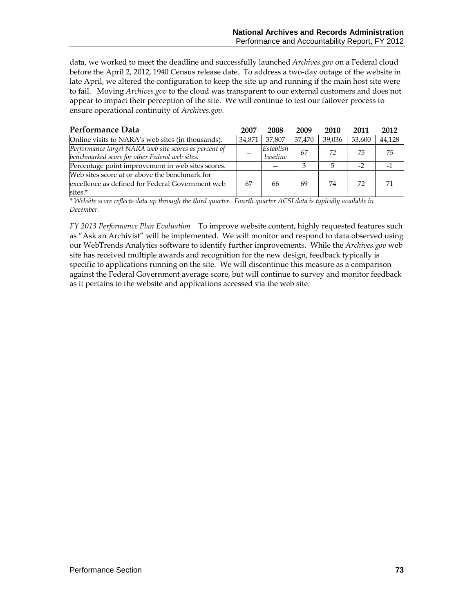data, we worked to meet the deadline and successfully launched *Archives.gov* on a Federal cloud before the April 2, 2012, 1940 Census release date. To address a two-day outage of the website in late April, we altered the configuration to keep the site up and running if the main host site were to fail. Moving *Archives.gov* to the cloud was transparent to our external customers and does not appear to impact their perception of the site. We will continue to test our failover process to ensure operational continuity of *Archives.gov.*

| Performance Data                                                                                             | 2007   | 2008                  | 2009   | 2010   | 2011   | 2012   |
|--------------------------------------------------------------------------------------------------------------|--------|-----------------------|--------|--------|--------|--------|
| Online visits to NARA's web sites (in thousands).                                                            | 34.871 | 37,807                | 37.470 | 39.036 | 33.600 | 44,128 |
| Performance target NARA web site scores as percent of<br>benchmarked score for other Federal web sites.      |        | Establish<br>baseline | 67     | 72     | 75     | 75     |
| Percentage point improvement in web sites scores.                                                            |        |                       |        |        | $-2$   |        |
| Web sites score at or above the benchmark for<br>excellence as defined for Federal Government web<br>sites.* | 67     | 66                    | 69     | 74     | 72     |        |

*\* Website score reflects data up through the third quarter. Fourth quarter ACSI data is typically available in December.*

*FY 2013 Performance Plan Evaluation* To improve website content, highly requested features such as "Ask an Archivist" will be implemented. We will monitor and respond to data observed using our WebTrends Analytics software to identify further improvements. While the *Archives.gov* web site has received multiple awards and recognition for the new design, feedback typically is specific to applications running on the site. We will discontinue this measure as a comparison against the Federal Government average score, but will continue to survey and monitor feedback as it pertains to the website and applications accessed via the web site.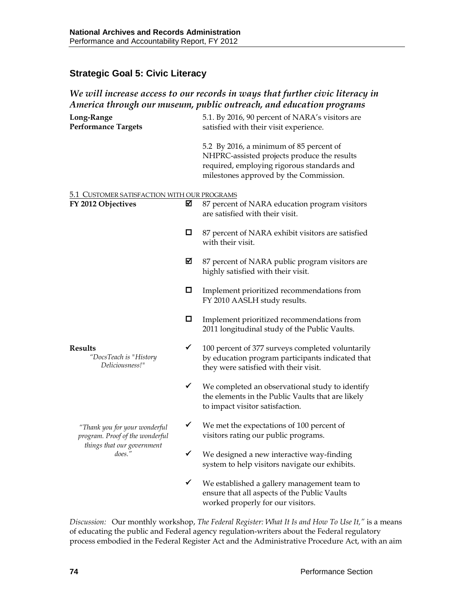## **Strategic Goal 5: Civic Literacy**

### *We will increase access to our records in ways that further civic literacy in America through our museum, public outreach, and education programs*

| Long-Range<br><b>Performance Targets</b>                          |   | 5.1. By 2016, 90 percent of NARA's visitors are<br>satisfied with their visit experience.                                                                                      |
|-------------------------------------------------------------------|---|--------------------------------------------------------------------------------------------------------------------------------------------------------------------------------|
|                                                                   |   | 5.2 By 2016, a minimum of 85 percent of<br>NHPRC-assisted projects produce the results<br>required, employing rigorous standards and<br>milestones approved by the Commission. |
|                                                                   |   |                                                                                                                                                                                |
| 5.1 CUSTOMER SATISFACTION WITH OUR PROGRAMS<br>FY 2012 Objectives | ⊠ | 87 percent of NARA education program visitors<br>are satisfied with their visit.                                                                                               |
|                                                                   | □ | 87 percent of NARA exhibit visitors are satisfied<br>with their visit.                                                                                                         |
|                                                                   | ⊠ | 87 percent of NARA public program visitors are<br>highly satisfied with their visit.                                                                                           |
|                                                                   | ◻ | Implement prioritized recommendations from<br>FY 2010 AASLH study results.                                                                                                     |
|                                                                   | O | Implement prioritized recommendations from<br>2011 longitudinal study of the Public Vaults.                                                                                    |
| <b>Results</b><br>"DocsTeach is "History<br>Deliciousness!"       | ✔ | 100 percent of 377 surveys completed voluntarily<br>by education program participants indicated that<br>they were satisfied with their visit.                                  |
|                                                                   | ✓ | We completed an observational study to identify<br>the elements in the Public Vaults that are likely<br>to impact visitor satisfaction.                                        |
| "Thank you for your wonderful<br>program. Proof of the wonderful  | ✔ | We met the expectations of 100 percent of<br>visitors rating our public programs.                                                                                              |
| things that our government<br>does."                              | ✓ | We designed a new interactive way-finding<br>system to help visitors navigate our exhibits.                                                                                    |
|                                                                   | ✓ | We established a gallery management team to<br>ensure that all aspects of the Public Vaults<br>worked properly for our visitors.                                               |

*Discussion:* Our monthly workshop, *The Federal Register: What It Is and How To Use It,"* is a means of educating the public and Federal agency regulation-writers about the Federal regulatory process embodied in the Federal Register Act and the Administrative Procedure Act, with an aim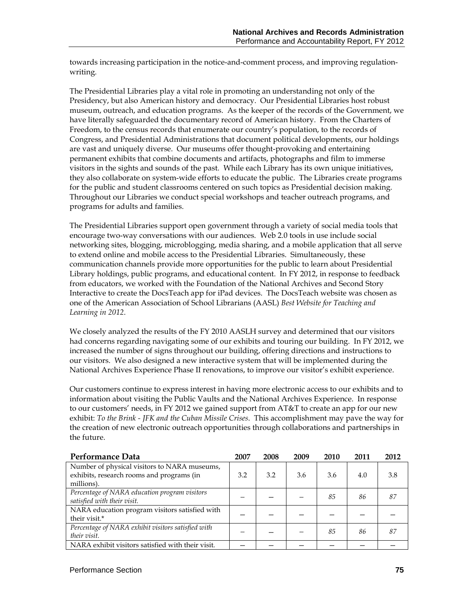towards increasing participation in the notice-and-comment process, and improving regulationwriting.

The Presidential Libraries play a vital role in promoting an understanding not only of the Presidency, but also American history and democracy. Our Presidential Libraries host robust museum, outreach, and education programs. As the keeper of the records of the Government, we have literally safeguarded the documentary record of American history. From the Charters of Freedom, to the census records that enumerate our country's population, to the records of Congress, and Presidential Administrations that document political developments, our holdings are vast and uniquely diverse. Our museums offer thought-provoking and entertaining permanent exhibits that combine documents and artifacts, photographs and film to immerse visitors in the sights and sounds of the past. While each Library has its own unique initiatives, they also collaborate on system-wide efforts to educate the public. The Libraries create programs for the public and student classrooms centered on such topics as Presidential decision making. Throughout our Libraries we conduct special workshops and teacher outreach programs, and programs for adults and families.

The Presidential Libraries support open government through a variety of social media tools that encourage two-way conversations with our audiences. Web 2.0 tools in use include social networking sites, blogging, microblogging, media sharing, and a mobile application that all serve to extend online and mobile access to the Presidential Libraries. Simultaneously, these communication channels provide more opportunities for the public to learn about Presidential Library holdings, public programs, and educational content. In FY 2012, in response to feedback from educators, we worked with the Foundation of the National Archives and Second Story Interactive to create the DocsTeach app for iPad devices. The DocsTeach website was chosen as one of the American Association of School Librarians (AASL) *Best Website for Teaching and Learning in 2012*.

We closely analyzed the results of the FY 2010 AASLH survey and determined that our visitors had concerns regarding navigating some of our exhibits and touring our building. In FY 2012, we increased the number of signs throughout our building, offering directions and instructions to our visitors. We also designed a new interactive system that will be implemented during the National Archives Experience Phase II renovations, to improve our visitor's exhibit experience.

Our customers continue to express interest in having more electronic access to our exhibits and to information about visiting the Public Vaults and the National Archives Experience. In response to our customers' needs, in FY 2012 we gained support from AT&T to create an app for our new exhibit: *To the Brink - JFK and the Cuban Missile Crises*. This accomplishment may pave the way for the creation of new electronic outreach opportunities through collaborations and partnerships in the future.

| Performance Data                                                                          | 2007 | 2008 | 2009 | 2010 | 2011 | 2012 |
|-------------------------------------------------------------------------------------------|------|------|------|------|------|------|
| Number of physical visitors to NARA museums,<br>exhibits, research rooms and programs (in | 3.2  | 3.2  | 3.6  | 3.6  | 4.0  | 3.8  |
| millions).                                                                                |      |      |      |      |      |      |
| Percentage of NARA education program visitors                                             |      |      |      | 85   | 86   | 87   |
| satisfied with their visit.                                                               |      |      |      |      |      |      |
| NARA education program visitors satisfied with                                            |      |      |      |      |      |      |
| their visit.*                                                                             |      |      |      |      |      |      |
| Percentage of NARA exhibit visitors satisfied with                                        |      |      |      | 85   | 86   | 87   |
| their visit.                                                                              |      |      |      |      |      |      |
| NARA exhibit visitors satisfied with their visit.                                         |      |      |      |      |      |      |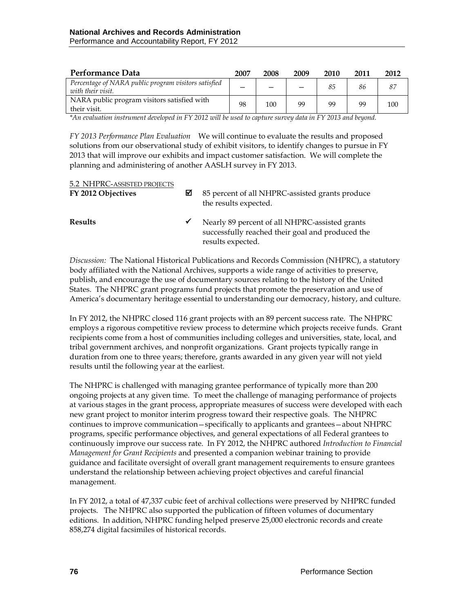| Performance Data                                                          | 2007 | 2008 | 2009 | 2010 | 2011 | 2012 |
|---------------------------------------------------------------------------|------|------|------|------|------|------|
| Percentage of NARA public program visitors satisfied<br>with their visit. |      |      |      | 85   | 86   |      |
| NARA public program visitors satisfied with<br>their visit.               | 98   | 100  | 99   | 99   | 99   | 100  |

*\*An evaluation instrument developed in FY 2012 will be used to capture survey data in FY 2013 and beyond.*

*FY 2013 Performance Plan Evaluation*We will continue to evaluate the results and proposed solutions from our observational study of exhibit visitors, to identify changes to pursue in FY 2013 that will improve our exhibits and impact customer satisfaction. We will complete the planning and administering of another AASLH survey in FY 2013.

| 5.2 NHPRC-ASSISTED PROJECTS<br>FY 2012 Objectives | ⊠ | 85 percent of all NHPRC-assisted grants produce<br>the results expected.                                                |
|---------------------------------------------------|---|-------------------------------------------------------------------------------------------------------------------------|
| <b>Results</b>                                    | ✔ | Nearly 89 percent of all NHPRC-assisted grants<br>successfully reached their goal and produced the<br>results expected. |

*Discussion:* The National Historical Publications and Records Commission (NHPRC), a statutory body affiliated with the National Archives, supports a wide range of activities to preserve, publish, and encourage the use of documentary sources relating to the history of the United States. The NHPRC grant programs fund projects that promote the preservation and use of America's documentary heritage essential to understanding our democracy, history, and culture.

In FY 2012, the NHPRC closed 116 grant projects with an 89 percent success rate. The NHPRC employs a rigorous competitive review process to determine which projects receive funds. Grant recipients come from a host of communities including colleges and universities, state, local, and tribal government archives, and nonprofit organizations. Grant projects typically range in duration from one to three years; therefore, grants awarded in any given year will not yield results until the following year at the earliest.

The NHPRC is challenged with managing grantee performance of typically more than 200 ongoing projects at any given time. To meet the challenge of managing performance of projects at various stages in the grant process, appropriate measures of success were developed with each new grant project to monitor interim progress toward their respective goals. The NHPRC continues to improve communication—specifically to applicants and grantees—about NHPRC programs, specific performance objectives, and general expectations of all Federal grantees to continuously improve our success rate. In FY 2012, the NHPRC authored *Introduction to Financial Management for Grant Recipients* and presented a companion webinar training to provide guidance and facilitate oversight of overall grant management requirements to ensure grantees understand the relationship between achieving project objectives and careful financial management.

In FY 2012, a total of 47,337 cubic feet of archival collections were preserved by NHPRC funded projects. The NHPRC also supported the publication of fifteen volumes of documentary editions. In addition, NHPRC funding helped preserve 25,000 electronic records and create 858,274 digital facsimiles of historical records.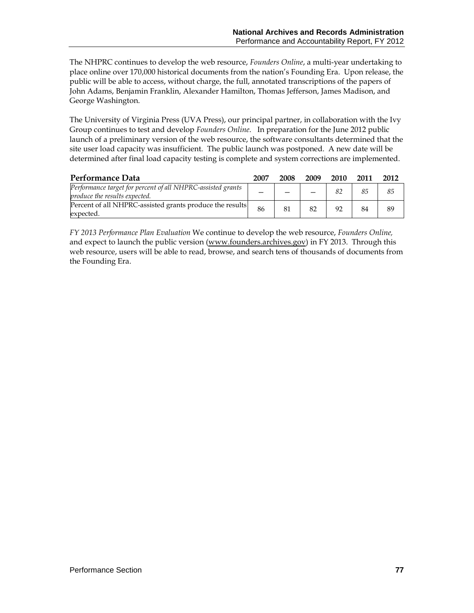The NHPRC continues to develop the web resource, *Founders Online*, a multi-year undertaking to place online over 170,000 historical documents from the nation's Founding Era. Upon release, the public will be able to access, without charge, the full, annotated transcriptions of the papers of John Adams, Benjamin Franklin, Alexander Hamilton, Thomas Jefferson, James Madison, and George Washington.

The University of Virginia Press (UVA Press), our principal partner, in collaboration with the Ivy Group continues to test and develop *Founders Online*. In preparation for the June 2012 public launch of a preliminary version of the web resource, the software consultants determined that the site user load capacity was insufficient. The public launch was postponed. A new date will be determined after final load capacity testing is complete and system corrections are implemented.

| Performance Data                                                                             | 2007 | 2008 | 2009 | 2010 | 2011 | 2012 |
|----------------------------------------------------------------------------------------------|------|------|------|------|------|------|
| Performance target for percent of all NHPRC-assisted grants<br>produce the results expected. |      |      |      |      | 85   | 85   |
| Percent of all NHPRC-assisted grants produce the results<br>expected.                        | 86   | 81   | 82   | 92   | 84   | 89   |

*FY 2013 Performance Plan Evaluation* We continue to develop the web resource, *Founders Online,*  and expect to launch the public version [\(www.founders.archives.gov\)](http://www.founders.archives.gov/) in FY 2013. Through this web resource, users will be able to read, browse, and search tens of thousands of documents from the Founding Era.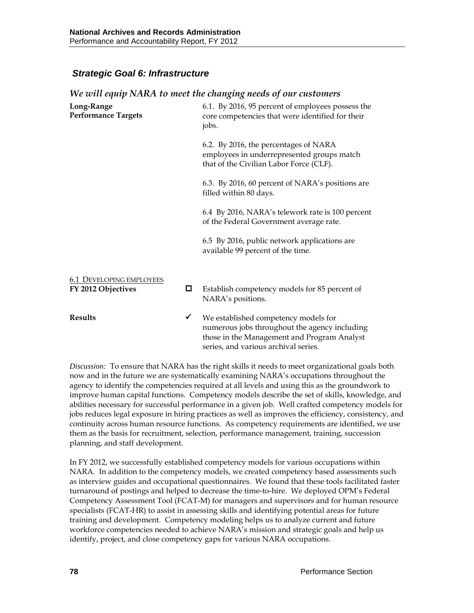### *Strategic Goal 6: Infrastructure*

| Long-Range<br><b>Performance Targets</b>              |   | 6.1. By 2016, 95 percent of employees possess the<br>core competencies that were identified for their<br>jobs.                                                               |
|-------------------------------------------------------|---|------------------------------------------------------------------------------------------------------------------------------------------------------------------------------|
|                                                       |   | 6.2. By 2016, the percentages of NARA<br>employees in underrepresented groups match<br>that of the Civilian Labor Force (CLF).                                               |
|                                                       |   | 6.3. By 2016, 60 percent of NARA's positions are<br>filled within 80 days.                                                                                                   |
|                                                       |   | 6.4 By 2016, NARA's telework rate is 100 percent<br>of the Federal Government average rate.                                                                                  |
|                                                       |   | 6.5 By 2016, public network applications are<br>available 99 percent of the time.                                                                                            |
|                                                       |   |                                                                                                                                                                              |
| <b>6.1 DEVELOPING EMPLOYEES</b><br>FY 2012 Objectives | □ | Establish competency models for 85 percent of<br>NARA's positions.                                                                                                           |
| <b>Results</b>                                        | ✔ | We established competency models for<br>numerous jobs throughout the agency including<br>those in the Management and Program Analyst<br>series, and various archival series. |

*We will equip NARA to meet the changing needs of our customers*

*Discussion:* To ensure that NARA has the right skills it needs to meet organizational goals both now and in the future we are systematically examining NARA's occupations throughout the agency to identify the competencies required at all levels and using this as the groundwork to improve human capital functions. Competency models describe the set of skills, knowledge, and abilities necessary for successful performance in a given job. Well crafted competency models for jobs reduces legal exposure in hiring practices as well as improves the efficiency, consistency, and continuity across human resource functions. As competency requirements are identified, we use them as the basis for recruitment, selection, performance management, training, succession planning, and staff development.

In FY 2012, we successfully established competency models for various occupations within NARA. In addition to the competency models, we created competency based assessments such as interview guides and occupational questionnaires. We found that these tools facilitated faster turnaround of postings and helped to decrease the time-to-hire. We deployed OPM's Federal Competency Assessment Tool (FCAT-M) for managers and supervisors and for human resource specialists (FCAT-HR) to assist in assessing skills and identifying potential areas for future training and development. Competency modeling helps us to analyze current and future workforce competencies needed to achieve NARA's mission and strategic goals and help us identify, project, and close competency gaps for various NARA occupations.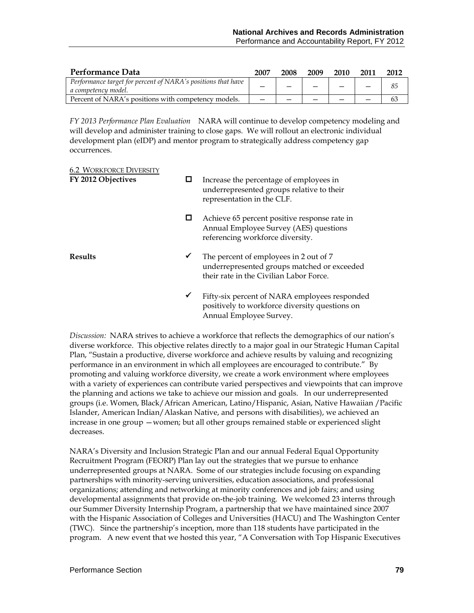| Performance Data                                                                    | 2007 | 2008 | 2009 | 2010 | 2011 | 2012 |
|-------------------------------------------------------------------------------------|------|------|------|------|------|------|
| Performance target for percent of NARA's positions that have<br>a competency model. |      |      |      |      |      | 85   |
| Percent of NARA's positions with competency models.                                 |      |      |      |      |      | 63   |

*FY 2013 Performance Plan Evaluation*NARA will continue to develop competency modeling and will develop and administer training to close gaps. We will rollout an electronic individual development plan (eIDP) and mentor program to strategically address competency gap occurrences.

| <b>6.2 WORKFORCE DIVERSITY</b><br>FY 2012 Objectives | ⊔ | Increase the percentage of employees in<br>underrepresented groups relative to their<br>representation in the CLF.               |
|------------------------------------------------------|---|----------------------------------------------------------------------------------------------------------------------------------|
|                                                      | ◻ | Achieve 65 percent positive response rate in<br>Annual Employee Survey (AES) questions<br>referencing workforce diversity.       |
| <b>Results</b>                                       | ✔ | The percent of employees in 2 out of 7<br>underrepresented groups matched or exceeded<br>their rate in the Civilian Labor Force. |
|                                                      | ✔ | Fifty-six percent of NARA employees responded<br>positively to workforce diversity questions on<br>Annual Employee Survey.       |

*Discussion:* NARA strives to achieve a workforce that reflects the demographics of our nation's diverse workforce. This objective relates directly to a major goal in our Strategic Human Capital Plan, "Sustain a productive, diverse workforce and achieve results by valuing and recognizing performance in an environment in which all employees are encouraged to contribute." By promoting and valuing workforce diversity, we create a work environment where employees with a variety of experiences can contribute varied perspectives and viewpoints that can improve the planning and actions we take to achieve our mission and goals. In our underrepresented groups (i.e. Women, Black/African American, Latino/Hispanic, Asian, Native Hawaiian /Pacific Islander, American Indian/Alaskan Native, and persons with disabilities), we achieved an increase in one group —women; but all other groups remained stable or experienced slight decreases.

NARA's Diversity and Inclusion Strategic Plan and our annual Federal Equal Opportunity Recruitment Program (FEORP) Plan lay out the strategies that we pursue to enhance underrepresented groups at NARA. Some of our strategies include focusing on expanding partnerships with minority-serving universities, education associations, and professional organizations; attending and networking at minority conferences and job fairs; and using developmental assignments that provide on-the-job training. We welcomed 23 interns through our Summer Diversity Internship Program, a partnership that we have maintained since 2007 with the Hispanic Association of Colleges and Universities (HACU) and The Washington Center (TWC). Since the partnership's inception, more than 118 students have participated in the program. A new event that we hosted this year, "A Conversation with Top Hispanic Executives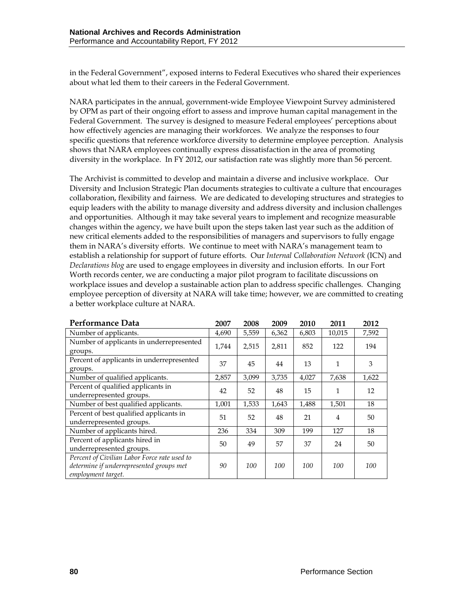in the Federal Government", exposed interns to Federal Executives who shared their experiences about what led them to their careers in the Federal Government.

NARA participates in the annual, government-wide Employee Viewpoint Survey administered by OPM as part of their ongoing effort to assess and improve human capital management in the Federal Government. The survey is designed to measure Federal employees' perceptions about how effectively agencies are managing their workforces. We analyze the responses to four specific questions that reference workforce diversity to determine employee perception. Analysis shows that NARA employees continually express dissatisfaction in the area of promoting diversity in the workplace. In FY 2012, our satisfaction rate was slightly more than 56 percent.

The Archivist is committed to develop and maintain a diverse and inclusive workplace. Our Diversity and Inclusion Strategic Plan documents strategies to cultivate a culture that encourages collaboration, flexibility and fairness. We are dedicated to developing structures and strategies to equip leaders with the ability to manage diversity and address diversity and inclusion challenges and opportunities. Although it may take several years to implement and recognize measurable changes within the agency, we have built upon the steps taken last year such as the addition of new critical elements added to the responsibilities of managers and supervisors to fully engage them in NARA's diversity efforts. We continue to meet with NARA's management team to establish a relationship for support of future efforts. Our *Internal Collaboration Network* (ICN) and *Declarations blog* are used to engage employees in diversity and inclusion efforts. In our Fort Worth records center, we are conducting a major pilot program to facilitate discussions on workplace issues and develop a sustainable action plan to address specific challenges. Changing employee perception of diversity at NARA will take time; however, we are committed to creating a better workplace culture at NARA.

| Performance Data                                                                                               | 2007  | 2008  | 2009  | 2010  | 2011           | 2012  |
|----------------------------------------------------------------------------------------------------------------|-------|-------|-------|-------|----------------|-------|
| Number of applicants.                                                                                          | 4,690 | 5,559 | 6,362 | 6,803 | 10,015         | 7,592 |
| Number of applicants in underrepresented<br>groups.                                                            | 1,744 | 2,515 | 2,811 | 852   | 122            | 194   |
| Percent of applicants in underrepresented<br>groups.                                                           | 37    | 45    | 44    | 13    | 1              | 3     |
| Number of qualified applicants.                                                                                | 2,857 | 3,099 | 3,735 | 4,027 | 7,638          | 1,622 |
| Percent of qualified applicants in<br>underrepresented groups.                                                 | 42    | 52    | 48    | 15    | 1              | 12    |
| Number of best qualified applicants.                                                                           | 1,001 | 1,533 | 1,643 | 1,488 | 1,501          | 18    |
| Percent of best qualified applicants in<br>underrepresented groups.                                            | 51    | 52    | 48    | 21    | $\overline{4}$ | 50    |
| Number of applicants hired.                                                                                    | 236   | 334   | 309   | 199   | 127            | 18    |
| Percent of applicants hired in<br>underrepresented groups.                                                     | 50    | 49    | 57    | 37    | 24             | 50    |
| Percent of Civilian Labor Force rate used to<br>determine if underrepresented groups met<br>employment target. | 90    | 100   | 100   | 100   | 100            | 100   |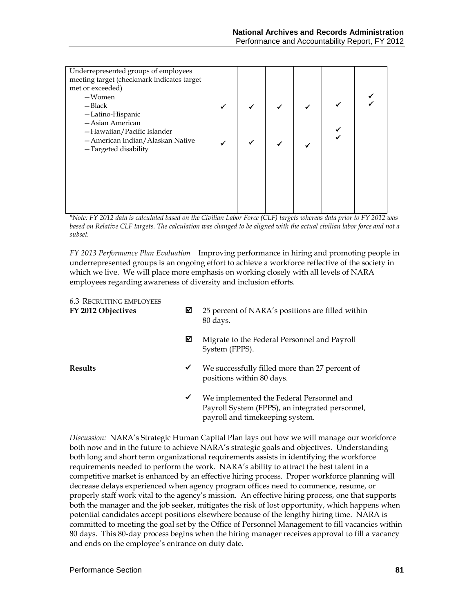| Underrepresented groups of employees<br>meeting target (checkmark indicates target |  |  |  |
|------------------------------------------------------------------------------------|--|--|--|
| met or exceeded)<br>-Women                                                         |  |  |  |
| $-$ Black                                                                          |  |  |  |
| -Latino-Hispanic                                                                   |  |  |  |
| - Asian American                                                                   |  |  |  |
| -Hawaiian/Pacific Islander                                                         |  |  |  |
| - American Indian/Alaskan Native                                                   |  |  |  |
| -Targeted disability                                                               |  |  |  |
|                                                                                    |  |  |  |
|                                                                                    |  |  |  |
|                                                                                    |  |  |  |
|                                                                                    |  |  |  |
|                                                                                    |  |  |  |
|                                                                                    |  |  |  |

*\*Note: FY 2012 data is calculated based on the Civilian Labor Force (CLF) targets whereas data prior to FY 2012 was*  based on Relative CLF targets. The calculation was changed to be aligned with the actual civilian labor force and not a *subset.*

*FY 2013 Performance Plan Evaluation*Improving performance in hiring and promoting people in underrepresented groups is an ongoing effort to achieve a workforce reflective of the society in which we live. We will place more emphasis on working closely with all levels of NARA employees regarding awareness of diversity and inclusion efforts.

#### 6.3 RECRUITING EMPLOYEES

| FY 2012 Objectives | ⊠ | 25 percent of NARA's positions are filled within<br>80 days.                                                                   |
|--------------------|---|--------------------------------------------------------------------------------------------------------------------------------|
|                    | ⊠ | Migrate to the Federal Personnel and Payroll<br>System (FPPS).                                                                 |
| Results            | ✔ | We successfully filled more than 27 percent of<br>positions within 80 days.                                                    |
|                    | ✔ | We implemented the Federal Personnel and<br>Payroll System (FPPS), an integrated personnel,<br>payroll and timekeeping system. |

*Discussion:* NARA's Strategic Human Capital Plan lays out how we will manage our workforce both now and in the future to achieve NARA's strategic goals and objectives. Understanding both long and short term organizational requirements assists in identifying the workforce requirements needed to perform the work. NARA's ability to attract the best talent in a competitive market is enhanced by an effective hiring process. Proper workforce planning will decrease delays experienced when agency program offices need to commence, resume, or properly staff work vital to the agency's mission. An effective hiring process, one that supports both the manager and the job seeker, mitigates the risk of lost opportunity, which happens when potential candidates accept positions elsewhere because of the lengthy hiring time. NARA is committed to meeting the goal set by the Office of Personnel Management to fill vacancies within 80 days. This 80-day process begins when the hiring manager receives approval to fill a vacancy and ends on the employee's entrance on duty date.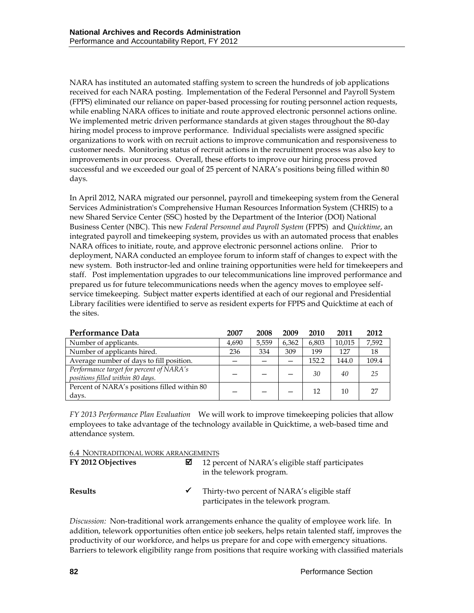NARA has instituted an automated staffing system to screen the hundreds of job applications received for each NARA posting. Implementation of the Federal Personnel and Payroll System (FPPS) eliminated our reliance on paper-based processing for routing personnel action requests, while enabling NARA offices to initiate and route approved electronic personnel actions online. We implemented metric driven performance standards at given stages throughout the 80-day hiring model process to improve performance. Individual specialists were assigned specific organizations to work with on recruit actions to improve communication and responsiveness to customer needs. Monitoring status of recruit actions in the recruitment process was also key to improvements in our process. Overall, these efforts to improve our hiring process proved successful and we exceeded our goal of 25 percent of NARA's positions being filled within 80 days.

In April 2012, NARA migrated our personnel, payroll and timekeeping system from the General Services Administration's Comprehensive Human Resources Information System (CHRIS) to a new Shared Service Center (SSC) hosted by the Department of the Interior (DOI) National Business Center (NBC). This new *Federal Personnel and Payroll System* (FPPS) and *Quicktime*, an integrated payroll and timekeeping system, provides us with an automated process that enables NARA offices to initiate, route, and approve electronic personnel actions online. Prior to deployment, NARA conducted an employee forum to inform staff of changes to expect with the new system. Both instructor-led and online training opportunities were held for timekeepers and staff. Post implementation upgrades to our telecommunications line improved performance and prepared us for future telecommunications needs when the agency moves to employee selfservice timekeeping. Subject matter experts identified at each of our regional and Presidential Library facilities were identified to serve as resident experts for FPPS and Quicktime at each of the sites.

| Performance Data                                                             | 2007  | 2008  | 2009  | 2010  | 2011   | 2012  |
|------------------------------------------------------------------------------|-------|-------|-------|-------|--------|-------|
| Number of applicants.                                                        | 4.690 | 5.559 | 6,362 | 6,803 | 10.015 | 7,592 |
| Number of applicants hired.                                                  | 236   | 334   | 309   | 199   | 127    | 18    |
| Average number of days to fill position.                                     |       |       |       | 152.2 | 144.0  | 109.4 |
| Performance target for percent of NARA's<br>positions filled within 80 days. |       |       |       | 30    | 40     | 25    |
| Percent of NARA's positions filled within 80<br>days.                        |       |       |       | 12    | 10     |       |

*FY 2013 Performance Plan Evaluation*We will work to improve timekeeping policies that allow employees to take advantage of the technology available in Quicktime, a web-based time and attendance system.

|--|

| FY 2012 Objectives | М            | 12 percent of NARA's eligible staff participates<br>in the telework program.         |
|--------------------|--------------|--------------------------------------------------------------------------------------|
| <b>Results</b>     | $\checkmark$ | Thirty-two percent of NARA's eligible staff<br>participates in the telework program. |

*Discussion:* Non-traditional work arrangements enhance the quality of employee work life. In addition, telework opportunities often entice job seekers, helps retain talented staff, improves the productivity of our workforce, and helps us prepare for and cope with emergency situations. Barriers to telework eligibility range from positions that require working with classified materials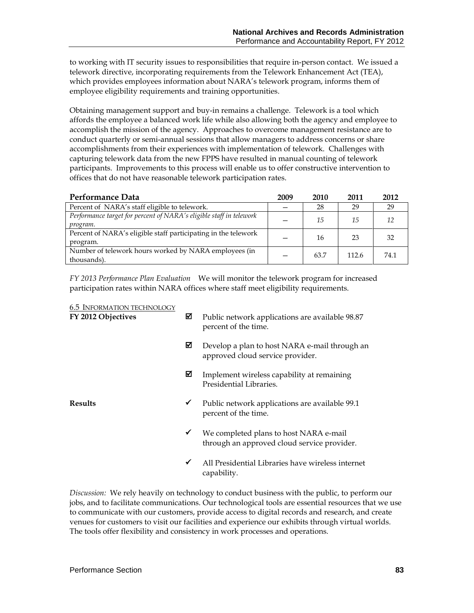to working with IT security issues to responsibilities that require in-person contact. We issued a telework directive, incorporating requirements from the Telework Enhancement Act (TEA), which provides employees information about NARA's telework program, informs them of employee eligibility requirements and training opportunities.

Obtaining management support and buy-in remains a challenge. Telework is a tool which affords the employee a balanced work life while also allowing both the agency and employee to accomplish the mission of the agency. Approaches to overcome management resistance are to conduct quarterly or semi-annual sessions that allow managers to address concerns or share accomplishments from their experiences with implementation of telework. Challenges with capturing telework data from the new FPPS have resulted in manual counting of telework participants. Improvements to this process will enable us to offer constructive intervention to offices that do not have reasonable telework participation rates.

| Performance Data                                                                | 2009 | 2010 | 2011  | 2012 |
|---------------------------------------------------------------------------------|------|------|-------|------|
| Percent of NARA's staff eligible to telework.                                   |      | 28   | 29    | 29   |
| Performance target for percent of NARA's eligible staff in telework<br>program. |      | 15   | 15    | 12   |
| Percent of NARA's eligible staff participating in the telework<br>program.      |      | 16   | 23    | 32   |
| Number of telework hours worked by NARA employees (in<br>thousands).            |      | 63.7 | 112.6 | 74.1 |

*FY 2013 Performance Plan Evaluation*We will monitor the telework program for increased participation rates within NARA offices where staff meet eligibility requirements.

| <b>6.5 INFORMATION TECHNOLOGY</b><br>FY 2012 Objectives |              | Public network applications are available 98.87<br>percent of the time.               |
|---------------------------------------------------------|--------------|---------------------------------------------------------------------------------------|
|                                                         | ⊠            | Develop a plan to host NARA e-mail through an<br>approved cloud service provider.     |
|                                                         | ☑            | Implement wireless capability at remaining<br>Presidential Libraries.                 |
| <b>Results</b>                                          | ✔            | Public network applications are available 99.1<br>percent of the time.                |
|                                                         | $\checkmark$ | We completed plans to host NARA e-mail<br>through an approved cloud service provider. |
|                                                         | ✓            | All Presidential Libraries have wireless internet<br>capability.                      |

*Discussion:* We rely heavily on technology to conduct business with the public, to perform our jobs, and to facilitate communications. Our technological tools are essential resources that we use to communicate with our customers, provide access to digital records and research, and create venues for customers to visit our facilities and experience our exhibits through virtual worlds. The tools offer flexibility and consistency in work processes and operations.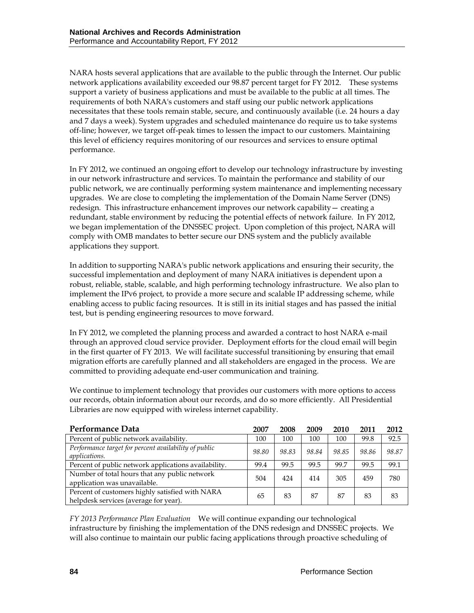NARA hosts several applications that are available to the public through the Internet. Our public network applications availability exceeded our 98.87 percent target for FY 2012. These systems support a variety of business applications and must be available to the public at all times. The requirements of both NARA's customers and staff using our public network applications necessitates that these tools remain stable, secure, and continuously available (i.e. 24 hours a day and 7 days a week). System upgrades and scheduled maintenance do require us to take systems off-line; however, we target off-peak times to lessen the impact to our customers. Maintaining this level of efficiency requires monitoring of our resources and services to ensure optimal performance.

In FY 2012, we continued an ongoing effort to develop our technology infrastructure by investing in our network infrastructure and services. To maintain the performance and stability of our public network, we are continually performing system maintenance and implementing necessary upgrades. We are close to completing the implementation of the Domain Name Server (DNS) redesign. This infrastructure enhancement improves our network capability— creating a redundant, stable environment by reducing the potential effects of network failure. In FY 2012, we began implementation of the DNSSEC project. Upon completion of this project, NARA will comply with OMB mandates to better secure our DNS system and the publicly available applications they support.

In addition to supporting NARA's public network applications and ensuring their security, the successful implementation and deployment of many NARA initiatives is dependent upon a robust, reliable, stable, scalable, and high performing technology infrastructure. We also plan to implement the IPv6 project, to provide a more secure and scalable IP addressing scheme, while enabling access to public facing resources. It is still in its initial stages and has passed the initial test, but is pending engineering resources to move forward.

In FY 2012, we completed the planning process and awarded a contract to host NARA e-mail through an approved cloud service provider. Deployment efforts for the cloud email will begin in the first quarter of FY 2013. We will facilitate successful transitioning by ensuring that email migration efforts are carefully planned and all stakeholders are engaged in the process. We are committed to providing adequate end-user communication and training.

We continue to implement technology that provides our customers with more options to access our records, obtain information about our records, and do so more efficiently. All Presidential Libraries are now equipped with wireless internet capability.

| Performance Data                                                                         | 2007  | 2008  | 2009  | 2010  | 2011  | 2012  |
|------------------------------------------------------------------------------------------|-------|-------|-------|-------|-------|-------|
| Percent of public network availability.                                                  | 100   | 100   | 100   | 100   | 99.8  | 92.5  |
| Performance target for percent availability of public<br>applications.                   | 98.80 | 98.83 | 98.84 | 98.85 | 98.86 | 98.87 |
| Percent of public network applications availability.                                     | 99.4  | 99.5  | 99.5  | 99.7  | 99.5  | 99.1  |
| Number of total hours that any public network<br>application was unavailable.            | 504   | 424   | 414   | 305   | 459   | 780   |
| Percent of customers highly satisfied with NARA<br>helpdesk services (average for year). | 65    | 83    | 87    | 87    | 83    | 83    |

*FY 2013 Performance Plan Evaluation*We will continue expanding our technological infrastructure by finishing the implementation of the DNS redesign and DNSSEC projects. We will also continue to maintain our public facing applications through proactive scheduling of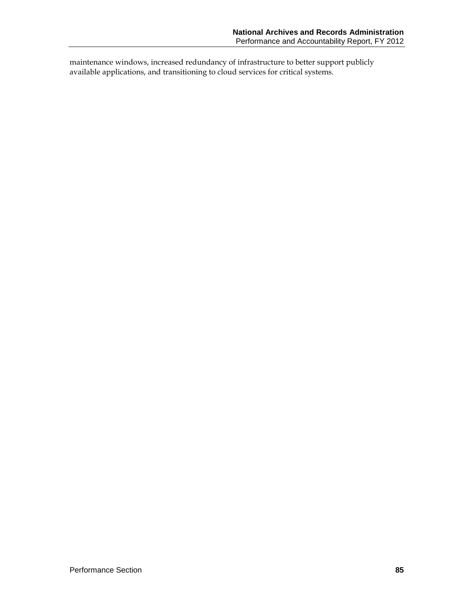maintenance windows, increased redundancy of infrastructure to better support publicly available applications, and transitioning to cloud services for critical systems.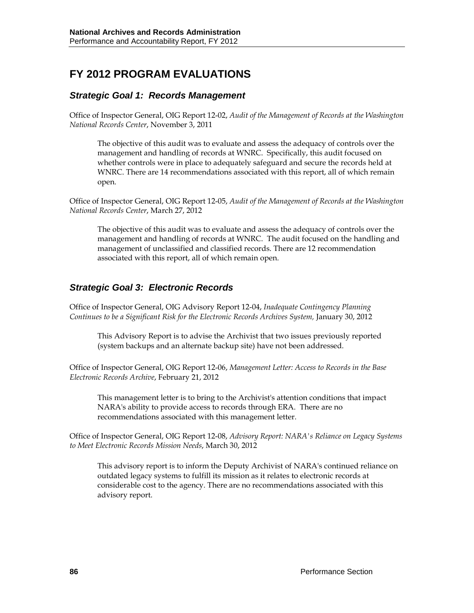# **FY 2012 PROGRAM EVALUATIONS**

### *Strategic Goal 1: Records Management*

Office of Inspector General, OIG Report 12-02, *Audit of the Management of Records at the Washington National Records Center*, November 3, 2011

The objective of this audit was to evaluate and assess the adequacy of controls over the management and handling of records at WNRC. Specifically, this audit focused on whether controls were in place to adequately safeguard and secure the records held at WNRC. There are 14 recommendations associated with this report, all of which remain open.

Office of Inspector General, OIG Report 12-05, *Audit of the Management of Records at the Washington National Records Center*, March 27, 2012

The objective of this audit was to evaluate and assess the adequacy of controls over the management and handling of records at WNRC. The audit focused on the handling and management of unclassified and classified records. There are 12 recommendation associated with this report, all of which remain open.

### *Strategic Goal 3: Electronic Records*

Office of Inspector General, OIG Advisory Report 12-04, *Inadequate Contingency Planning Continues to be a Significant Risk for the Electronic Records Archives System,* January 30, 2012

This Advisory Report is to advise the Archivist that two issues previously reported (system backups and an alternate backup site) have not been addressed.

Office of Inspector General, OIG Report 12-06, *Management Letter: Access to Records in the Base Electronic Records Archive*, February 21, 2012

This management letter is to bring to the Archivist's attention conditions that impact NARA's ability to provide access to records through ERA. There are no recommendations associated with this management letter.

Office of Inspector General, OIG Report 12-08, *Advisory Report: NARA's Reliance on Legacy Systems to Meet Electronic Records Mission Needs*, March 30, 2012

This advisory report is to inform the Deputy Archivist of NARA's continued reliance on outdated legacy systems to fulfill its mission as it relates to electronic records at considerable cost to the agency. There are no recommendations associated with this advisory report.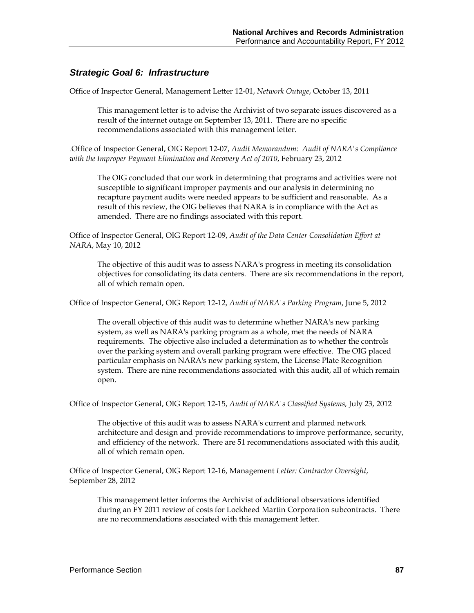### *Strategic Goal 6: Infrastructure*

Office of Inspector General, Management Letter 12-01, *Network Outage*, October 13, 2011

This management letter is to advise the Archivist of two separate issues discovered as a result of the internet outage on September 13, 2011. There are no specific recommendations associated with this management letter.

.Office of Inspector General, OIG Report 12-07, *Audit Memorandum: Audit of NARA's Compliance with the Improper Payment Elimination and Recovery Act of 2010*, February 23, 2012

The OIG concluded that our work in determining that programs and activities were not susceptible to significant improper payments and our analysis in determining no recapture payment audits were needed appears to be sufficient and reasonable. As a result of this review, the OIG believes that NARA is in compliance with the Act as amended. There are no findings associated with this report.

Office of Inspector General, OIG Report 12-09, *Audit of the Data Center Consolidation Effort at NARA*, May 10, 2012

The objective of this audit was to assess NARA's progress in meeting its consolidation objectives for consolidating its data centers. There are six recommendations in the report, all of which remain open.

Office of Inspector General, OIG Report 12-12, *Audit of NARA's Parking Program*, June 5, 2012

The overall objective of this audit was to determine whether NARA's new parking system, as well as NARA's parking program as a whole, met the needs of NARA requirements. The objective also included a determination as to whether the controls over the parking system and overall parking program were effective. The OIG placed particular emphasis on NARA's new parking system, the License Plate Recognition system. There are nine recommendations associated with this audit, all of which remain open.

Office of Inspector General, OIG Report 12-15, *Audit of NARA's Classified Systems,* July 23, 2012

The objective of this audit was to assess NARA's current and planned network architecture and design and provide recommendations to improve performance, security, and efficiency of the network. There are 51 recommendations associated with this audit, all of which remain open.

Office of Inspector General, OIG Report 12-16, Management *Letter: Contractor Oversight*, September 28, 2012

This management letter informs the Archivist of additional observations identified during an FY 2011 review of costs for Lockheed Martin Corporation subcontracts. There are no recommendations associated with this management letter.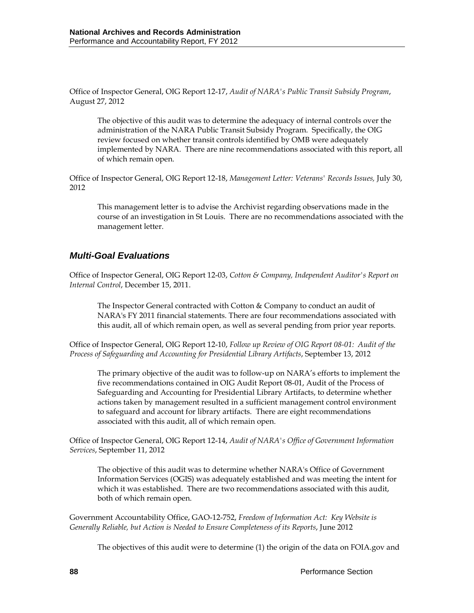Office of Inspector General, OIG Report 12-17, *Audit of NARA's Public Transit Subsidy Program*, August 27, 2012

The objective of this audit was to determine the adequacy of internal controls over the administration of the NARA Public Transit Subsidy Program. Specifically, the OIG review focused on whether transit controls identified by OMB were adequately implemented by NARA. There are nine recommendations associated with this report, all of which remain open.

Office of Inspector General, OIG Report 12-18, *Management Letter: Veterans' Records Issues,* July 30, 2012

This management letter is to advise the Archivist regarding observations made in the course of an investigation in St Louis. There are no recommendations associated with the management letter.

## *Multi-Goal Evaluations*

Office of Inspector General, OIG Report 12-03, *Cotton & Company, Independent Auditor's Report on Internal Control*, December 15, 2011.

The Inspector General contracted with Cotton & Company to conduct an audit of NARA's FY 2011 financial statements. There are four recommendations associated with this audit, all of which remain open, as well as several pending from prior year reports.

Office of Inspector General, OIG Report 12-10, *Follow up Review of OIG Report 08-01: Audit of the Process of Safeguarding and Accounting for Presidential Library Artifacts*, September 13, 2012

The primary objective of the audit was to follow-up on NARA's efforts to implement the five recommendations contained in OIG Audit Report 08-01, Audit of the Process of Safeguarding and Accounting for Presidential Library Artifacts, to determine whether actions taken by management resulted in a sufficient management control environment to safeguard and account for library artifacts. There are eight recommendations associated with this audit, all of which remain open.

Office of Inspector General, OIG Report 12-14, *Audit of NARA's Office of Government Information Services*, September 11, 2012

The objective of this audit was to determine whether NARA's Office of Government Information Services (OGIS) was adequately established and was meeting the intent for which it was established. There are two recommendations associated with this audit, both of which remain open.

Government Accountability Office, GAO-12-752, *Freedom of Information Act: Key Website is Generally Reliable, but Action is Needed to Ensure Completeness of its Reports*, June 2012

The objectives of this audit were to determine (1) the origin of the data on FOIA.gov and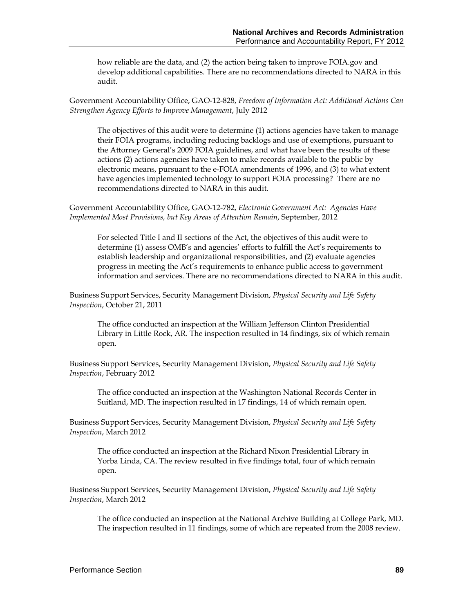how reliable are the data, and (2) the action being taken to improve FOIA.gov and develop additional capabilities. There are no recommendations directed to NARA in this audit.

Government Accountability Office, GAO-12-828, *Freedom of Information Act: Additional Actions Can Strengthen Agency Efforts to Improve Management*, July 2012

The objectives of this audit were to determine (1) actions agencies have taken to manage their FOIA programs, including reducing backlogs and use of exemptions, pursuant to the Attorney General's 2009 FOIA guidelines, and what have been the results of these actions (2) actions agencies have taken to make records available to the public by electronic means, pursuant to the e-FOIA amendments of 1996, and (3) to what extent have agencies implemented technology to support FOIA processing? There are no recommendations directed to NARA in this audit.

Government Accountability Office, GAO-12-782, *Electronic Government Act: Agencies Have Implemented Most Provisions, but Key Areas of Attention Remain*, September, 2012

For selected Title I and II sections of the Act, the objectives of this audit were to determine (1) assess OMB's and agencies' efforts to fulfill the Act's requirements to establish leadership and organizational responsibilities, and (2) evaluate agencies progress in meeting the Act's requirements to enhance public access to government information and services. There are no recommendations directed to NARA in this audit.

Business Support Services, Security Management Division, *Physical Security and Life Safety Inspection*, October 21, 2011

The office conducted an inspection at the William Jefferson Clinton Presidential Library in Little Rock, AR. The inspection resulted in 14 findings, six of which remain open.

Business Support Services, Security Management Division, *Physical Security and Life Safety Inspection*, February 2012

The office conducted an inspection at the Washington National Records Center in Suitland, MD. The inspection resulted in 17 findings, 14 of which remain open.

Business Support Services, Security Management Division, *Physical Security and Life Safety Inspection*, March 2012

The office conducted an inspection at the Richard Nixon Presidential Library in Yorba Linda, CA. The review resulted in five findings total, four of which remain open.

Business Support Services, Security Management Division, *Physical Security and Life Safety Inspection*, March 2012

The office conducted an inspection at the National Archive Building at College Park, MD. The inspection resulted in 11 findings, some of which are repeated from the 2008 review.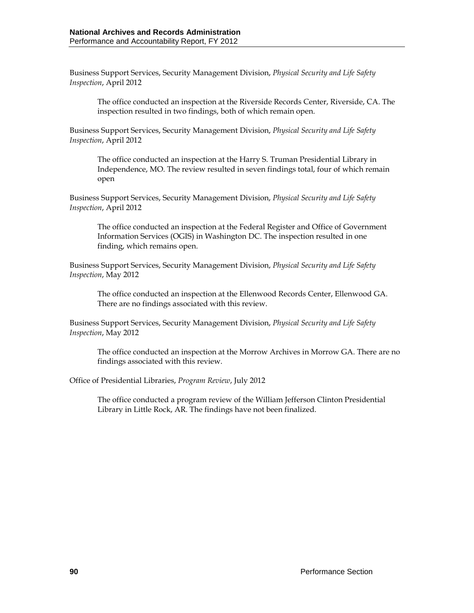Business Support Services, Security Management Division, *Physical Security and Life Safety Inspection*, April 2012

The office conducted an inspection at the Riverside Records Center, Riverside, CA. The inspection resulted in two findings, both of which remain open.

Business Support Services, Security Management Division, *Physical Security and Life Safety Inspection*, April 2012

The office conducted an inspection at the Harry S. Truman Presidential Library in Independence, MO. The review resulted in seven findings total, four of which remain open

Business Support Services, Security Management Division, *Physical Security and Life Safety Inspection*, April 2012

The office conducted an inspection at the Federal Register and Office of Government Information Services (OGIS) in Washington DC. The inspection resulted in one finding, which remains open.

Business Support Services, Security Management Division, *Physical Security and Life Safety Inspection*, May 2012

The office conducted an inspection at the Ellenwood Records Center, Ellenwood GA. There are no findings associated with this review.

Business Support Services, Security Management Division, *Physical Security and Life Safety Inspection*, May 2012

The office conducted an inspection at the Morrow Archives in Morrow GA. There are no findings associated with this review.

#### Office of Presidential Libraries, *Program Review*, July 2012

The office conducted a program review of the William Jefferson Clinton Presidential Library in Little Rock, AR. The findings have not been finalized.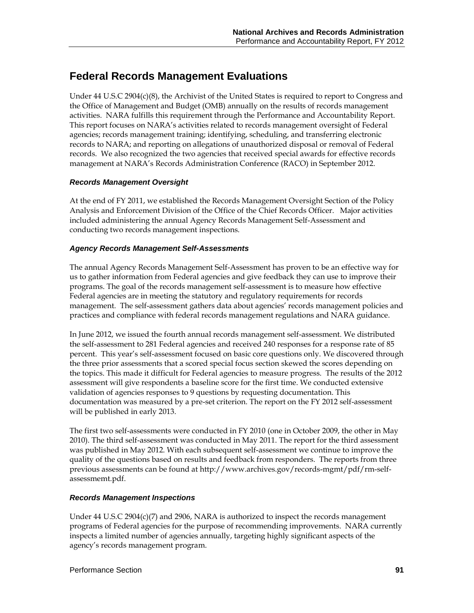# **Federal Records Management Evaluations**

Under 44 U.S.C 2904(c)(8), the Archivist of the United States is required to report to Congress and the Office of Management and Budget (OMB) annually on the results of records management activities. NARA fulfills this requirement through the Performance and Accountability Report. This report focuses on NARA's activities related to records management oversight of Federal agencies; records management training; identifying, scheduling, and transferring electronic records to NARA; and reporting on allegations of unauthorized disposal or removal of Federal records. We also recognized the two agencies that received special awards for effective records management at NARA's Records Administration Conference (RACO) in September 2012.

### *Records Management Oversight*

At the end of FY 2011, we established the Records Management Oversight Section of the Policy Analysis and Enforcement Division of the Office of the Chief Records Officer. Major activities included administering the annual Agency Records Management Self-Assessment and conducting two records management inspections.

### *Agency Records Management Self-Assessments*

The annual Agency Records Management Self-Assessment has proven to be an effective way for us to gather information from Federal agencies and give feedback they can use to improve their programs. The goal of the records management self-assessment is to measure how effective Federal agencies are in meeting the statutory and regulatory requirements for records management. The self-assessment gathers data about agencies' records management policies and practices and compliance with federal records management regulations and NARA guidance.

In June 2012, we issued the fourth annual records management self-assessment. We distributed the self-assessment to 281 Federal agencies and received 240 responses for a response rate of 85 percent. This year's self-assessment focused on basic core questions only. We discovered through the three prior assessments that a scored special focus section skewed the scores depending on the topics. This made it difficult for Federal agencies to measure progress. The results of the 2012 assessment will give respondents a baseline score for the first time. We conducted extensive validation of agencies responses to 9 questions by requesting documentation. This documentation was measured by a pre-set criterion. The report on the FY 2012 self-assessment will be published in early 2013.

The first two self-assessments were conducted in FY 2010 (one in October 2009, the other in May 2010). The third self-assessment was conducted in May 2011. The report for the third assessment was published in May 2012. With each subsequent self-assessment we continue to improve the quality of the questions based on results and feedback from responders. The reports from three previous assessments can be found at http://www.archives.gov/records-mgmt/pdf/rm-selfassessmemt.pdf.

### *Records Management Inspections*

Under 44 U.S.C 2904(c)(7) and 2906, NARA is authorized to inspect the records management programs of Federal agencies for the purpose of recommending improvements. NARA currently inspects a limited number of agencies annually, targeting highly significant aspects of the agency's records management program.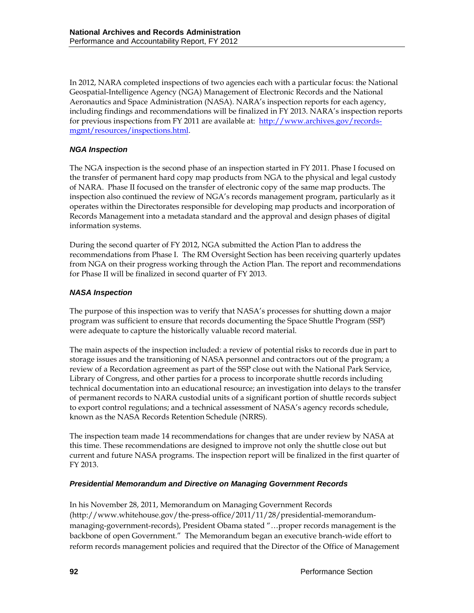In 2012, NARA completed inspections of two agencies each with a particular focus: the National Geospatial-Intelligence Agency (NGA) Management of Electronic Records and the National Aeronautics and Space Administration (NASA). NARA's inspection reports for each agency, including findings and recommendations will be finalized in FY 2013. NARA's inspection reports for previous inspections from FY 2011 are available at: [http://www.archives.gov/records](http://www.archives.gov/records-mgmt/resources/inspections.html)[mgmt/resources/inspections.html.](http://www.archives.gov/records-mgmt/resources/inspections.html)

### *NGA Inspection*

The NGA inspection is the second phase of an inspection started in FY 2011. Phase I focused on the transfer of permanent hard copy map products from NGA to the physical and legal custody of NARA. Phase II focused on the transfer of electronic copy of the same map products. The inspection also continued the review of NGA's records management program, particularly as it operates within the Directorates responsible for developing map products and incorporation of Records Management into a metadata standard and the approval and design phases of digital information systems.

During the second quarter of FY 2012, NGA submitted the Action Plan to address the recommendations from Phase I. The RM Oversight Section has been receiving quarterly updates from NGA on their progress working through the Action Plan. The report and recommendations for Phase II will be finalized in second quarter of FY 2013.

### *NASA Inspection*

The purpose of this inspection was to verify that NASA's processes for shutting down a major program was sufficient to ensure that records documenting the Space Shuttle Program (SSP) were adequate to capture the historically valuable record material.

The main aspects of the inspection included: a review of potential risks to records due in part to storage issues and the transitioning of NASA personnel and contractors out of the program; a review of a Recordation agreement as part of the SSP close out with the National Park Service, Library of Congress, and other parties for a process to incorporate shuttle records including technical documentation into an educational resource; an investigation into delays to the transfer of permanent records to NARA custodial units of a significant portion of shuttle records subject to export control regulations; and a technical assessment of NASA's agency records schedule, known as the NASA Records Retention Schedule (NRRS).

The inspection team made 14 recommendations for changes that are under review by NASA at this time. These recommendations are designed to improve not only the shuttle close out but current and future NASA programs. The inspection report will be finalized in the first quarter of FY 2013.

### *Presidential Memorandum and Directive on Managing Government Records*

In his November 28, 2011, Memorandum on Managing Government Records (http://www.whitehouse.gov/the-press-office/2011/11/28/presidential-memorandummanaging-government-records), President Obama stated "…proper records management is the backbone of open Government." The Memorandum began an executive branch-wide effort to reform records management policies and required that the Director of the Office of Management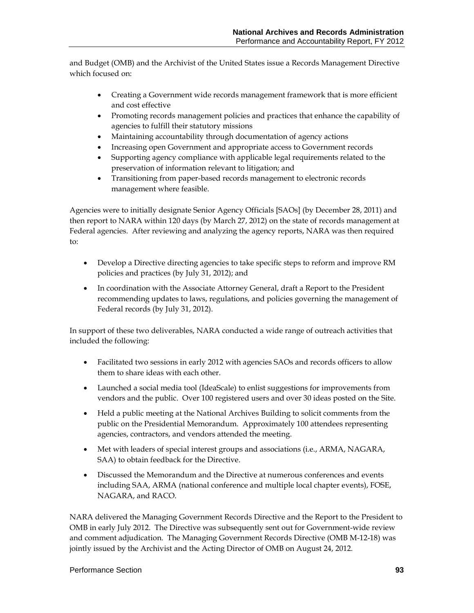and Budget (OMB) and the Archivist of the United States issue a Records Management Directive which focused on:

- Creating a Government wide records management framework that is more efficient and cost effective
- Promoting records management policies and practices that enhance the capability of agencies to fulfill their statutory missions
- Maintaining accountability through documentation of agency actions
- Increasing open Government and appropriate access to Government records
- Supporting agency compliance with applicable legal requirements related to the preservation of information relevant to litigation; and
- Transitioning from paper-based records management to electronic records management where feasible.

Agencies were to initially designate Senior Agency Officials [SAOs] (by December 28, 2011) and then report to NARA within 120 days (by March 27, 2012) on the state of records management at Federal agencies. After reviewing and analyzing the agency reports, NARA was then required to:

- Develop a Directive directing agencies to take specific steps to reform and improve RM policies and practices (by July 31, 2012); and
- In coordination with the Associate Attorney General, draft a Report to the President recommending updates to laws, regulations, and policies governing the management of Federal records (by July 31, 2012).

In support of these two deliverables, NARA conducted a wide range of outreach activities that included the following:

- Facilitated two sessions in early 2012 with agencies SAOs and records officers to allow them to share ideas with each other.
- Launched a social media tool (IdeaScale) to enlist suggestions for improvements from vendors and the public. Over 100 registered users and over 30 ideas posted on the Site.
- Held a public meeting at the National Archives Building to solicit comments from the public on the Presidential Memorandum. Approximately 100 attendees representing agencies, contractors, and vendors attended the meeting.
- Met with leaders of special interest groups and associations (i.e., ARMA, NAGARA, SAA) to obtain feedback for the Directive.
- Discussed the Memorandum and the Directive at numerous conferences and events including SAA, ARMA (national conference and multiple local chapter events), FOSE, NAGARA, and RACO.

NARA delivered the Managing Government Records Directive and the Report to the President to OMB in early July 2012. The Directive was subsequently sent out for Government-wide review and comment adjudication. The Managing Government Records Directive (OMB M-12-18) was jointly issued by the Archivist and the Acting Director of OMB on August 24, 2012.

### Performance Section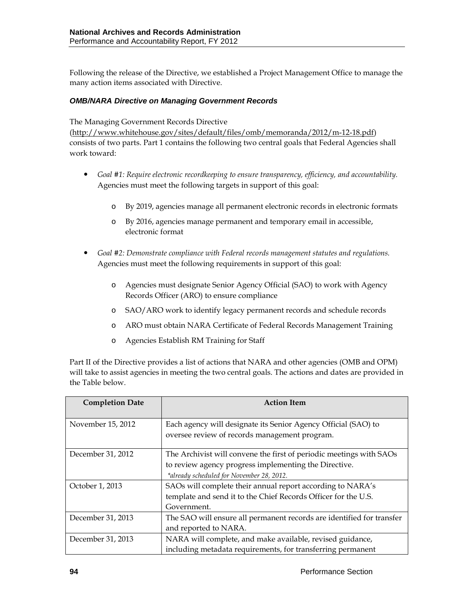Following the release of the Directive, we established a Project Management Office to manage the many action items associated with Directive.

### *OMB/NARA Directive on Managing Government Records*

The Managing Government Records Directive

[\(http://www.whitehouse.gov/sites/default/files/omb/memoranda/2012/m-12-18.pdf\)](http://www.whitehouse.gov/sites/default/files/omb/memoranda/2012/m-12-18.pdf) consists of two parts. Part 1 contains the following two central goals that Federal Agencies shall work toward:

- *Goal #1: Require electronic recordkeeping to ensure transparency, efficiency, and accountability.* Agencies must meet the following targets in support of this goal:
	- o By 2019, agencies manage all permanent electronic records in electronic formats
	- o By 2016, agencies manage permanent and temporary email in accessible, electronic format
- *Goal #2: Demonstrate compliance with Federal records management statutes and regulations.* Agencies must meet the following requirements in support of this goal:
	- o Agencies must designate Senior Agency Official (SAO) to work with Agency Records Officer (ARO) to ensure compliance
	- o SAO/ARO work to identify legacy permanent records and schedule records
	- o ARO must obtain NARA Certificate of Federal Records Management Training
	- o Agencies Establish RM Training for Staff

Part II of the Directive provides a list of actions that NARA and other agencies (OMB and OPM) will take to assist agencies in meeting the two central goals. The actions and dates are provided in the Table below.

| <b>Completion Date</b> | <b>Action Item</b>                                                                                                                                                        |
|------------------------|---------------------------------------------------------------------------------------------------------------------------------------------------------------------------|
| November 15, 2012      | Each agency will designate its Senior Agency Official (SAO) to<br>oversee review of records management program.                                                           |
| December 31, 2012      | The Archivist will convene the first of periodic meetings with SAOs<br>to review agency progress implementing the Directive.<br>*already scheduled for November 28, 2012. |
| October 1, 2013        | SAOs will complete their annual report according to NARA's<br>template and send it to the Chief Records Officer for the U.S.<br>Government.                               |
| December 31, 2013      | The SAO will ensure all permanent records are identified for transfer<br>and reported to NARA.                                                                            |
| December 31, 2013      | NARA will complete, and make available, revised guidance,<br>including metadata requirements, for transferring permanent                                                  |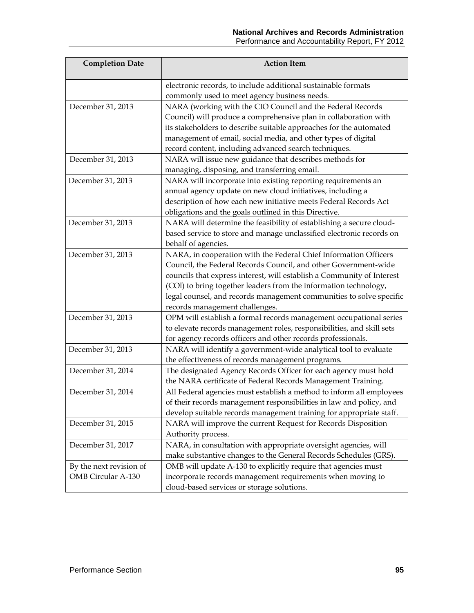| <b>Completion Date</b>    | <b>Action Item</b>                                                     |
|---------------------------|------------------------------------------------------------------------|
|                           | electronic records, to include additional sustainable formats          |
|                           | commonly used to meet agency business needs.                           |
| December 31, 2013         | NARA (working with the CIO Council and the Federal Records             |
|                           | Council) will produce a comprehensive plan in collaboration with       |
|                           | its stakeholders to describe suitable approaches for the automated     |
|                           | management of email, social media, and other types of digital          |
|                           | record content, including advanced search techniques.                  |
| December 31, 2013         | NARA will issue new guidance that describes methods for                |
|                           | managing, disposing, and transferring email.                           |
| December 31, 2013         | NARA will incorporate into existing reporting requirements an          |
|                           | annual agency update on new cloud initiatives, including a             |
|                           | description of how each new initiative meets Federal Records Act       |
|                           | obligations and the goals outlined in this Directive.                  |
| December 31, 2013         | NARA will determine the feasibility of establishing a secure cloud-    |
|                           | based service to store and manage unclassified electronic records on   |
|                           | behalf of agencies.                                                    |
| December 31, 2013         | NARA, in cooperation with the Federal Chief Information Officers       |
|                           | Council, the Federal Records Council, and other Government-wide        |
|                           | councils that express interest, will establish a Community of Interest |
|                           | (COI) to bring together leaders from the information technology,       |
|                           | legal counsel, and records management communities to solve specific    |
|                           | records management challenges.                                         |
| December 31, 2013         | OPM will establish a formal records management occupational series     |
|                           | to elevate records management roles, responsibilities, and skill sets  |
|                           | for agency records officers and other records professionals.           |
| December 31, 2013         | NARA will identify a government-wide analytical tool to evaluate       |
|                           | the effectiveness of records management programs.                      |
| December 31, 2014         | The designated Agency Records Officer for each agency must hold        |
|                           | the NARA certificate of Federal Records Management Training.           |
| December 31, 2014         | All Federal agencies must establish a method to inform all employees   |
|                           | of their records management responsibilities in law and policy, and    |
|                           | develop suitable records management training for appropriate staff.    |
| December 31, 2015         | NARA will improve the current Request for Records Disposition          |
|                           | Authority process.                                                     |
| December 31, 2017         | NARA, in consultation with appropriate oversight agencies, will        |
|                           | make substantive changes to the General Records Schedules (GRS).       |
| By the next revision of   | OMB will update A-130 to explicitly require that agencies must         |
| <b>OMB</b> Circular A-130 | incorporate records management requirements when moving to             |
|                           | cloud-based services or storage solutions.                             |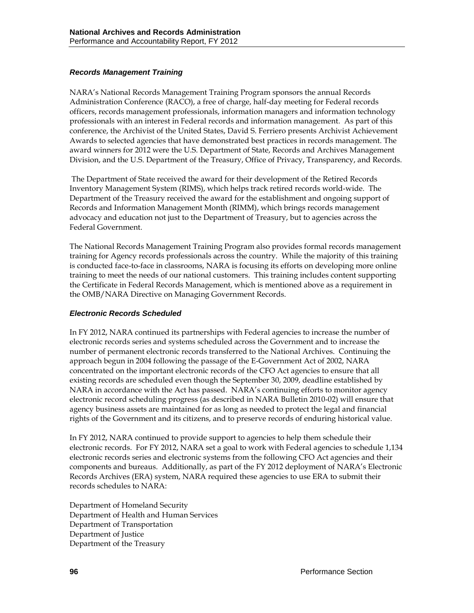### *Records Management Training*

NARA's National Records Management Training Program sponsors the annual Records Administration Conference (RACO), a free of charge, half-day meeting for Federal records officers, records management professionals, information managers and information technology professionals with an interest in Federal records and information management. As part of this conference, the Archivist of the United States, David S. Ferriero presents Archivist Achievement Awards to selected agencies that have demonstrated best practices in records management. The award winners for 2012 were the U.S. Department of State, Records and Archives Management Division, and the U.S. Department of the Treasury, Office of Privacy, Transparency, and Records.

The Department of State received the award for their development of the Retired Records Inventory Management System (RIMS), which helps track retired records world-wide. The Department of the Treasury received the award for the establishment and ongoing support of Records and Information Management Month (RIMM), which brings records management advocacy and education not just to the Department of Treasury, but to agencies across the Federal Government.

The National Records Management Training Program also provides formal records management training for Agency records professionals across the country. While the majority of this training is conducted face-to-face in classrooms, NARA is focusing its efforts on developing more online training to meet the needs of our national customers. This training includes content supporting the Certificate in Federal Records Management, which is mentioned above as a requirement in the OMB/NARA Directive on Managing Government Records.

### *Electronic Records Scheduled*

In FY 2012, NARA continued its partnerships with Federal agencies to increase the number of electronic records series and systems scheduled across the Government and to increase the number of permanent electronic records transferred to the National Archives. Continuing the approach begun in 2004 following the passage of the E-Government Act of 2002, NARA concentrated on the important electronic records of the CFO Act agencies to ensure that all existing records are scheduled even though the September 30, 2009, deadline established by NARA in accordance with the Act has passed. NARA's continuing efforts to monitor agency electronic record scheduling progress (as described in NARA Bulletin 2010-02) will ensure that agency business assets are maintained for as long as needed to protect the legal and financial rights of the Government and its citizens, and to preserve records of enduring historical value.

In FY 2012, NARA continued to provide support to agencies to help them schedule their electronic records. For FY 2012, NARA set a goal to work with Federal agencies to schedule 1,134 electronic records series and electronic systems from the following CFO Act agencies and their components and bureaus. Additionally, as part of the FY 2012 deployment of NARA's Electronic Records Archives (ERA) system, NARA required these agencies to use ERA to submit their records schedules to NARA:

Department of Homeland Security Department of Health and Human Services Department of Transportation Department of Justice Department of the Treasury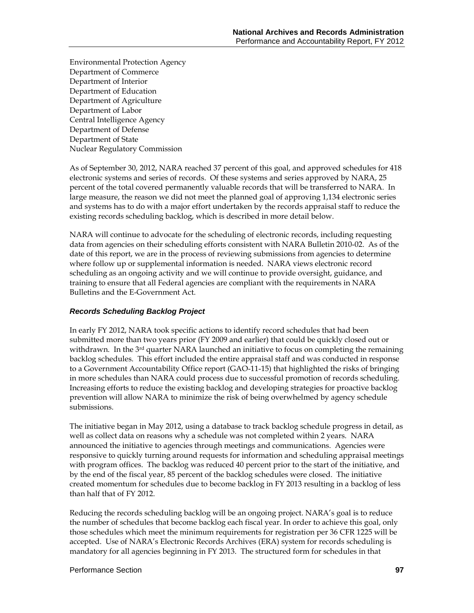Environmental Protection Agency Department of Commerce Department of Interior Department of Education Department of Agriculture Department of Labor Central Intelligence Agency Department of Defense Department of State Nuclear Regulatory Commission

As of September 30, 2012, NARA reached 37 percent of this goal, and approved schedules for 418 electronic systems and series of records. Of these systems and series approved by NARA, 25 percent of the total covered permanently valuable records that will be transferred to NARA. In large measure, the reason we did not meet the planned goal of approving 1,134 electronic series and systems has to do with a major effort undertaken by the records appraisal staff to reduce the existing records scheduling backlog, which is described in more detail below.

NARA will continue to advocate for the scheduling of electronic records, including requesting data from agencies on their scheduling efforts consistent with NARA Bulletin 2010-02. As of the date of this report, we are in the process of reviewing submissions from agencies to determine where follow up or supplemental information is needed. NARA views electronic record scheduling as an ongoing activity and we will continue to provide oversight, guidance, and training to ensure that all Federal agencies are compliant with the requirements in NARA Bulletins and the E-Government Act.

### *Records Scheduling Backlog Project*

In early FY 2012, NARA took specific actions to identify record schedules that had been submitted more than two years prior (FY 2009 and earlier) that could be quickly closed out or withdrawn. In the 3<sup>rd</sup> quarter NARA launched an initiative to focus on completing the remaining backlog schedules. This effort included the entire appraisal staff and was conducted in response to a Government Accountability Office report (GAO-11-15) that highlighted the risks of bringing in more schedules than NARA could process due to successful promotion of records scheduling. Increasing efforts to reduce the existing backlog and developing strategies for proactive backlog prevention will allow NARA to minimize the risk of being overwhelmed by agency schedule submissions.

The initiative began in May 2012, using a database to track backlog schedule progress in detail, as well as collect data on reasons why a schedule was not completed within 2 years. NARA announced the initiative to agencies through meetings and communications. Agencies were responsive to quickly turning around requests for information and scheduling appraisal meetings with program offices. The backlog was reduced 40 percent prior to the start of the initiative, and by the end of the fiscal year, 85 percent of the backlog schedules were closed. The initiative created momentum for schedules due to become backlog in FY 2013 resulting in a backlog of less than half that of FY 2012.

Reducing the records scheduling backlog will be an ongoing project. NARA's goal is to reduce the number of schedules that become backlog each fiscal year. In order to achieve this goal, only those schedules which meet the minimum requirements for registration per 36 CFR 1225 will be accepted. Use of NARA's Electronic Records Archives (ERA) system for records scheduling is mandatory for all agencies beginning in FY 2013. The structured form for schedules in that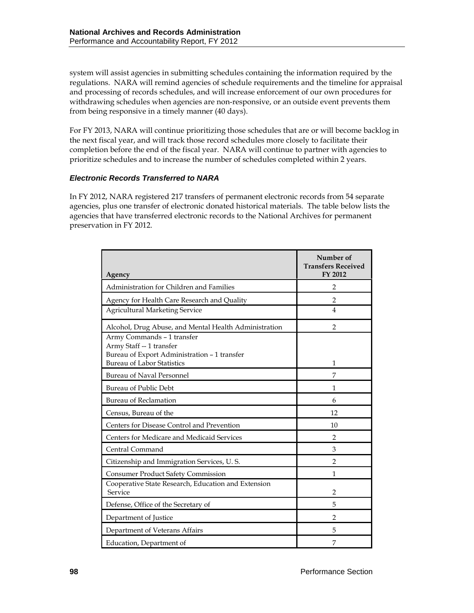system will assist agencies in submitting schedules containing the information required by the regulations. NARA will remind agencies of schedule requirements and the timeline for appraisal and processing of records schedules, and will increase enforcement of our own procedures for withdrawing schedules when agencies are non-responsive, or an outside event prevents them from being responsive in a timely manner (40 days).

For FY 2013, NARA will continue prioritizing those schedules that are or will become backlog in the next fiscal year, and will track those record schedules more closely to facilitate their completion before the end of the fiscal year. NARA will continue to partner with agencies to prioritize schedules and to increase the number of schedules completed within 2 years.

### *Electronic Records Transferred to NARA*

In FY 2012, NARA registered 217 transfers of permanent electronic records from 54 separate agencies, plus one transfer of electronic donated historical materials. The table below lists the agencies that have transferred electronic records to the National Archives for permanent preservation in FY 2012.

| Agency                                                                                                 | Number of<br><b>Transfers Received</b><br>FY 2012 |
|--------------------------------------------------------------------------------------------------------|---------------------------------------------------|
| Administration for Children and Families                                                               | 2                                                 |
| Agency for Health Care Research and Quality                                                            | $\overline{2}$                                    |
| <b>Agricultural Marketing Service</b>                                                                  | 4                                                 |
| Alcohol, Drug Abuse, and Mental Health Administration                                                  | $\mathfrak{D}$                                    |
| Army Commands - 1 transfer<br>Army Staff -- 1 transfer<br>Bureau of Export Administration - 1 transfer |                                                   |
| <b>Bureau of Labor Statistics</b>                                                                      | 1                                                 |
| <b>Bureau of Naval Personnel</b>                                                                       | 7                                                 |
| <b>Bureau of Public Debt</b>                                                                           | 1                                                 |
| <b>Bureau of Reclamation</b>                                                                           | 6                                                 |
| Census, Bureau of the                                                                                  | 12                                                |
| Centers for Disease Control and Prevention                                                             | 10                                                |
| Centers for Medicare and Medicaid Services                                                             | $\mathfrak{D}$                                    |
| Central Command                                                                                        | 3                                                 |
| Citizenship and Immigration Services, U.S.                                                             | $\mathfrak{D}$                                    |
| <b>Consumer Product Safety Commission</b>                                                              | 1                                                 |
| Cooperative State Research, Education and Extension<br>Service                                         | $\overline{2}$                                    |
| Defense, Office of the Secretary of                                                                    | 5                                                 |
| Department of Justice                                                                                  | $\overline{2}$                                    |
| Department of Veterans Affairs                                                                         | 5                                                 |
| Education, Department of                                                                               | 7                                                 |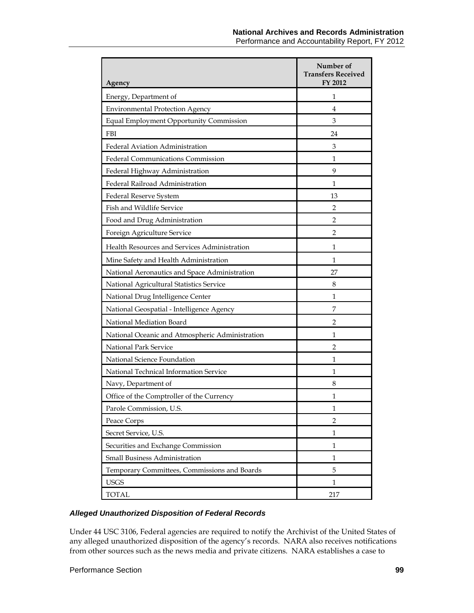| Agency                                          | Number of<br><b>Transfers Received</b><br>FY 2012 |
|-------------------------------------------------|---------------------------------------------------|
| Energy, Department of                           | 1                                                 |
| <b>Environmental Protection Agency</b>          | 4                                                 |
| Equal Employment Opportunity Commission         | 3                                                 |
| <b>FBI</b>                                      | 24                                                |
| Federal Aviation Administration                 | 3                                                 |
| Federal Communications Commission               | 1                                                 |
| Federal Highway Administration                  | 9                                                 |
| Federal Railroad Administration                 | 1                                                 |
| Federal Reserve System                          | 13                                                |
| Fish and Wildlife Service                       | 2                                                 |
| Food and Drug Administration                    | 2                                                 |
| Foreign Agriculture Service                     | 2                                                 |
| Health Resources and Services Administration    | 1                                                 |
| Mine Safety and Health Administration           | 1                                                 |
| National Aeronautics and Space Administration   | 27                                                |
| National Agricultural Statistics Service        | 8                                                 |
| National Drug Intelligence Center               | 1                                                 |
| National Geospatial - Intelligence Agency       | 7                                                 |
| National Mediation Board                        | $\overline{2}$                                    |
| National Oceanic and Atmospheric Administration | 1                                                 |
| National Park Service                           | $\overline{2}$                                    |
| National Science Foundation                     | 1                                                 |
| National Technical Information Service          | 1                                                 |
| Navy, Department of                             | 8                                                 |
| Office of the Comptroller of the Currency       | 1                                                 |
| Parole Commission, U.S.                         | 1                                                 |
| Peace Corps                                     | $\overline{2}$                                    |
| Secret Service, U.S.                            | $\mathbf{1}$                                      |
| Securities and Exchange Commission              | $\mathbf{1}$                                      |
| Small Business Administration                   | 1                                                 |
| Temporary Committees, Commissions and Boards    | 5                                                 |
| <b>USGS</b>                                     | 1                                                 |
| <b>TOTAL</b>                                    | 217                                               |

### *Alleged Unauthorized Disposition of Federal Records*

Under 44 USC 3106, Federal agencies are required to notify the Archivist of the United States of any alleged unauthorized disposition of the agency's records. NARA also receives notifications from other sources such as the news media and private citizens. NARA establishes a case to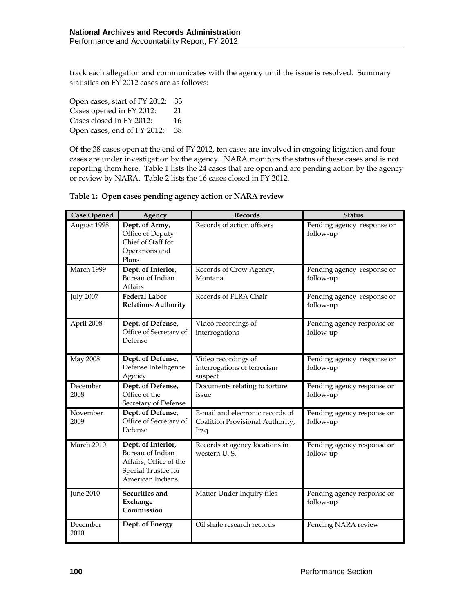track each allegation and communicates with the agency until the issue is resolved. Summary statistics on FY 2012 cases are as follows:

Open cases, start of FY 2012: 33 Cases opened in FY 2012: 21 Cases closed in FY 2012: 16 Open cases, end of FY 2012: 38

Of the 38 cases open at the end of FY 2012, ten cases are involved in ongoing litigation and four cases are under investigation by the agency. NARA monitors the status of these cases and is not reporting them here. Table 1 lists the 24 cases that are open and are pending action by the agency or review by NARA. Table 2 lists the 16 cases closed in FY 2012.

| <b>Case Opened</b> | Agency                                                                                                      | <b>Records</b>                                                               | <b>Status</b>                           |
|--------------------|-------------------------------------------------------------------------------------------------------------|------------------------------------------------------------------------------|-----------------------------------------|
| August 1998        | Dept. of Army,<br>Office of Deputy<br>Chief of Staff for<br>Operations and<br>Plans                         | Records of action officers                                                   | Pending agency response or<br>follow-up |
| March 1999         | Dept. of Interior,<br>Bureau of Indian<br>Affairs                                                           | Records of Crow Agency,<br>Montana                                           | Pending agency response or<br>follow-up |
| <b>July 2007</b>   | <b>Federal Labor</b><br><b>Relations Authority</b>                                                          | Records of FLRA Chair                                                        | Pending agency response or<br>follow-up |
| April 2008         | Dept. of Defense,<br>Office of Secretary of<br>Defense                                                      | Video recordings of<br>interrogations                                        | Pending agency response or<br>follow-up |
| <b>May 2008</b>    | Dept. of Defense,<br>Defense Intelligence<br>Agency                                                         | Video recordings of<br>interrogations of terrorism<br>suspect                | Pending agency response or<br>follow-up |
| December<br>2008   | Dept. of Defense,<br>Office of the<br>Secretary of Defense                                                  | Documents relating to torture<br>issue                                       | Pending agency response or<br>follow-up |
| November<br>2009   | Dept. of Defense,<br>Office of Secretary of<br>Defense                                                      | E-mail and electronic records of<br>Coalition Provisional Authority,<br>Iraq | Pending agency response or<br>follow-up |
| March 2010         | Dept. of Interior,<br>Bureau of Indian<br>Affairs, Office of the<br>Special Trustee for<br>American Indians | Records at agency locations in<br>western U.S.                               | Pending agency response or<br>follow-up |
| June $2010$        | Securities and<br>Exchange<br>Commission                                                                    | Matter Under Inquiry files                                                   | Pending agency response or<br>follow-up |
| December<br>2010   | Dept. of Energy                                                                                             | Oil shale research records                                                   | Pending NARA review                     |

#### **Table 1: Open cases pending agency action or NARA review**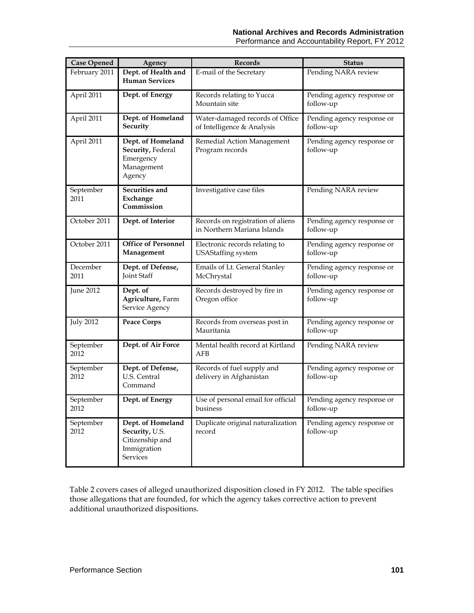| <b>Case Opened</b> | Agency                                                                            | <b>Records</b>                                                   | <b>Status</b>                           |
|--------------------|-----------------------------------------------------------------------------------|------------------------------------------------------------------|-----------------------------------------|
| February 2011      | Dept. of Health and<br><b>Human Services</b>                                      | E-mail of the Secretary                                          | Pending NARA review                     |
| April 2011         | Dept. of Energy                                                                   | Records relating to Yucca<br>Mountain site                       | Pending agency response or<br>follow-up |
| April 2011         | Dept. of Homeland<br>Security                                                     | Water-damaged records of Office<br>of Intelligence & Analysis    | Pending agency response or<br>follow-up |
| April 2011         | Dept. of Homeland<br>Security, Federal<br>Emergency<br>Management<br>Agency       | Remedial Action Management<br>Program records                    | Pending agency response or<br>follow-up |
| September<br>2011  | Securities and<br>Exchange<br>Commission                                          | Investigative case files                                         | Pending NARA review                     |
| October 2011       | Dept. of Interior                                                                 | Records on registration of aliens<br>in Northern Mariana Islands | Pending agency response or<br>follow-up |
| October 2011       | <b>Office of Personnel</b><br>Management                                          | Electronic records relating to<br><b>USAStaffing</b> system      | Pending agency response or<br>follow-up |
| December<br>2011   | Dept. of Defense,<br>Joint Staff                                                  | Emails of Lt. General Stanley<br>McChrystal                      | Pending agency response or<br>follow-up |
| <b>June 2012</b>   | Dept. of<br>Agriculture, Farm<br>Service Agency                                   | Records destroyed by fire in<br>Oregon office                    | Pending agency response or<br>follow-up |
| <b>July 2012</b>   | <b>Peace Corps</b>                                                                | Records from overseas post in<br>Mauritania                      | Pending agency response or<br>follow-up |
| September<br>2012  | Dept. of Air Force                                                                | Mental health record at Kirtland<br>AFB                          | Pending NARA review                     |
| September<br>2012  | Dept. of Defense,<br><b>U.S. Central</b><br>Command                               | Records of fuel supply and<br>delivery in Afghanistan            | Pending agency response or<br>follow-up |
| September<br>2012  | Dept. of Energy                                                                   | Use of personal email for official<br>business                   | Pending agency response or<br>follow-up |
| September<br>2012  | Dept. of Homeland<br>Security, U.S.<br>Citizenship and<br>Immigration<br>Services | Duplicate original naturalization<br>record                      | Pending agency response or<br>follow-up |

Table 2 covers cases of alleged unauthorized disposition closed in FY 2012. The table specifies those allegations that are founded, for which the agency takes corrective action to prevent additional unauthorized dispositions.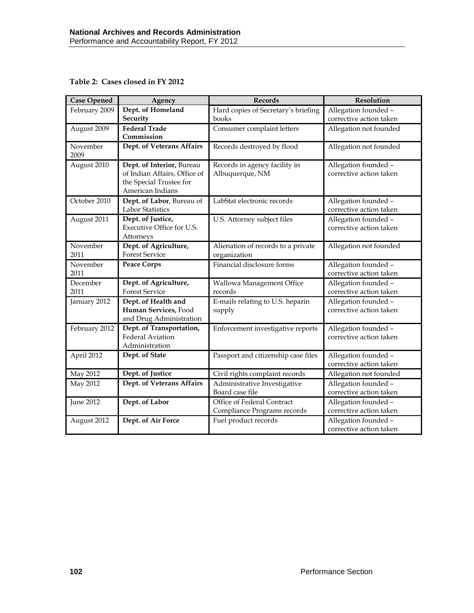**Table 2: Cases closed in FY 2012**

| <b>Case Opened</b> | Agency                                                                                                   | Records                                                   | Resolution                                      |
|--------------------|----------------------------------------------------------------------------------------------------------|-----------------------------------------------------------|-------------------------------------------------|
| February 2009      | Dept. of Homeland<br>Security                                                                            | Hard copies of Secretary's briefing<br>books              | Allegation founded -<br>corrective action taken |
| August 2009        | <b>Federal Trade</b><br>Commission                                                                       | Consumer complaint letters                                | Allegation not founded                          |
| November<br>2009   | Dept. of Veterans Affairs                                                                                | Records destroyed by flood                                | Allegation not founded                          |
| August 2010        | Dept. of Interior, Bureau<br>of Indian Affairs, Office of<br>the Special Trustee for<br>American Indians | Records in agency facility in<br>Albuquerque, NM          | Allegation founded -<br>corrective action taken |
| October 2010       | Dept. of Labor, Bureau of<br>Labor Statistics                                                            | LabStat electronic records                                | Allegation founded -<br>corrective action taken |
| August 2011        | Dept. of Justice,<br>Executive Office for U.S.<br>Attorneys                                              | U.S. Attorney subject files                               | Allegation founded -<br>corrective action taken |
| November<br>2011   | Dept. of Agriculture,<br><b>Forest Service</b>                                                           | Alienation of records to a private<br>organization        | Allegation not founded                          |
| November<br>2011   | <b>Peace Corps</b>                                                                                       | Financial disclosure forms                                | Allegation founded -<br>corrective action taken |
| December<br>2011   | Dept. of Agriculture,<br><b>Forest Service</b>                                                           | Wallowa Management Office<br>records                      | Allegation founded -<br>corrective action taken |
| January 2012       | Dept. of Health and<br>Human Services, Food<br>and Drug Administration                                   | E-mails relating to U.S. heparin<br>supply                | Allegation founded -<br>corrective action taken |
| February 2012      | Dept. of Transportation,<br><b>Federal Aviation</b><br>Administration                                    | Enforcement investigative reports                         | Allegation founded -<br>corrective action taken |
| April 2012         | Dept. of State                                                                                           | Passport and citizenship case files                       | Allegation founded -<br>corrective action taken |
| May 2012           | Dept. of Justice                                                                                         | Civil rights complaint records                            | Allegation not founded                          |
| May 2012           | Dept. of Veterans Affairs                                                                                | Administrative Investigative<br>Board case file           | Allegation founded -<br>corrective action taken |
| <b>June 2012</b>   | Dept. of Labor                                                                                           | Office of Federal Contract<br>Compliance Programs records | Allegation founded -<br>corrective action taken |
| August 2012        | Dept. of Air Force                                                                                       | Fuel product records                                      | Allegation founded -<br>corrective action taken |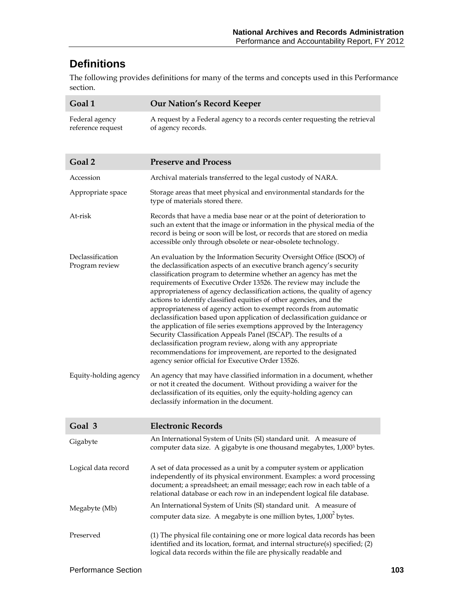# **Definitions**

The following provides definitions for many of the terms and concepts used in this Performance section.

| Goal 1                              | <b>Our Nation's Record Keeper</b>                                                                                                                                                                                                                                                                                                                                                                                                                                                                                                                                                                                                                                                                                                                                                                                                                                                                                             |
|-------------------------------------|-------------------------------------------------------------------------------------------------------------------------------------------------------------------------------------------------------------------------------------------------------------------------------------------------------------------------------------------------------------------------------------------------------------------------------------------------------------------------------------------------------------------------------------------------------------------------------------------------------------------------------------------------------------------------------------------------------------------------------------------------------------------------------------------------------------------------------------------------------------------------------------------------------------------------------|
| Federal agency<br>reference request | A request by a Federal agency to a records center requesting the retrieval<br>of agency records.                                                                                                                                                                                                                                                                                                                                                                                                                                                                                                                                                                                                                                                                                                                                                                                                                              |
| Goal 2                              | <b>Preserve and Process</b>                                                                                                                                                                                                                                                                                                                                                                                                                                                                                                                                                                                                                                                                                                                                                                                                                                                                                                   |
| Accession                           | Archival materials transferred to the legal custody of NARA.                                                                                                                                                                                                                                                                                                                                                                                                                                                                                                                                                                                                                                                                                                                                                                                                                                                                  |
| Appropriate space                   | Storage areas that meet physical and environmental standards for the<br>type of materials stored there.                                                                                                                                                                                                                                                                                                                                                                                                                                                                                                                                                                                                                                                                                                                                                                                                                       |
| At-risk                             | Records that have a media base near or at the point of deterioration to<br>such an extent that the image or information in the physical media of the<br>record is being or soon will be lost, or records that are stored on media<br>accessible only through obsolete or near-obsolete technology.                                                                                                                                                                                                                                                                                                                                                                                                                                                                                                                                                                                                                            |
| Declassification<br>Program review  | An evaluation by the Information Security Oversight Office (ISOO) of<br>the declassification aspects of an executive branch agency's security<br>classification program to determine whether an agency has met the<br>requirements of Executive Order 13526. The review may include the<br>appropriateness of agency declassification actions, the quality of agency<br>actions to identify classified equities of other agencies, and the<br>appropriateness of agency action to exempt records from automatic<br>declassification based upon application of declassification guidance or<br>the application of file series exemptions approved by the Interagency<br>Security Classification Appeals Panel (ISCAP). The results of a<br>declassification program review, along with any appropriate<br>recommendations for improvement, are reported to the designated<br>agency senior official for Executive Order 13526. |
| Equity-holding agency               | An agency that may have classified information in a document, whether<br>or not it created the document. Without providing a waiver for the<br>declassification of its equities, only the equity-holding agency can<br>declassify information in the document.                                                                                                                                                                                                                                                                                                                                                                                                                                                                                                                                                                                                                                                                |
| Goal 3                              | <b>Electronic Records</b>                                                                                                                                                                                                                                                                                                                                                                                                                                                                                                                                                                                                                                                                                                                                                                                                                                                                                                     |
| Gigabyte                            | An International System of Units (SI) standard unit. A measure of<br>computer data size. A gigabyte is one thousand megabytes, 1,0003 bytes.                                                                                                                                                                                                                                                                                                                                                                                                                                                                                                                                                                                                                                                                                                                                                                                  |
| Logical data record                 | A set of data processed as a unit by a computer system or application<br>independently of its physical environment. Examples: a word processing<br>document; a spreadsheet; an email message; each row in each table of a<br>relational database or each row in an independent logical file database.                                                                                                                                                                                                                                                                                                                                                                                                                                                                                                                                                                                                                         |
| Megabyte (Mb)                       | An International System of Units (SI) standard unit. A measure of                                                                                                                                                                                                                                                                                                                                                                                                                                                                                                                                                                                                                                                                                                                                                                                                                                                             |
|                                     | computer data size. A megabyte is one million bytes, 1,000 <sup>2</sup> bytes.                                                                                                                                                                                                                                                                                                                                                                                                                                                                                                                                                                                                                                                                                                                                                                                                                                                |
| Preserved                           | (1) The physical file containing one or more logical data records has been<br>identified and its location, format, and internal structure(s) specified; (2)<br>logical data records within the file are physically readable and                                                                                                                                                                                                                                                                                                                                                                                                                                                                                                                                                                                                                                                                                               |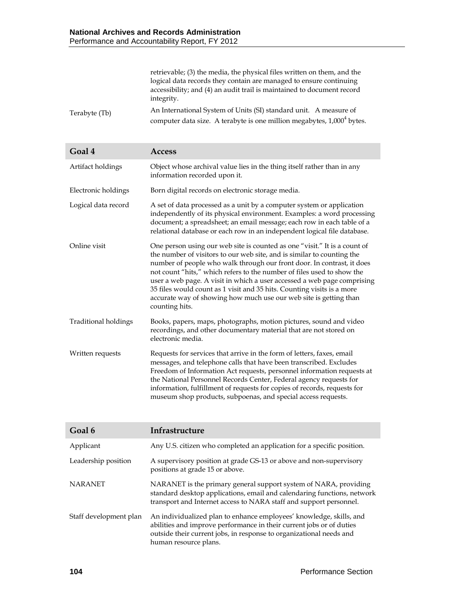|               | retrievable; (3) the media, the physical files written on them, and the            |
|---------------|------------------------------------------------------------------------------------|
|               | logical data records they contain are managed to ensure continuing                 |
|               | accessibility; and (4) an audit trail is maintained to document record             |
|               | integrity.                                                                         |
| Terabyte (Tb) | An International System of Units (SI) standard unit. A measure of                  |
|               | computer data size. A terabyte is one million megabytes, 1,000 <sup>4</sup> bytes. |

| Goal 4               | <b>Access</b>                                                                                                                                                                                                                                                                                                                                                                                                                                                                                                                                       |
|----------------------|-----------------------------------------------------------------------------------------------------------------------------------------------------------------------------------------------------------------------------------------------------------------------------------------------------------------------------------------------------------------------------------------------------------------------------------------------------------------------------------------------------------------------------------------------------|
| Artifact holdings    | Object whose archival value lies in the thing itself rather than in any<br>information recorded upon it.                                                                                                                                                                                                                                                                                                                                                                                                                                            |
| Electronic holdings  | Born digital records on electronic storage media.                                                                                                                                                                                                                                                                                                                                                                                                                                                                                                   |
| Logical data record  | A set of data processed as a unit by a computer system or application<br>independently of its physical environment. Examples: a word processing<br>document; a spreadsheet; an email message; each row in each table of a<br>relational database or each row in an independent logical file database.                                                                                                                                                                                                                                               |
| Online visit         | One person using our web site is counted as one "visit." It is a count of<br>the number of visitors to our web site, and is similar to counting the<br>number of people who walk through our front door. In contrast, it does<br>not count "hits," which refers to the number of files used to show the<br>user a web page. A visit in which a user accessed a web page comprising<br>35 files would count as 1 visit and 35 hits. Counting visits is a more<br>accurate way of showing how much use our web site is getting than<br>counting hits. |
| Traditional holdings | Books, papers, maps, photographs, motion pictures, sound and video<br>recordings, and other documentary material that are not stored on<br>electronic media.                                                                                                                                                                                                                                                                                                                                                                                        |
| Written requests     | Requests for services that arrive in the form of letters, faxes, email<br>messages, and telephone calls that have been transcribed. Excludes<br>Freedom of Information Act requests, personnel information requests at<br>the National Personnel Records Center, Federal agency requests for<br>information, fulfillment of requests for copies of records, requests for<br>museum shop products, subpoenas, and special access requests.                                                                                                           |

| Goal 6                 | Infrastructure                                                                                                                                                                                                                              |
|------------------------|---------------------------------------------------------------------------------------------------------------------------------------------------------------------------------------------------------------------------------------------|
| Applicant              | Any U.S. citizen who completed an application for a specific position.                                                                                                                                                                      |
| Leadership position    | A supervisory position at grade GS-13 or above and non-supervisory<br>positions at grade 15 or above.                                                                                                                                       |
| <b>NARANET</b>         | NARANET is the primary general support system of NARA, providing<br>standard desktop applications, email and calendaring functions, network<br>transport and Internet access to NARA staff and support personnel.                           |
| Staff development plan | An individualized plan to enhance employees' knowledge, skills, and<br>abilities and improve performance in their current jobs or of duties<br>outside their current jobs, in response to organizational needs and<br>human resource plans. |

I